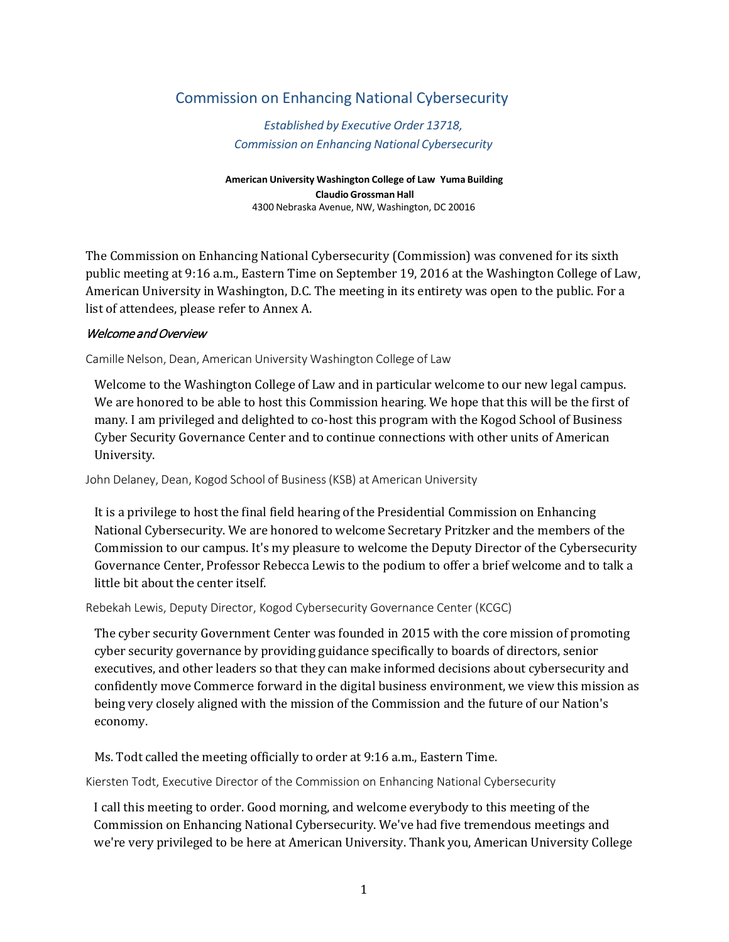# Commission on Enhancing National Cybersecurity

*Established by Executive Order 13718, Commission on Enhancing National Cybersecurity*

**American University Washington College of Law Yuma Building Claudio Grossman Hall** 4300 Nebraska Avenue, NW, Washington, DC 20016

The Commission on Enhancing National Cybersecurity (Commission) was convened for its sixth public meeting at 9:16 a.m., Eastern Time on September 19, 2016 at the Washington College of Law, American University in Washington, D.C. The meeting in its entirety was open to the public. For a list of attendees, please refer to Annex A.

#### Welcome and Overview

Camille Nelson, Dean, American University Washington College of Law

Welcome to the Washington College of Law and in particular welcome to our new legal campus. We are honored to be able to host this Commission hearing. We hope that this will be the first of many. I am privileged and delighted to co-host this program with the Kogod School of Business Cyber Security Governance Center and to continue connections with other units of American University.

John Delaney, Dean, Kogod School of Business(KSB) at American University

It is a privilege to host the final field hearing of the Presidential Commission on Enhancing National Cybersecurity. We are honored to welcome Secretary Pritzker and the members of the Commission to our campus. It's my pleasure to welcome the Deputy Director of the Cybersecurity Governance Center, Professor Rebecca Lewis to the podium to offer a brief welcome and to talk a little bit about the center itself.

Rebekah Lewis, Deputy Director, Kogod Cybersecurity Governance Center (KCGC)

The cyber security Government Center was founded in 2015 with the core mission of promoting cyber security governance by providing guidance specifically to boards of directors, senior executives, and other leaders so that they can make informed decisions about cybersecurity and confidently move Commerce forward in the digital business environment, we view this mission as being very closely aligned with the mission of the Commission and the future of our Nation's economy.

Ms. Todt called the meeting officially to order at 9:16 a.m., Eastern Time.

Kiersten Todt, Executive Director of the Commission on Enhancing National Cybersecurity

I call this meeting to order. Good morning, and welcome everybody to this meeting of the Commission on Enhancing National Cybersecurity. We've had five tremendous meetings and we're very privileged to be here at American University. Thank you, American University College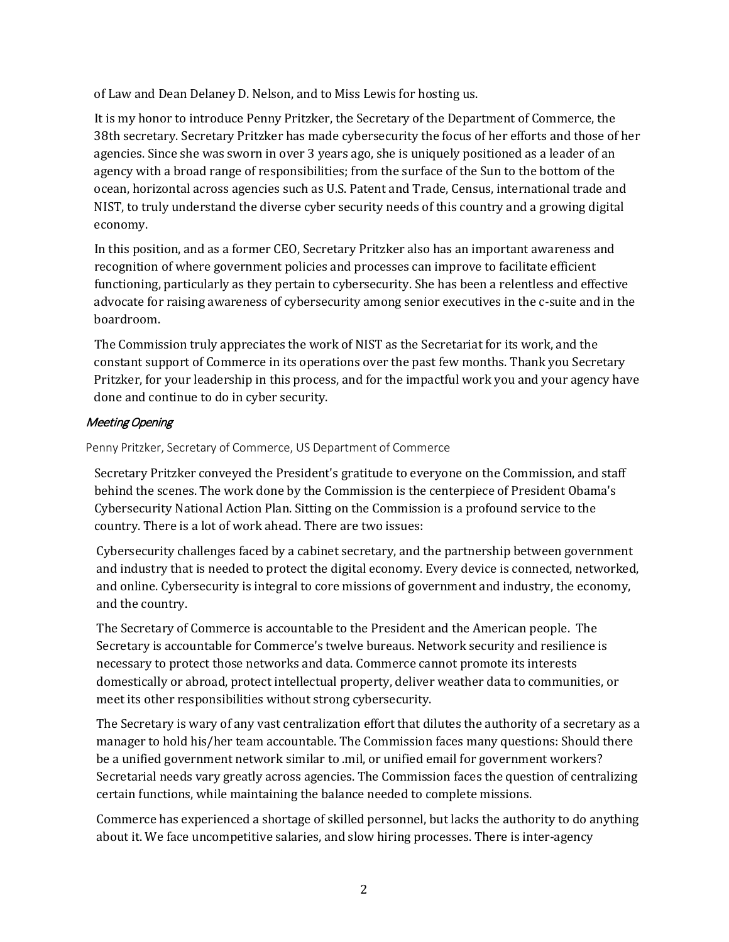of Law and Dean Delaney D. Nelson, and to Miss Lewis for hosting us.

It is my honor to introduce Penny Pritzker, the Secretary of the Department of Commerce, the 38th secretary. Secretary Pritzker has made cybersecurity the focus of her efforts and those of her agencies. Since she was sworn in over 3 years ago, she is uniquely positioned as a leader of an agency with a broad range of responsibilities; from the surface of the Sun to the bottom of the ocean, horizontal across agencies such as U.S. Patent and Trade, Census, international trade and NIST, to truly understand the diverse cyber security needs of this country and a growing digital economy.

In this position, and as a former CEO, Secretary Pritzker also has an important awareness and recognition of where government policies and processes can improve to facilitate efficient functioning, particularly as they pertain to cybersecurity. She has been a relentless and effective advocate for raising awareness of cybersecurity among senior executives in the c-suite and in the boardroom.

The Commission truly appreciates the work of NIST as the Secretariat for its work, and the constant support of Commerce in its operations over the past few months. Thank you Secretary Pritzker, for your leadership in this process, and for the impactful work you and your agency have done and continue to do in cyber security.

#### Meeting Opening

Penny Pritzker, Secretary of Commerce, US Department of Commerce

Secretary Pritzker conveyed the President's gratitude to everyone on the Commission, and staff behind the scenes. The work done by the Commission is the centerpiece of President Obama's Cybersecurity National Action Plan. Sitting on the Commission is a profound service to the country. There is a lot of work ahead. There are two issues:

Cybersecurity challenges faced by a cabinet secretary, and the partnership between government and industry that is needed to protect the digital economy. Every device is connected, networked, and online. Cybersecurity is integral to core missions of government and industry, the economy, and the country.

The Secretary of Commerce is accountable to the President and the American people. The Secretary is accountable for Commerce's twelve bureaus. Network security and resilience is necessary to protect those networks and data. Commerce cannot promote its interests domestically or abroad, protect intellectual property, deliver weather data to communities, or meet its other responsibilities without strong cybersecurity.

The Secretary is wary of any vast centralization effort that dilutes the authority of a secretary as a manager to hold his/her team accountable. The Commission faces many questions: Should there be a unified government network similar to .mil, or unified email for government workers? Secretarial needs vary greatly across agencies. The Commission faces the question of centralizing certain functions, while maintaining the balance needed to complete missions.

Commerce has experienced a shortage of skilled personnel, but lacks the authority to do anything about it. We face uncompetitive salaries, and slow hiring processes. There is inter-agency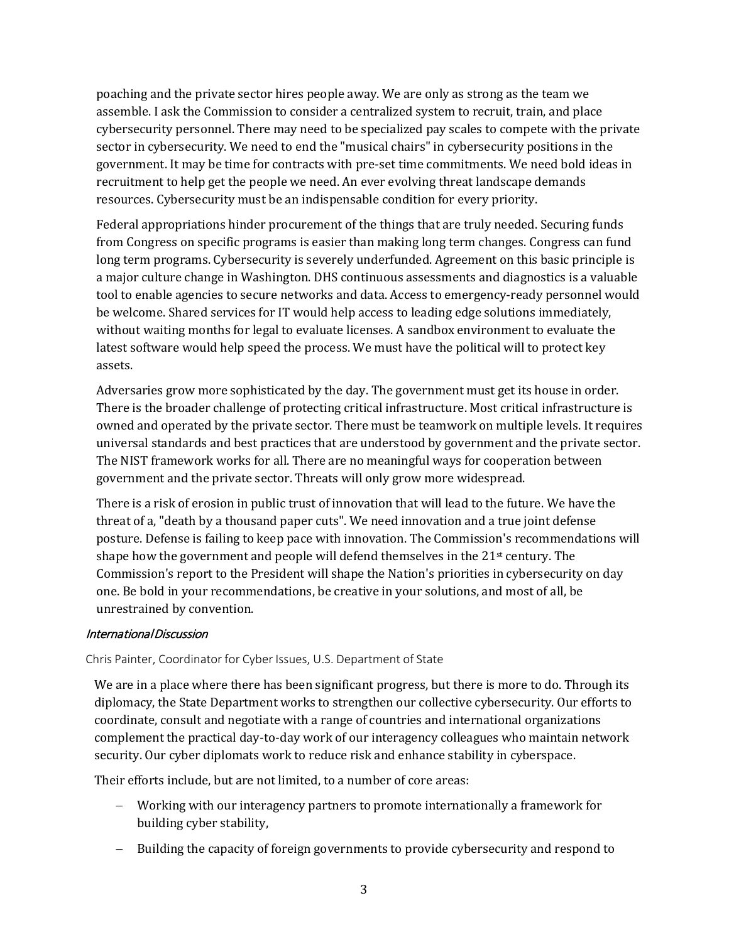poaching and the private sector hires people away. We are only as strong as the team we assemble. I ask the Commission to consider a centralized system to recruit, train, and place cybersecurity personnel. There may need to be specialized pay scales to compete with the private sector in cybersecurity. We need to end the "musical chairs" in cybersecurity positions in the government. It may be time for contracts with pre-set time commitments. We need bold ideas in recruitment to help get the people we need. An ever evolving threat landscape demands resources. Cybersecurity must be an indispensable condition for every priority.

Federal appropriations hinder procurement of the things that are truly needed. Securing funds from Congress on specific programs is easier than making long term changes. Congress can fund long term programs. Cybersecurity is severely underfunded. Agreement on this basic principle is a major culture change in Washington. DHS continuous assessments and diagnostics is a valuable tool to enable agencies to secure networks and data. Access to emergency-ready personnel would be welcome. Shared services for IT would help access to leading edge solutions immediately, without waiting months for legal to evaluate licenses. A sandbox environment to evaluate the latest software would help speed the process. We must have the political will to protect key assets.

Adversaries grow more sophisticated by the day. The government must get its house in order. There is the broader challenge of protecting critical infrastructure. Most critical infrastructure is owned and operated by the private sector. There must be teamwork on multiple levels. It requires universal standards and best practices that are understood by government and the private sector. The NIST framework works for all. There are no meaningful ways for cooperation between government and the private sector. Threats will only grow more widespread.

There is a risk of erosion in public trust of innovation that will lead to the future. We have the threat of a, "death by a thousand paper cuts". We need innovation and a true joint defense posture. Defense is failing to keep pace with innovation. The Commission's recommendations will shape how the government and people will defend themselves in the 21st century. The Commission's report to the President will shape the Nation's priorities in cybersecurity on day one. Be bold in your recommendations, be creative in your solutions, and most of all, be unrestrained by convention.

#### International Discussion

Chris Painter, Coordinator for Cyber Issues, U.S. Department of State

We are in a place where there has been significant progress, but there is more to do. Through its diplomacy, the State Department works to strengthen our collective cybersecurity. Our efforts to coordinate, consult and negotiate with a range of countries and international organizations complement the practical day-to-day work of our interagency colleagues who maintain network security. Our cyber diplomats work to reduce risk and enhance stability in cyberspace.

Their efforts include, but are not limited, to a number of core areas:

- − Working with our interagency partners to promote internationally a framework for building cyber stability,
- − Building the capacity of foreign governments to provide cybersecurity and respond to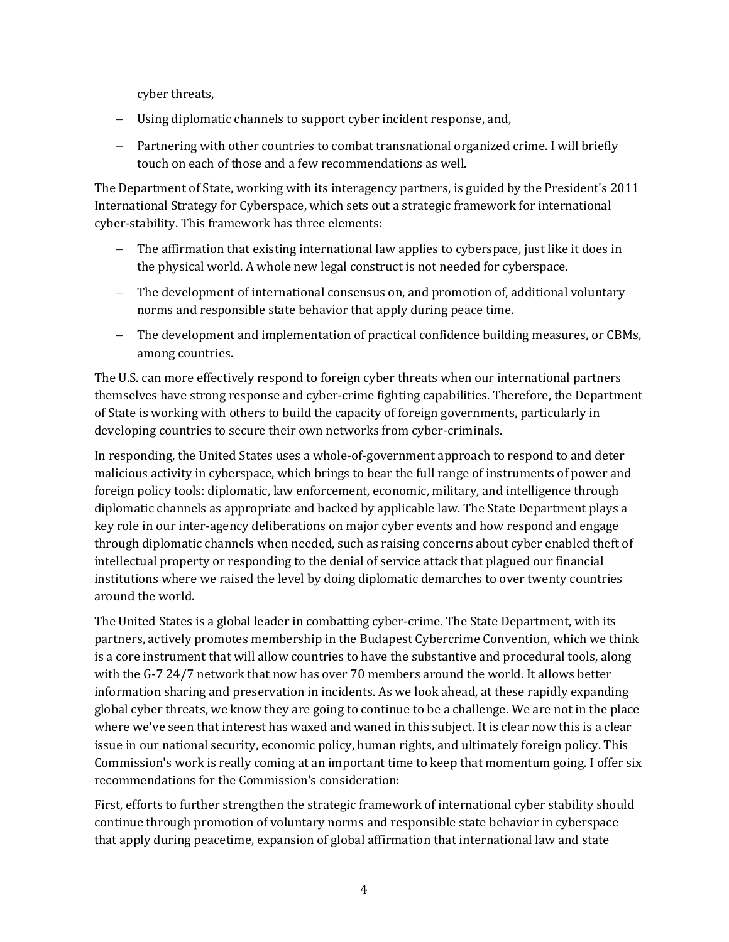cyber threats,

- − Using diplomatic channels to support cyber incident response, and,
- − Partnering with other countries to combat transnational organized crime. I will briefly touch on each of those and a few recommendations as well.

The Department of State, working with its interagency partners, is guided by the President's 2011 International Strategy for Cyberspace, which sets out a strategic framework for international cyber-stability. This framework has three elements:

- The affirmation that existing international law applies to cyberspace, just like it does in the physical world. A whole new legal construct is not needed for cyberspace.
- − The development of international consensus on, and promotion of, additional voluntary norms and responsible state behavior that apply during peace time.
- − The development and implementation of practical confidence building measures, or CBMs, among countries.

The U.S. can more effectively respond to foreign cyber threats when our international partners themselves have strong response and cyber-crime fighting capabilities. Therefore, the Department of State is working with others to build the capacity of foreign governments, particularly in developing countries to secure their own networks from cyber-criminals.

In responding, the United States uses a whole-of-government approach to respond to and deter malicious activity in cyberspace, which brings to bear the full range of instruments of power and foreign policy tools: diplomatic, law enforcement, economic, military, and intelligence through diplomatic channels as appropriate and backed by applicable law. The State Department plays a key role in our inter-agency deliberations on major cyber events and how respond and engage through diplomatic channels when needed, such as raising concerns about cyber enabled theft of intellectual property or responding to the denial of service attack that plagued our financial institutions where we raised the level by doing diplomatic demarches to over twenty countries around the world.

The United States is a global leader in combatting cyber-crime. The State Department, with its partners, actively promotes membership in the Budapest Cybercrime Convention, which we think is a core instrument that will allow countries to have the substantive and procedural tools, along with the G-7 24/7 network that now has over 70 members around the world. It allows better information sharing and preservation in incidents. As we look ahead, at these rapidly expanding global cyber threats, we know they are going to continue to be a challenge. We are not in the place where we've seen that interest has waxed and waned in this subject. It is clear now this is a clear issue in our national security, economic policy, human rights, and ultimately foreign policy. This Commission's work is really coming at an important time to keep that momentum going. I offer six recommendations for the Commission's consideration:

First, efforts to further strengthen the strategic framework of international cyber stability should continue through promotion of voluntary norms and responsible state behavior in cyberspace that apply during peacetime, expansion of global affirmation that international law and state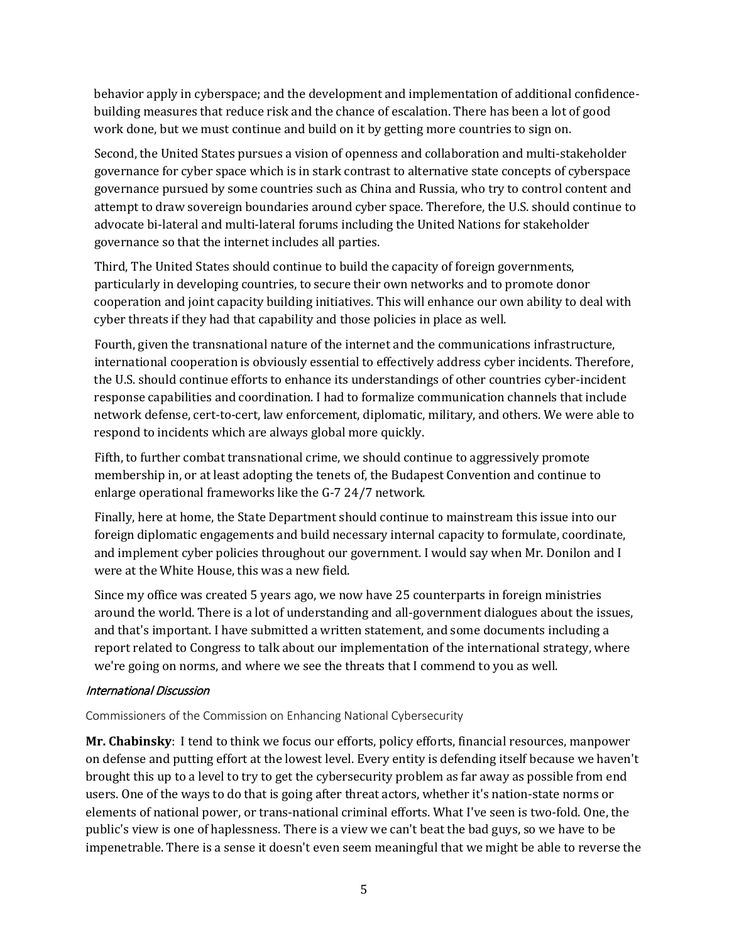behavior apply in cyberspace; and the development and implementation of additional confidencebuilding measures that reduce risk and the chance of escalation. There has been a lot of good work done, but we must continue and build on it by getting more countries to sign on.

Second, the United States pursues a vision of openness and collaboration and multi-stakeholder governance for cyber space which is in stark contrast to alternative state concepts of cyberspace governance pursued by some countries such as China and Russia, who try to control content and attempt to draw sovereign boundaries around cyber space. Therefore, the U.S. should continue to advocate bi-lateral and multi-lateral forums including the United Nations for stakeholder governance so that the internet includes all parties.

Third, The United States should continue to build the capacity of foreign governments, particularly in developing countries, to secure their own networks and to promote donor cooperation and joint capacity building initiatives. This will enhance our own ability to deal with cyber threats if they had that capability and those policies in place as well.

Fourth, given the transnational nature of the internet and the communications infrastructure, international cooperation is obviously essential to effectively address cyber incidents. Therefore, the U.S. should continue efforts to enhance its understandings of other countries cyber-incident response capabilities and coordination. I had to formalize communication channels that include network defense, cert-to-cert, law enforcement, diplomatic, military, and others. We were able to respond to incidents which are always global more quickly.

Fifth, to further combat transnational crime, we should continue to aggressively promote membership in, or at least adopting the tenets of, the Budapest Convention and continue to enlarge operational frameworks like the G-7 24/7 network.

Finally, here at home, the State Department should continue to mainstream this issue into our foreign diplomatic engagements and build necessary internal capacity to formulate, coordinate, and implement cyber policies throughout our government. I would say when Mr. Donilon and I were at the White House, this was a new field.

Since my office was created 5 years ago, we now have 25 counterparts in foreign ministries around the world. There is a lot of understanding and all-government dialogues about the issues, and that's important. I have submitted a written statement, and some documents including a report related to Congress to talk about our implementation of the international strategy, where we're going on norms, and where we see the threats that I commend to you as well.

#### International Discussion

Commissioners of the Commission on Enhancing National Cybersecurity

**Mr. Chabinsky**: I tend to think we focus our efforts, policy efforts, financial resources, manpower on defense and putting effort at the lowest level. Every entity is defending itself because we haven't brought this up to a level to try to get the cybersecurity problem as far away as possible from end users. One of the ways to do that is going after threat actors, whether it's nation-state norms or elements of national power, or trans-national criminal efforts. What I've seen is two-fold. One, the public's view is one of haplessness. There is a view we can't beat the bad guys, so we have to be impenetrable. There is a sense it doesn't even seem meaningful that we might be able to reverse the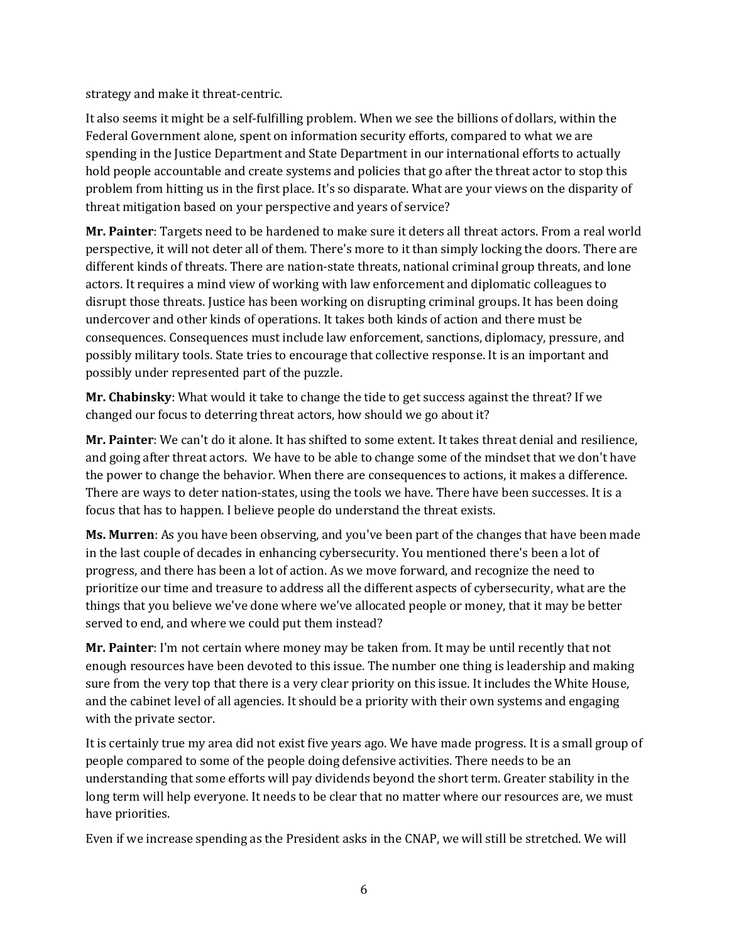strategy and make it threat-centric.

It also seems it might be a self-fulfilling problem. When we see the billions of dollars, within the Federal Government alone, spent on information security efforts, compared to what we are spending in the Justice Department and State Department in our international efforts to actually hold people accountable and create systems and policies that go after the threat actor to stop this problem from hitting us in the first place. It's so disparate. What are your views on the disparity of threat mitigation based on your perspective and years of service?

**Mr. Painter**: Targets need to be hardened to make sure it deters all threat actors. From a real world perspective, it will not deter all of them. There's more to it than simply locking the doors. There are different kinds of threats. There are nation-state threats, national criminal group threats, and lone actors. It requires a mind view of working with law enforcement and diplomatic colleagues to disrupt those threats. Justice has been working on disrupting criminal groups. It has been doing undercover and other kinds of operations. It takes both kinds of action and there must be consequences. Consequences must include law enforcement, sanctions, diplomacy, pressure, and possibly military tools. State tries to encourage that collective response. It is an important and possibly under represented part of the puzzle.

**Mr. Chabinsky**: What would it take to change the tide to get success against the threat? If we changed our focus to deterring threat actors, how should we go about it?

**Mr. Painter**: We can't do it alone. It has shifted to some extent. It takes threat denial and resilience, and going after threat actors. We have to be able to change some of the mindset that we don't have the power to change the behavior. When there are consequences to actions, it makes a difference. There are ways to deter nation-states, using the tools we have. There have been successes. It is a focus that has to happen. I believe people do understand the threat exists.

**Ms. Murren**: As you have been observing, and you've been part of the changes that have been made in the last couple of decades in enhancing cybersecurity. You mentioned there's been a lot of progress, and there has been a lot of action. As we move forward, and recognize the need to prioritize our time and treasure to address all the different aspects of cybersecurity, what are the things that you believe we've done where we've allocated people or money, that it may be better served to end, and where we could put them instead?

**Mr. Painter**: I'm not certain where money may be taken from. It may be until recently that not enough resources have been devoted to this issue. The number one thing is leadership and making sure from the very top that there is a very clear priority on this issue. It includes the White House, and the cabinet level of all agencies. It should be a priority with their own systems and engaging with the private sector.

It is certainly true my area did not exist five years ago. We have made progress. It is a small group of people compared to some of the people doing defensive activities. There needs to be an understanding that some efforts will pay dividends beyond the short term. Greater stability in the long term will help everyone. It needs to be clear that no matter where our resources are, we must have priorities.

Even if we increase spending as the President asks in the CNAP, we will still be stretched. We will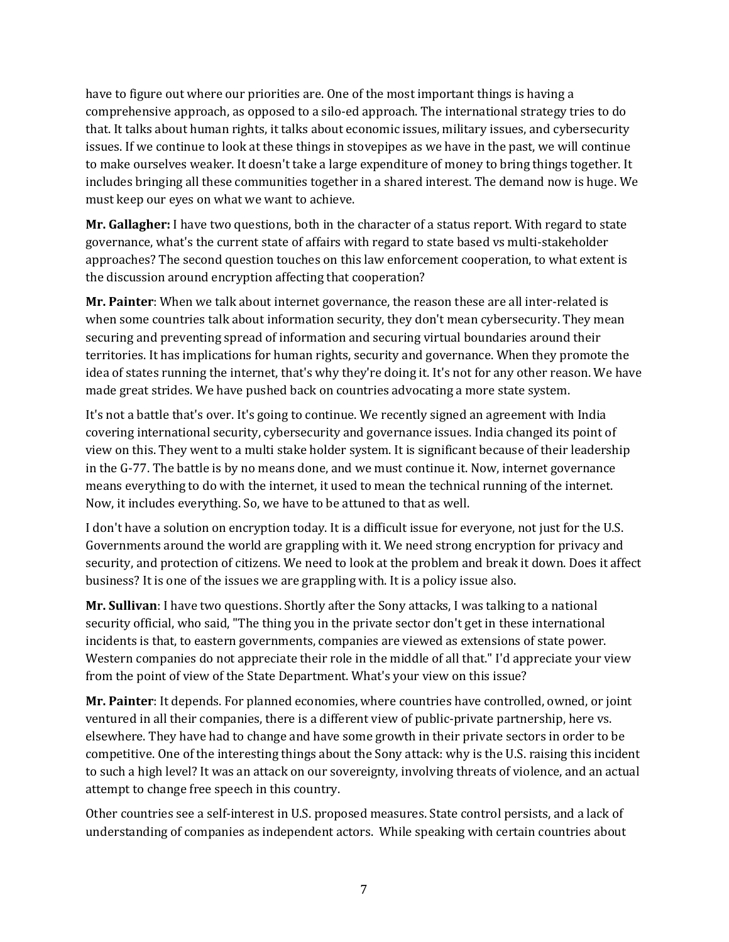have to figure out where our priorities are. One of the most important things is having a comprehensive approach, as opposed to a silo-ed approach. The international strategy tries to do that. It talks about human rights, it talks about economic issues, military issues, and cybersecurity issues. If we continue to look at these things in stovepipes as we have in the past, we will continue to make ourselves weaker. It doesn't take a large expenditure of money to bring things together. It includes bringing all these communities together in a shared interest. The demand now is huge. We must keep our eyes on what we want to achieve.

**Mr. Gallagher:** I have two questions, both in the character of a status report. With regard to state governance, what's the current state of affairs with regard to state based vs multi-stakeholder approaches? The second question touches on this law enforcement cooperation, to what extent is the discussion around encryption affecting that cooperation?

**Mr. Painter**: When we talk about internet governance, the reason these are all inter-related is when some countries talk about information security, they don't mean cybersecurity. They mean securing and preventing spread of information and securing virtual boundaries around their territories. It has implications for human rights, security and governance. When they promote the idea of states running the internet, that's why they're doing it. It's not for any other reason. We have made great strides. We have pushed back on countries advocating a more state system.

It's not a battle that's over. It's going to continue. We recently signed an agreement with India covering international security, cybersecurity and governance issues. India changed its point of view on this. They went to a multi stake holder system. It is significant because of their leadership in the G-77. The battle is by no means done, and we must continue it. Now, internet governance means everything to do with the internet, it used to mean the technical running of the internet. Now, it includes everything. So, we have to be attuned to that as well.

I don't have a solution on encryption today. It is a difficult issue for everyone, not just for the U.S. Governments around the world are grappling with it. We need strong encryption for privacy and security, and protection of citizens. We need to look at the problem and break it down. Does it affect business? It is one of the issues we are grappling with. It is a policy issue also.

**Mr. Sullivan**: I have two questions. Shortly after the Sony attacks, I was talking to a national security official, who said, "The thing you in the private sector don't get in these international incidents is that, to eastern governments, companies are viewed as extensions of state power. Western companies do not appreciate their role in the middle of all that." I'd appreciate your view from the point of view of the State Department. What's your view on this issue?

**Mr. Painter**: It depends. For planned economies, where countries have controlled, owned, or joint ventured in all their companies, there is a different view of public-private partnership, here vs. elsewhere. They have had to change and have some growth in their private sectors in order to be competitive. One of the interesting things about the Sony attack: why is the U.S. raising this incident to such a high level? It was an attack on our sovereignty, involving threats of violence, and an actual attempt to change free speech in this country.

Other countries see a self-interest in U.S. proposed measures. State control persists, and a lack of understanding of companies as independent actors. While speaking with certain countries about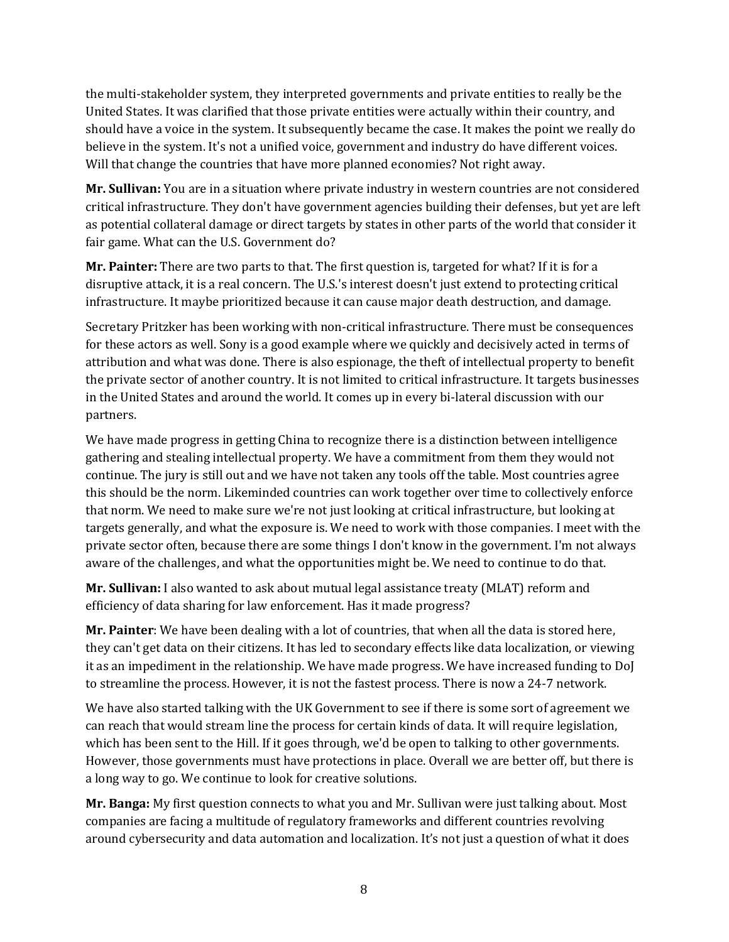the multi-stakeholder system, they interpreted governments and private entities to really be the United States. It was clarified that those private entities were actually within their country, and should have a voice in the system. It subsequently became the case. It makes the point we really do believe in the system. It's not a unified voice, government and industry do have different voices. Will that change the countries that have more planned economies? Not right away.

**Mr. Sullivan:** You are in a situation where private industry in western countries are not considered critical infrastructure. They don't have government agencies building their defenses, but yet are left as potential collateral damage or direct targets by states in other parts of the world that consider it fair game. What can the U.S. Government do?

**Mr. Painter:** There are two parts to that. The first question is, targeted for what? If it is for a disruptive attack, it is a real concern. The U.S.'s interest doesn't just extend to protecting critical infrastructure. It maybe prioritized because it can cause major death destruction, and damage.

Secretary Pritzker has been working with non-critical infrastructure. There must be consequences for these actors as well. Sony is a good example where we quickly and decisively acted in terms of attribution and what was done. There is also espionage, the theft of intellectual property to benefit the private sector of another country. It is not limited to critical infrastructure. It targets businesses in the United States and around the world. It comes up in every bi-lateral discussion with our partners.

We have made progress in getting China to recognize there is a distinction between intelligence gathering and stealing intellectual property. We have a commitment from them they would not continue. The jury is still out and we have not taken any tools off the table. Most countries agree this should be the norm. Likeminded countries can work together over time to collectively enforce that norm. We need to make sure we're not just looking at critical infrastructure, but looking at targets generally, and what the exposure is. We need to work with those companies. I meet with the private sector often, because there are some things I don't know in the government. I'm not always aware of the challenges, and what the opportunities might be. We need to continue to do that.

**Mr. Sullivan:** I also wanted to ask about mutual legal assistance treaty (MLAT) reform and efficiency of data sharing for law enforcement. Has it made progress?

**Mr. Painter**: We have been dealing with a lot of countries, that when all the data is stored here, they can't get data on their citizens. It has led to secondary effects like data localization, or viewing it as an impediment in the relationship. We have made progress. We have increased funding to DoJ to streamline the process. However, it is not the fastest process. There is now a 24-7 network.

We have also started talking with the UK Government to see if there is some sort of agreement we can reach that would stream line the process for certain kinds of data. It will require legislation, which has been sent to the Hill. If it goes through, we'd be open to talking to other governments. However, those governments must have protections in place. Overall we are better off, but there is a long way to go. We continue to look for creative solutions.

**Mr. Banga:** My first question connects to what you and Mr. Sullivan were just talking about. Most companies are facing a multitude of regulatory frameworks and different countries revolving around cybersecurity and data automation and localization. It's not just a question of what it does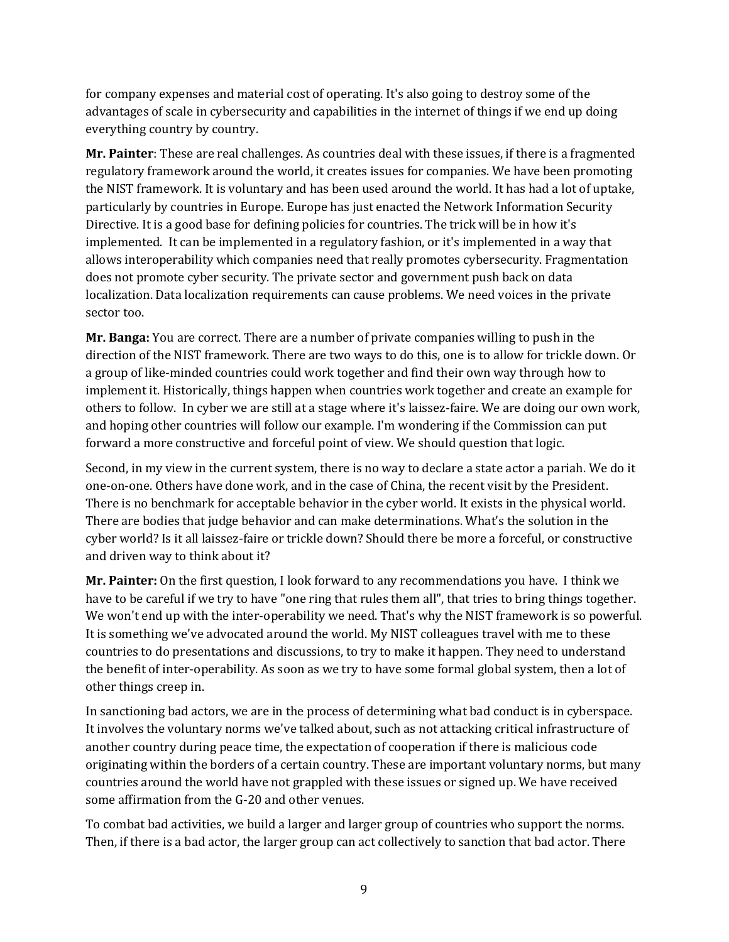for company expenses and material cost of operating. It's also going to destroy some of the advantages of scale in cybersecurity and capabilities in the internet of things if we end up doing everything country by country.

**Mr. Painter**: These are real challenges. As countries deal with these issues, if there is a fragmented regulatory framework around the world, it creates issues for companies. We have been promoting the NIST framework. It is voluntary and has been used around the world. It has had a lot of uptake, particularly by countries in Europe. Europe has just enacted the Network Information Security Directive. It is a good base for defining policies for countries. The trick will be in how it's implemented. It can be implemented in a regulatory fashion, or it's implemented in a way that allows interoperability which companies need that really promotes cybersecurity. Fragmentation does not promote cyber security. The private sector and government push back on data localization. Data localization requirements can cause problems. We need voices in the private sector too.

**Mr. Banga:** You are correct. There are a number of private companies willing to push in the direction of the NIST framework. There are two ways to do this, one is to allow for trickle down. Or a group of like-minded countries could work together and find their own way through how to implement it. Historically, things happen when countries work together and create an example for others to follow. In cyber we are still at a stage where it's laissez-faire. We are doing our own work, and hoping other countries will follow our example. I'm wondering if the Commission can put forward a more constructive and forceful point of view. We should question that logic.

Second, in my view in the current system, there is no way to declare a state actor a pariah. We do it one-on-one. Others have done work, and in the case of China, the recent visit by the President. There is no benchmark for acceptable behavior in the cyber world. It exists in the physical world. There are bodies that judge behavior and can make determinations. What's the solution in the cyber world? Is it all laissez-faire or trickle down? Should there be more a forceful, or constructive and driven way to think about it?

**Mr. Painter:** On the first question, I look forward to any recommendations you have. I think we have to be careful if we try to have "one ring that rules them all", that tries to bring things together. We won't end up with the inter-operability we need. That's why the NIST framework is so powerful. It is something we've advocated around the world. My NIST colleagues travel with me to these countries to do presentations and discussions, to try to make it happen. They need to understand the benefit of inter-operability. As soon as we try to have some formal global system, then a lot of other things creep in.

In sanctioning bad actors, we are in the process of determining what bad conduct is in cyberspace. It involves the voluntary norms we've talked about, such as not attacking critical infrastructure of another country during peace time, the expectation of cooperation if there is malicious code originating within the borders of a certain country. These are important voluntary norms, but many countries around the world have not grappled with these issues or signed up. We have received some affirmation from the G-20 and other venues.

To combat bad activities, we build a larger and larger group of countries who support the norms. Then, if there is a bad actor, the larger group can act collectively to sanction that bad actor. There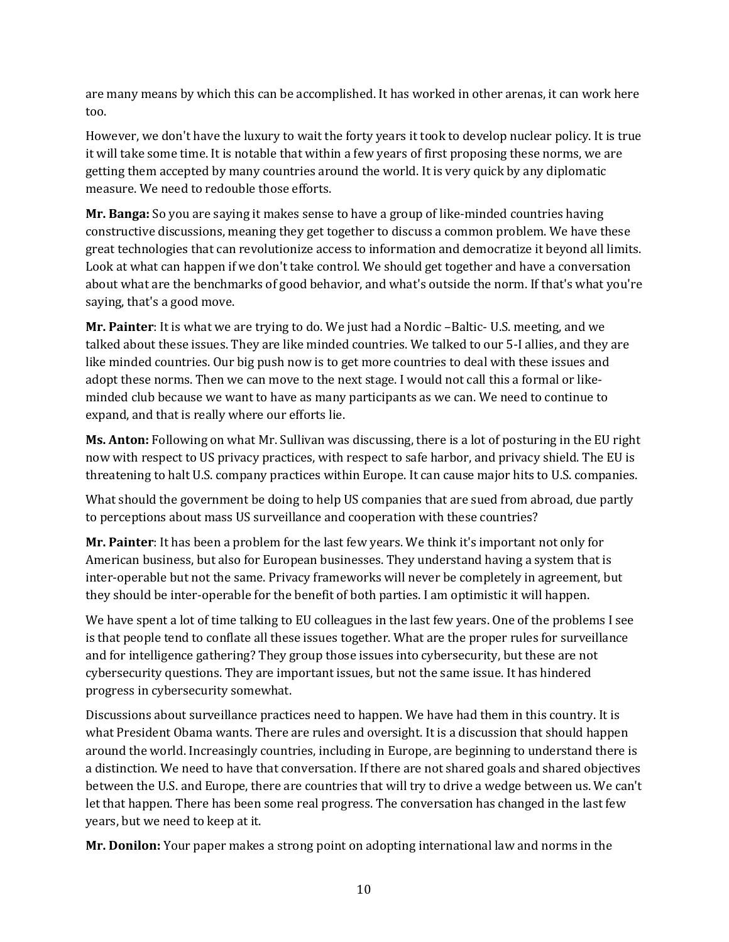are many means by which this can be accomplished. It has worked in other arenas, it can work here too.

However, we don't have the luxury to wait the forty years it took to develop nuclear policy. It is true it will take some time. It is notable that within a few years of first proposing these norms, we are getting them accepted by many countries around the world. It is very quick by any diplomatic measure. We need to redouble those efforts.

**Mr. Banga:** So you are saying it makes sense to have a group of like-minded countries having constructive discussions, meaning they get together to discuss a common problem. We have these great technologies that can revolutionize access to information and democratize it beyond all limits. Look at what can happen if we don't take control. We should get together and have a conversation about what are the benchmarks of good behavior, and what's outside the norm. If that's what you're saying, that's a good move.

**Mr. Painter**: It is what we are trying to do. We just had a Nordic –Baltic- U.S. meeting, and we talked about these issues. They are like minded countries. We talked to our 5-I allies, and they are like minded countries. Our big push now is to get more countries to deal with these issues and adopt these norms. Then we can move to the next stage. I would not call this a formal or likeminded club because we want to have as many participants as we can. We need to continue to expand, and that is really where our efforts lie.

**Ms. Anton:** Following on what Mr. Sullivan was discussing, there is a lot of posturing in the EU right now with respect to US privacy practices, with respect to safe harbor, and privacy shield. The EU is threatening to halt U.S. company practices within Europe. It can cause major hits to U.S. companies.

What should the government be doing to help US companies that are sued from abroad, due partly to perceptions about mass US surveillance and cooperation with these countries?

**Mr. Painter**: It has been a problem for the last few years. We think it's important not only for American business, but also for European businesses. They understand having a system that is inter-operable but not the same. Privacy frameworks will never be completely in agreement, but they should be inter-operable for the benefit of both parties. I am optimistic it will happen.

We have spent a lot of time talking to EU colleagues in the last few years. One of the problems I see is that people tend to conflate all these issues together. What are the proper rules for surveillance and for intelligence gathering? They group those issues into cybersecurity, but these are not cybersecurity questions. They are important issues, but not the same issue. It has hindered progress in cybersecurity somewhat.

Discussions about surveillance practices need to happen. We have had them in this country. It is what President Obama wants. There are rules and oversight. It is a discussion that should happen around the world. Increasingly countries, including in Europe, are beginning to understand there is a distinction. We need to have that conversation. If there are not shared goals and shared objectives between the U.S. and Europe, there are countries that will try to drive a wedge between us. We can't let that happen. There has been some real progress. The conversation has changed in the last few years, but we need to keep at it.

**Mr. Donilon:** Your paper makes a strong point on adopting international law and norms in the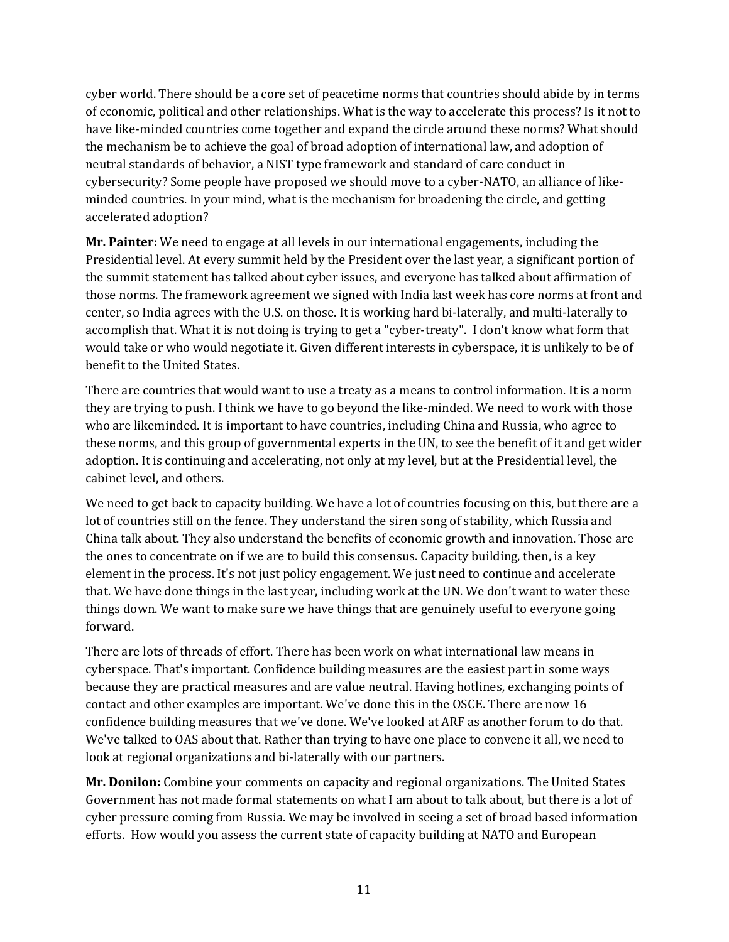cyber world. There should be a core set of peacetime norms that countries should abide by in terms of economic, political and other relationships. What is the way to accelerate this process? Is it not to have like-minded countries come together and expand the circle around these norms? What should the mechanism be to achieve the goal of broad adoption of international law, and adoption of neutral standards of behavior, a NIST type framework and standard of care conduct in cybersecurity? Some people have proposed we should move to a cyber-NATO, an alliance of likeminded countries. In your mind, what is the mechanism for broadening the circle, and getting accelerated adoption?

**Mr. Painter:** We need to engage at all levels in our international engagements, including the Presidential level. At every summit held by the President over the last year, a significant portion of the summit statement has talked about cyber issues, and everyone has talked about affirmation of those norms. The framework agreement we signed with India last week has core norms at front and center, so India agrees with the U.S. on those. It is working hard bi-laterally, and multi-laterally to accomplish that. What it is not doing is trying to get a "cyber-treaty". I don't know what form that would take or who would negotiate it. Given different interests in cyberspace, it is unlikely to be of benefit to the United States.

There are countries that would want to use a treaty as a means to control information. It is a norm they are trying to push. I think we have to go beyond the like-minded. We need to work with those who are likeminded. It is important to have countries, including China and Russia, who agree to these norms, and this group of governmental experts in the UN, to see the benefit of it and get wider adoption. It is continuing and accelerating, not only at my level, but at the Presidential level, the cabinet level, and others.

We need to get back to capacity building. We have a lot of countries focusing on this, but there are a lot of countries still on the fence. They understand the siren song of stability, which Russia and China talk about. They also understand the benefits of economic growth and innovation. Those are the ones to concentrate on if we are to build this consensus. Capacity building, then, is a key element in the process. It's not just policy engagement. We just need to continue and accelerate that. We have done things in the last year, including work at the UN. We don't want to water these things down. We want to make sure we have things that are genuinely useful to everyone going forward.

There are lots of threads of effort. There has been work on what international law means in cyberspace. That's important. Confidence building measures are the easiest part in some ways because they are practical measures and are value neutral. Having hotlines, exchanging points of contact and other examples are important. We've done this in the OSCE. There are now 16 confidence building measures that we've done. We've looked at ARF as another forum to do that. We've talked to OAS about that. Rather than trying to have one place to convene it all, we need to look at regional organizations and bi-laterally with our partners.

**Mr. Donilon:** Combine your comments on capacity and regional organizations. The United States Government has not made formal statements on what I am about to talk about, but there is a lot of cyber pressure coming from Russia. We may be involved in seeing a set of broad based information efforts. How would you assess the current state of capacity building at NATO and European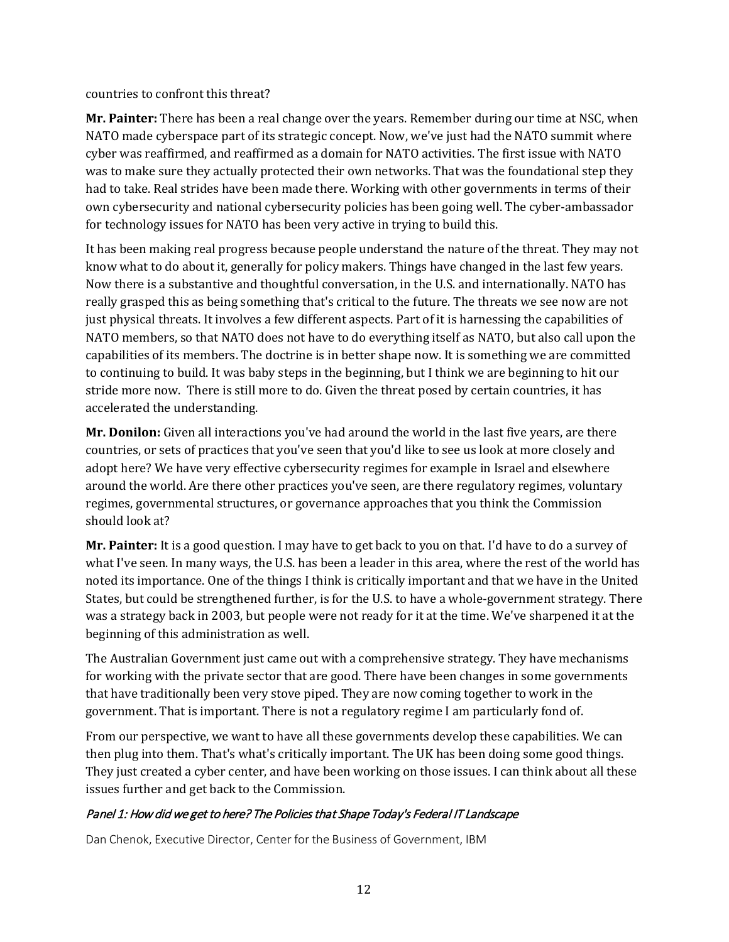countries to confront this threat?

**Mr. Painter:** There has been a real change over the years. Remember during our time at NSC, when NATO made cyberspace part of its strategic concept. Now, we've just had the NATO summit where cyber was reaffirmed, and reaffirmed as a domain for NATO activities. The first issue with NATO was to make sure they actually protected their own networks. That was the foundational step they had to take. Real strides have been made there. Working with other governments in terms of their own cybersecurity and national cybersecurity policies has been going well. The cyber-ambassador for technology issues for NATO has been very active in trying to build this.

It has been making real progress because people understand the nature of the threat. They may not know what to do about it, generally for policy makers. Things have changed in the last few years. Now there is a substantive and thoughtful conversation, in the U.S. and internationally. NATO has really grasped this as being something that's critical to the future. The threats we see now are not just physical threats. It involves a few different aspects. Part of it is harnessing the capabilities of NATO members, so that NATO does not have to do everything itself as NATO, but also call upon the capabilities of its members. The doctrine is in better shape now. It is something we are committed to continuing to build. It was baby steps in the beginning, but I think we are beginning to hit our stride more now. There is still more to do. Given the threat posed by certain countries, it has accelerated the understanding.

**Mr. Donilon:** Given all interactions you've had around the world in the last five years, are there countries, or sets of practices that you've seen that you'd like to see us look at more closely and adopt here? We have very effective cybersecurity regimes for example in Israel and elsewhere around the world. Are there other practices you've seen, are there regulatory regimes, voluntary regimes, governmental structures, or governance approaches that you think the Commission should look at?

**Mr. Painter:** It is a good question. I may have to get back to you on that. I'd have to do a survey of what I've seen. In many ways, the U.S. has been a leader in this area, where the rest of the world has noted its importance. One of the things I think is critically important and that we have in the United States, but could be strengthened further, is for the U.S. to have a whole-government strategy. There was a strategy back in 2003, but people were not ready for it at the time. We've sharpened it at the beginning of this administration as well.

The Australian Government just came out with a comprehensive strategy. They have mechanisms for working with the private sector that are good. There have been changes in some governments that have traditionally been very stove piped. They are now coming together to work in the government. That is important. There is not a regulatory regime I am particularly fond of.

From our perspective, we want to have all these governments develop these capabilities. We can then plug into them. That's what's critically important. The UK has been doing some good things. They just created a cyber center, and have been working on those issues. I can think about all these issues further and get back to the Commission.

# Panel 1: How did we get to here? The Policies that Shape Today's Federal IT Landscape

Dan Chenok, Executive Director, Center for the Business of Government, IBM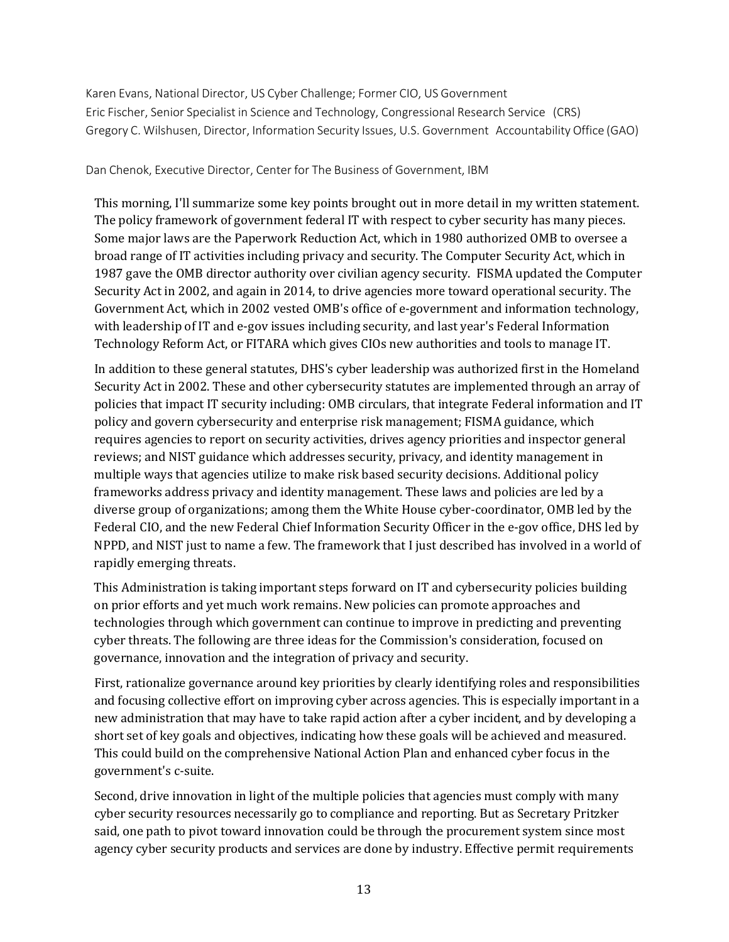Karen Evans, National Director, US Cyber Challenge; Former CIO, US Government Eric Fischer, Senior Specialist in Science and Technology, Congressional Research Service (CRS) Gregory C. Wilshusen, Director, Information Security Issues, U.S. Government Accountability Office (GAO)

#### Dan Chenok, Executive Director, Center for The Business of Government, IBM

This morning, I'll summarize some key points brought out in more detail in my written statement. The policy framework of government federal IT with respect to cyber security has many pieces. Some major laws are the Paperwork Reduction Act, which in 1980 authorized OMB to oversee a broad range of IT activities including privacy and security. The Computer Security Act, which in 1987 gave the OMB director authority over civilian agency security. FISMA updated the Computer Security Act in 2002, and again in 2014, to drive agencies more toward operational security. The Government Act, which in 2002 vested OMB's office of e-government and information technology, with leadership of IT and e-gov issues including security, and last year's Federal Information Technology Reform Act, or FITARA which gives CIOs new authorities and tools to manage IT.

In addition to these general statutes, DHS's cyber leadership was authorized first in the Homeland Security Act in 2002. These and other cybersecurity statutes are implemented through an array of policies that impact IT security including: OMB circulars, that integrate Federal information and IT policy and govern cybersecurity and enterprise risk management; FISMA guidance, which requires agencies to report on security activities, drives agency priorities and inspector general reviews; and NIST guidance which addresses security, privacy, and identity management in multiple ways that agencies utilize to make risk based security decisions. Additional policy frameworks address privacy and identity management. These laws and policies are led by a diverse group of organizations; among them the White House cyber-coordinator, OMB led by the Federal CIO, and the new Federal Chief Information Security Officer in the e-gov office, DHS led by NPPD, and NIST just to name a few. The framework that I just described has involved in a world of rapidly emerging threats.

This Administration is taking important steps forward on IT and cybersecurity policies building on prior efforts and yet much work remains. New policies can promote approaches and technologies through which government can continue to improve in predicting and preventing cyber threats. The following are three ideas for the Commission's consideration, focused on governance, innovation and the integration of privacy and security.

First, rationalize governance around key priorities by clearly identifying roles and responsibilities and focusing collective effort on improving cyber across agencies. This is especially important in a new administration that may have to take rapid action after a cyber incident, and by developing a short set of key goals and objectives, indicating how these goals will be achieved and measured. This could build on the comprehensive National Action Plan and enhanced cyber focus in the government's c-suite.

Second, drive innovation in light of the multiple policies that agencies must comply with many cyber security resources necessarily go to compliance and reporting. But as Secretary Pritzker said, one path to pivot toward innovation could be through the procurement system since most agency cyber security products and services are done by industry. Effective permit requirements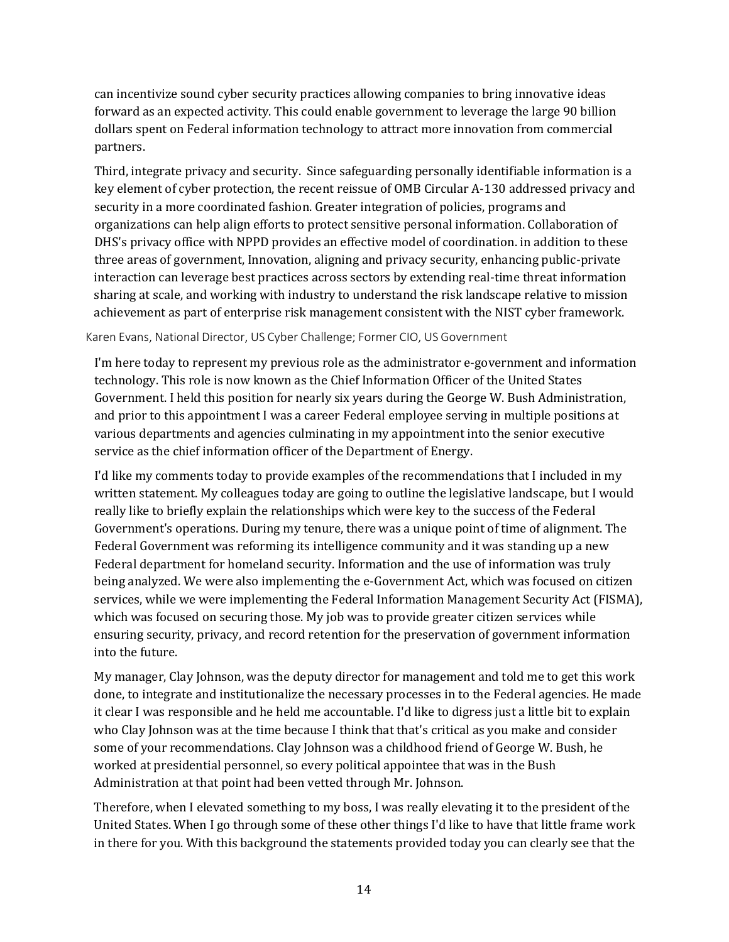can incentivize sound cyber security practices allowing companies to bring innovative ideas forward as an expected activity. This could enable government to leverage the large 90 billion dollars spent on Federal information technology to attract more innovation from commercial partners.

Third, integrate privacy and security. Since safeguarding personally identifiable information is a key element of cyber protection, the recent reissue of OMB Circular A-130 addressed privacy and security in a more coordinated fashion. Greater integration of policies, programs and organizations can help align efforts to protect sensitive personal information. Collaboration of DHS's privacy office with NPPD provides an effective model of coordination. in addition to these three areas of government, Innovation, aligning and privacy security, enhancing public-private interaction can leverage best practices across sectors by extending real-time threat information sharing at scale, and working with industry to understand the risk landscape relative to mission achievement as part of enterprise risk management consistent with the NIST cyber framework.

#### Karen Evans, National Director, US Cyber Challenge; Former CIO, US Government

I'm here today to represent my previous role as the administrator e-government and information technology. This role is now known as the Chief Information Officer of the United States Government. I held this position for nearly six years during the George W. Bush Administration, and prior to this appointment I was a career Federal employee serving in multiple positions at various departments and agencies culminating in my appointment into the senior executive service as the chief information officer of the Department of Energy.

I'd like my comments today to provide examples of the recommendations that I included in my written statement. My colleagues today are going to outline the legislative landscape, but I would really like to briefly explain the relationships which were key to the success of the Federal Government's operations. During my tenure, there was a unique point of time of alignment. The Federal Government was reforming its intelligence community and it was standing up a new Federal department for homeland security. Information and the use of information was truly being analyzed. We were also implementing the e-Government Act, which was focused on citizen services, while we were implementing the Federal Information Management Security Act (FISMA), which was focused on securing those. My job was to provide greater citizen services while ensuring security, privacy, and record retention for the preservation of government information into the future.

My manager, Clay Johnson, was the deputy director for management and told me to get this work done, to integrate and institutionalize the necessary processes in to the Federal agencies. He made it clear I was responsible and he held me accountable. I'd like to digress just a little bit to explain who Clay Johnson was at the time because I think that that's critical as you make and consider some of your recommendations. Clay Johnson was a childhood friend of George W. Bush, he worked at presidential personnel, so every political appointee that was in the Bush Administration at that point had been vetted through Mr. Johnson.

Therefore, when I elevated something to my boss, I was really elevating it to the president of the United States. When I go through some of these other things I'd like to have that little frame work in there for you. With this background the statements provided today you can clearly see that the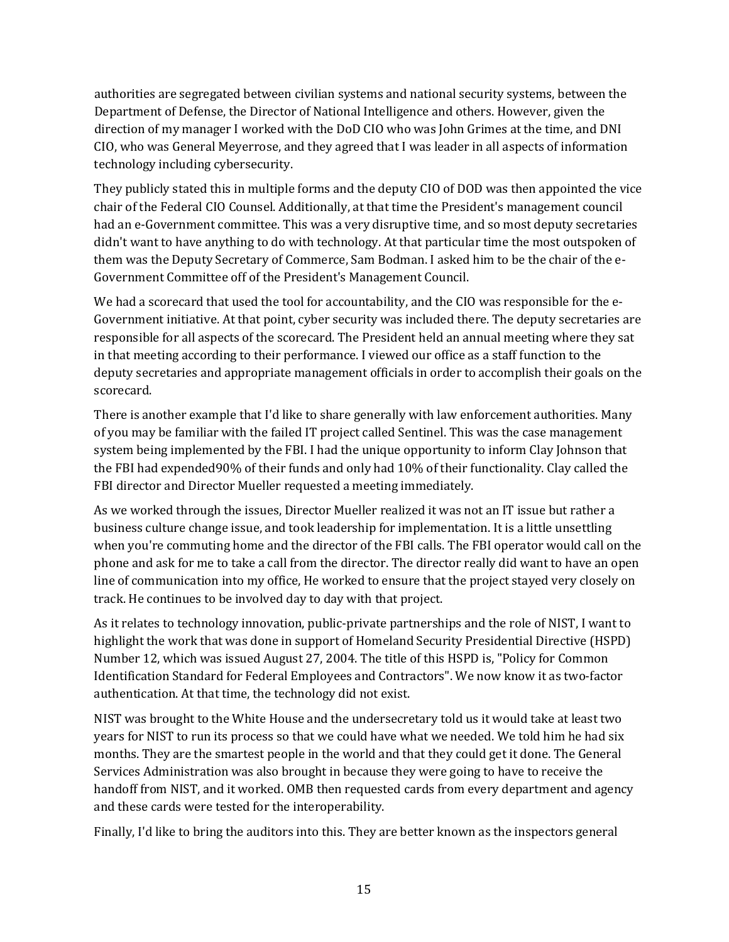authorities are segregated between civilian systems and national security systems, between the Department of Defense, the Director of National Intelligence and others. However, given the direction of my manager I worked with the DoD CIO who was John Grimes at the time, and DNI CIO, who was General Meyerrose, and they agreed that I was leader in all aspects of information technology including cybersecurity.

They publicly stated this in multiple forms and the deputy CIO of DOD was then appointed the vice chair of the Federal CIO Counsel. Additionally, at that time the President's management council had an e-Government committee. This was a very disruptive time, and so most deputy secretaries didn't want to have anything to do with technology. At that particular time the most outspoken of them was the Deputy Secretary of Commerce, Sam Bodman. I asked him to be the chair of the e-Government Committee off of the President's Management Council.

We had a scorecard that used the tool for accountability, and the CIO was responsible for the e-Government initiative. At that point, cyber security was included there. The deputy secretaries are responsible for all aspects of the scorecard. The President held an annual meeting where they sat in that meeting according to their performance. I viewed our office as a staff function to the deputy secretaries and appropriate management officials in order to accomplish their goals on the scorecard.

There is another example that I'd like to share generally with law enforcement authorities. Many of you may be familiar with the failed IT project called Sentinel. This was the case management system being implemented by the FBI. I had the unique opportunity to inform Clay Johnson that the FBI had expended90% of their funds and only had 10% of their functionality. Clay called the FBI director and Director Mueller requested a meeting immediately.

As we worked through the issues, Director Mueller realized it was not an IT issue but rather a business culture change issue, and took leadership for implementation. It is a little unsettling when you're commuting home and the director of the FBI calls. The FBI operator would call on the phone and ask for me to take a call from the director. The director really did want to have an open line of communication into my office, He worked to ensure that the project stayed very closely on track. He continues to be involved day to day with that project.

As it relates to technology innovation, public-private partnerships and the role of NIST, I want to highlight the work that was done in support of Homeland Security Presidential Directive (HSPD) Number 12, which was issued August 27, 2004. The title of this HSPD is, "Policy for Common Identification Standard for Federal Employees and Contractors". We now know it as two-factor authentication. At that time, the technology did not exist.

NIST was brought to the White House and the undersecretary told us it would take at least two years for NIST to run its process so that we could have what we needed. We told him he had six months. They are the smartest people in the world and that they could get it done. The General Services Administration was also brought in because they were going to have to receive the handoff from NIST, and it worked. OMB then requested cards from every department and agency and these cards were tested for the interoperability.

Finally, I'd like to bring the auditors into this. They are better known as the inspectors general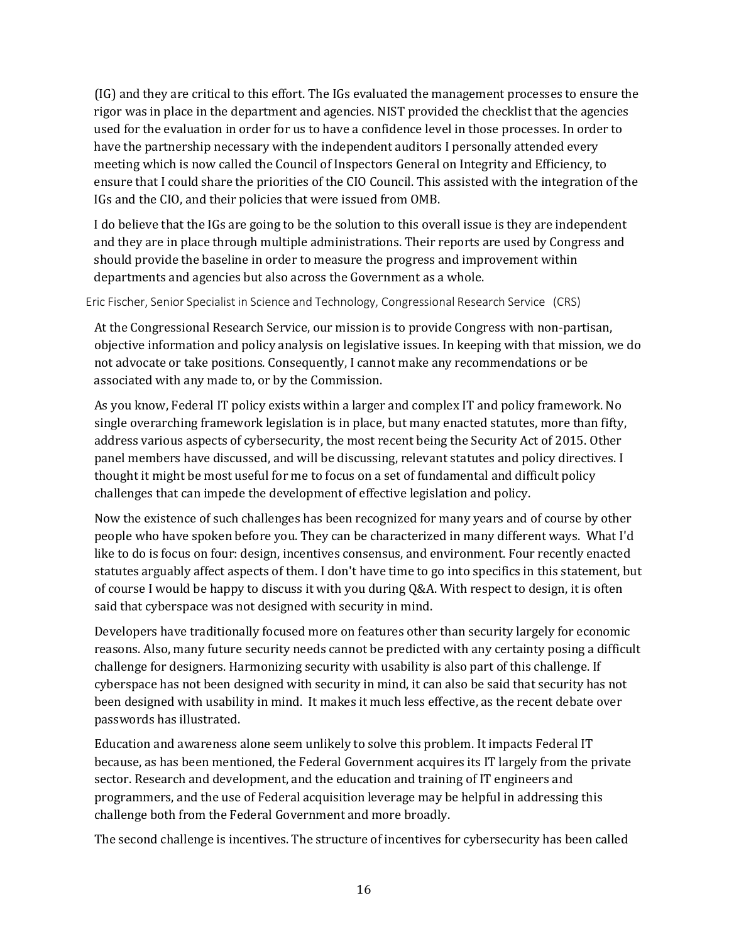(IG) and they are critical to this effort. The IGs evaluated the management processes to ensure the rigor was in place in the department and agencies. NIST provided the checklist that the agencies used for the evaluation in order for us to have a confidence level in those processes. In order to have the partnership necessary with the independent auditors I personally attended every meeting which is now called the Council of Inspectors General on Integrity and Efficiency, to ensure that I could share the priorities of the CIO Council. This assisted with the integration of the IGs and the CIO, and their policies that were issued from OMB.

I do believe that the IGs are going to be the solution to this overall issue is they are independent and they are in place through multiple administrations. Their reports are used by Congress and should provide the baseline in order to measure the progress and improvement within departments and agencies but also across the Government as a whole.

Eric Fischer, Senior Specialist in Science and Technology, Congressional Research Service (CRS)

At the Congressional Research Service, our mission is to provide Congress with non-partisan, objective information and policy analysis on legislative issues. In keeping with that mission, we do not advocate or take positions. Consequently, I cannot make any recommendations or be associated with any made to, or by the Commission.

As you know, Federal IT policy exists within a larger and complex IT and policy framework. No single overarching framework legislation is in place, but many enacted statutes, more than fifty, address various aspects of cybersecurity, the most recent being the Security Act of 2015. Other panel members have discussed, and will be discussing, relevant statutes and policy directives. I thought it might be most useful for me to focus on a set of fundamental and difficult policy challenges that can impede the development of effective legislation and policy.

Now the existence of such challenges has been recognized for many years and of course by other people who have spoken before you. They can be characterized in many different ways. What I'd like to do is focus on four: design, incentives consensus, and environment. Four recently enacted statutes arguably affect aspects of them. I don't have time to go into specifics in this statement, but of course I would be happy to discuss it with you during Q&A. With respect to design, it is often said that cyberspace was not designed with security in mind.

Developers have traditionally focused more on features other than security largely for economic reasons. Also, many future security needs cannot be predicted with any certainty posing a difficult challenge for designers. Harmonizing security with usability is also part of this challenge. If cyberspace has not been designed with security in mind, it can also be said that security has not been designed with usability in mind. It makes it much less effective, as the recent debate over passwords has illustrated.

Education and awareness alone seem unlikely to solve this problem. It impacts Federal IT because, as has been mentioned, the Federal Government acquires its IT largely from the private sector. Research and development, and the education and training of IT engineers and programmers, and the use of Federal acquisition leverage may be helpful in addressing this challenge both from the Federal Government and more broadly.

The second challenge is incentives. The structure of incentives for cybersecurity has been called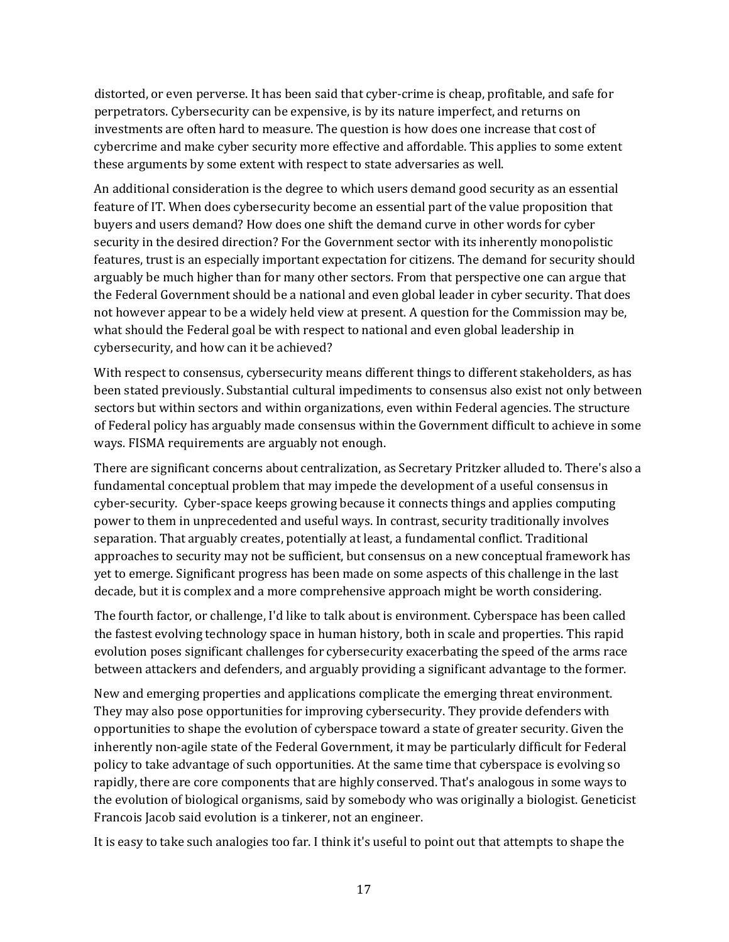distorted, or even perverse. It has been said that cyber-crime is cheap, profitable, and safe for perpetrators. Cybersecurity can be expensive, is by its nature imperfect, and returns on investments are often hard to measure. The question is how does one increase that cost of cybercrime and make cyber security more effective and affordable. This applies to some extent these arguments by some extent with respect to state adversaries as well.

An additional consideration is the degree to which users demand good security as an essential feature of IT. When does cybersecurity become an essential part of the value proposition that buyers and users demand? How does one shift the demand curve in other words for cyber security in the desired direction? For the Government sector with its inherently monopolistic features, trust is an especially important expectation for citizens. The demand for security should arguably be much higher than for many other sectors. From that perspective one can argue that the Federal Government should be a national and even global leader in cyber security. That does not however appear to be a widely held view at present. A question for the Commission may be, what should the Federal goal be with respect to national and even global leadership in cybersecurity, and how can it be achieved?

With respect to consensus, cybersecurity means different things to different stakeholders, as has been stated previously. Substantial cultural impediments to consensus also exist not only between sectors but within sectors and within organizations, even within Federal agencies. The structure of Federal policy has arguably made consensus within the Government difficult to achieve in some ways. FISMA requirements are arguably not enough.

There are significant concerns about centralization, as Secretary Pritzker alluded to. There's also a fundamental conceptual problem that may impede the development of a useful consensus in cyber-security. Cyber-space keeps growing because it connects things and applies computing power to them in unprecedented and useful ways. In contrast, security traditionally involves separation. That arguably creates, potentially at least, a fundamental conflict. Traditional approaches to security may not be sufficient, but consensus on a new conceptual framework has yet to emerge. Significant progress has been made on some aspects of this challenge in the last decade, but it is complex and a more comprehensive approach might be worth considering.

The fourth factor, or challenge, I'd like to talk about is environment. Cyberspace has been called the fastest evolving technology space in human history, both in scale and properties. This rapid evolution poses significant challenges for cybersecurity exacerbating the speed of the arms race between attackers and defenders, and arguably providing a significant advantage to the former.

New and emerging properties and applications complicate the emerging threat environment. They may also pose opportunities for improving cybersecurity. They provide defenders with opportunities to shape the evolution of cyberspace toward a state of greater security. Given the inherently non-agile state of the Federal Government, it may be particularly difficult for Federal policy to take advantage of such opportunities. At the same time that cyberspace is evolving so rapidly, there are core components that are highly conserved. That's analogous in some ways to the evolution of biological organisms, said by somebody who was originally a biologist. Geneticist Francois Jacob said evolution is a tinkerer, not an engineer.

It is easy to take such analogies too far. I think it's useful to point out that attempts to shape the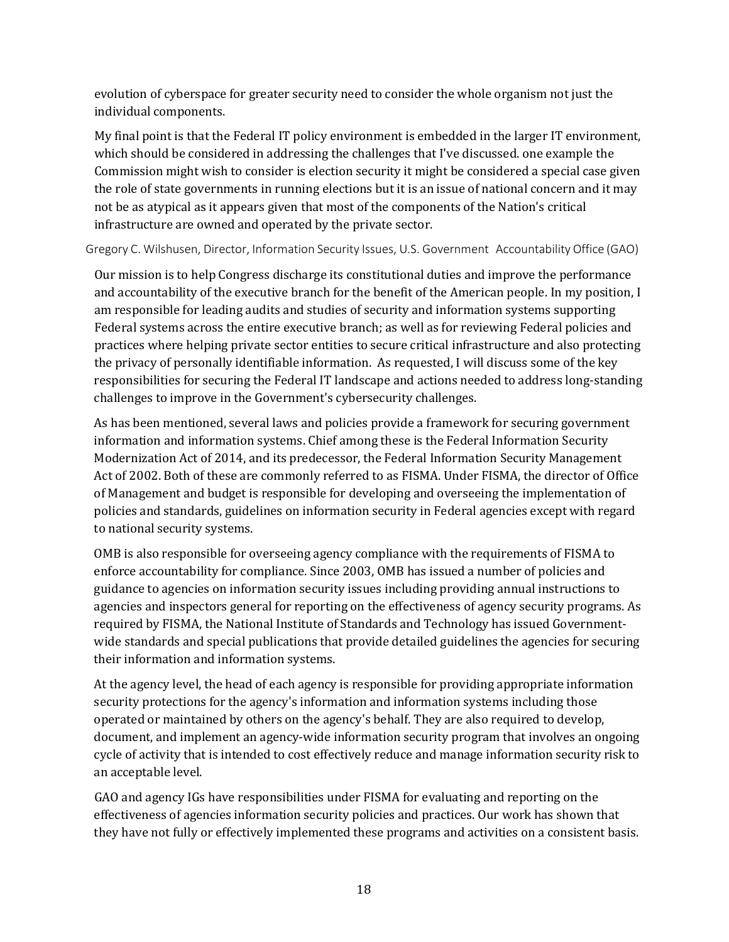evolution of cyberspace for greater security need to consider the whole organism not just the individual components.

My final point is that the Federal IT policy environment is embedded in the larger IT environment, which should be considered in addressing the challenges that I've discussed. one example the Commission might wish to consider is election security it might be considered a special case given the role of state governments in running elections but it is an issue of national concern and it may not be as atypical as it appears given that most of the components of the Nation's critical infrastructure are owned and operated by the private sector.

Gregory C. Wilshusen, Director, Information Security Issues, U.S. Government Accountability Office (GAO)

Our mission is to help Congress discharge its constitutional duties and improve the performance and accountability of the executive branch for the benefit of the American people. In my position, I am responsible for leading audits and studies of security and information systems supporting Federal systems across the entire executive branch; as well as for reviewing Federal policies and practices where helping private sector entities to secure critical infrastructure and also protecting the privacy of personally identifiable information. As requested, I will discuss some of the key responsibilities for securing the Federal IT landscape and actions needed to address long-standing challenges to improve in the Government's cybersecurity challenges.

As has been mentioned, several laws and policies provide a framework for securing government information and information systems. Chief among these is the Federal Information Security Modernization Act of 2014, and its predecessor, the Federal Information Security Management Act of 2002. Both of these are commonly referred to as FISMA. Under FISMA, the director of Office of Management and budget is responsible for developing and overseeing the implementation of policies and standards, guidelines on information security in Federal agencies except with regard to national security systems.

OMB is also responsible for overseeing agency compliance with the requirements of FISMA to enforce accountability for compliance. Since 2003, OMB has issued a number of policies and guidance to agencies on information security issues including providing annual instructions to agencies and inspectors general for reporting on the effectiveness of agency security programs. As required by FISMA, the National Institute of Standards and Technology has issued Governmentwide standards and special publications that provide detailed guidelines the agencies for securing their information and information systems.

At the agency level, the head of each agency is responsible for providing appropriate information security protections for the agency's information and information systems including those operated or maintained by others on the agency's behalf. They are also required to develop, document, and implement an agency-wide information security program that involves an ongoing cycle of activity that is intended to cost effectively reduce and manage information security risk to an acceptable level.

GAO and agency IGs have responsibilities under FISMA for evaluating and reporting on the effectiveness of agencies information security policies and practices. Our work has shown that they have not fully or effectively implemented these programs and activities on a consistent basis.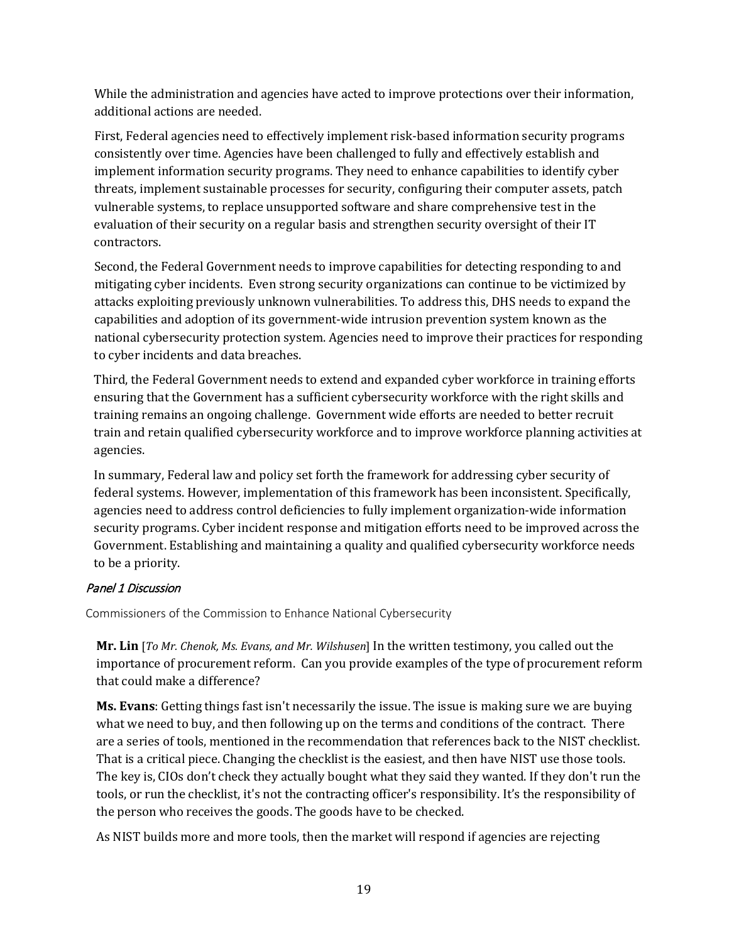While the administration and agencies have acted to improve protections over their information, additional actions are needed.

First, Federal agencies need to effectively implement risk-based information security programs consistently over time. Agencies have been challenged to fully and effectively establish and implement information security programs. They need to enhance capabilities to identify cyber threats, implement sustainable processes for security, configuring their computer assets, patch vulnerable systems, to replace unsupported software and share comprehensive test in the evaluation of their security on a regular basis and strengthen security oversight of their IT contractors.

Second, the Federal Government needs to improve capabilities for detecting responding to and mitigating cyber incidents. Even strong security organizations can continue to be victimized by attacks exploiting previously unknown vulnerabilities. To address this, DHS needs to expand the capabilities and adoption of its government-wide intrusion prevention system known as the national cybersecurity protection system. Agencies need to improve their practices for responding to cyber incidents and data breaches.

Third, the Federal Government needs to extend and expanded cyber workforce in training efforts ensuring that the Government has a sufficient cybersecurity workforce with the right skills and training remains an ongoing challenge. Government wide efforts are needed to better recruit train and retain qualified cybersecurity workforce and to improve workforce planning activities at agencies.

In summary, Federal law and policy set forth the framework for addressing cyber security of federal systems. However, implementation of this framework has been inconsistent. Specifically, agencies need to address control deficiencies to fully implement organization-wide information security programs. Cyber incident response and mitigation efforts need to be improved across the Government. Establishing and maintaining a quality and qualified cybersecurity workforce needs to be a priority.

# Panel 1 Discussion

Commissioners of the Commission to Enhance National Cybersecurity

**Mr. Lin** [*To Mr. Chenok, Ms. Evans, and Mr. Wilshusen*] In the written testimony, you called out the importance of procurement reform. Can you provide examples of the type of procurement reform that could make a difference?

**Ms. Evans**: Getting things fast isn't necessarily the issue. The issue is making sure we are buying what we need to buy, and then following up on the terms and conditions of the contract. There are a series of tools, mentioned in the recommendation that references back to the NIST checklist. That is a critical piece. Changing the checklist is the easiest, and then have NIST use those tools. The key is, CIOs don't check they actually bought what they said they wanted. If they don't run the tools, or run the checklist, it's not the contracting officer's responsibility. It's the responsibility of the person who receives the goods. The goods have to be checked.

As NIST builds more and more tools, then the market will respond if agencies are rejecting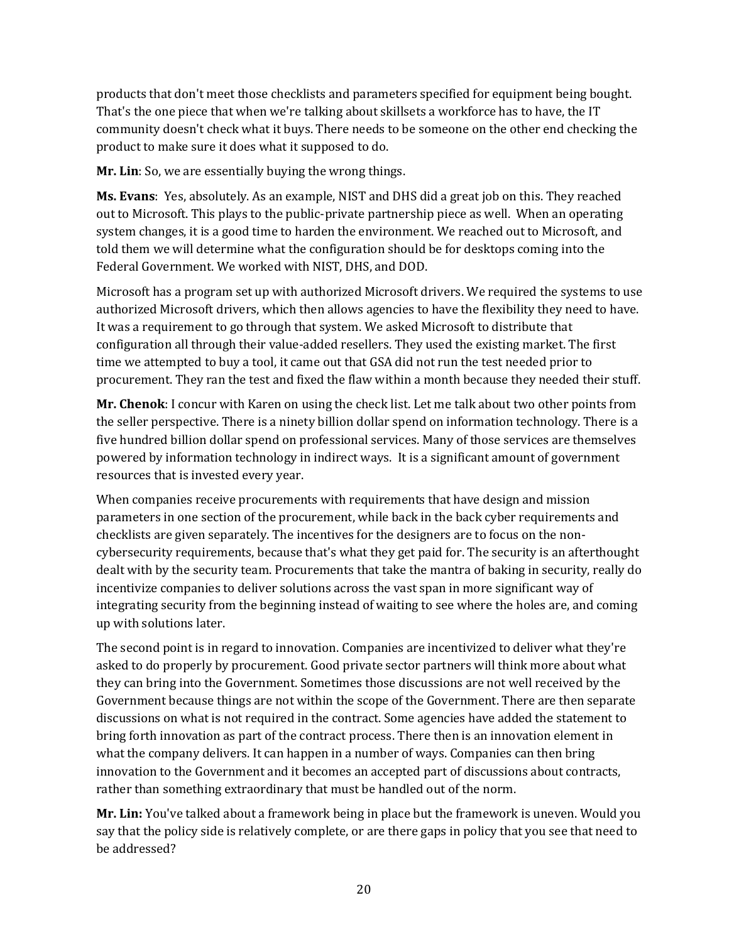products that don't meet those checklists and parameters specified for equipment being bought. That's the one piece that when we're talking about skillsets a workforce has to have, the IT community doesn't check what it buys. There needs to be someone on the other end checking the product to make sure it does what it supposed to do.

**Mr. Lin**: So, we are essentially buying the wrong things.

**Ms. Evans**: Yes, absolutely. As an example, NIST and DHS did a great job on this. They reached out to Microsoft. This plays to the public-private partnership piece as well. When an operating system changes, it is a good time to harden the environment. We reached out to Microsoft, and told them we will determine what the configuration should be for desktops coming into the Federal Government. We worked with NIST, DHS, and DOD.

Microsoft has a program set up with authorized Microsoft drivers. We required the systems to use authorized Microsoft drivers, which then allows agencies to have the flexibility they need to have. It was a requirement to go through that system. We asked Microsoft to distribute that configuration all through their value-added resellers. They used the existing market. The first time we attempted to buy a tool, it came out that GSA did not run the test needed prior to procurement. They ran the test and fixed the flaw within a month because they needed their stuff.

**Mr. Chenok**: I concur with Karen on using the check list. Let me talk about two other points from the seller perspective. There is a ninety billion dollar spend on information technology. There is a five hundred billion dollar spend on professional services. Many of those services are themselves powered by information technology in indirect ways. It is a significant amount of government resources that is invested every year.

When companies receive procurements with requirements that have design and mission parameters in one section of the procurement, while back in the back cyber requirements and checklists are given separately. The incentives for the designers are to focus on the noncybersecurity requirements, because that's what they get paid for. The security is an afterthought dealt with by the security team. Procurements that take the mantra of baking in security, really do incentivize companies to deliver solutions across the vast span in more significant way of integrating security from the beginning instead of waiting to see where the holes are, and coming up with solutions later.

The second point is in regard to innovation. Companies are incentivized to deliver what they're asked to do properly by procurement. Good private sector partners will think more about what they can bring into the Government. Sometimes those discussions are not well received by the Government because things are not within the scope of the Government. There are then separate discussions on what is not required in the contract. Some agencies have added the statement to bring forth innovation as part of the contract process. There then is an innovation element in what the company delivers. It can happen in a number of ways. Companies can then bring innovation to the Government and it becomes an accepted part of discussions about contracts, rather than something extraordinary that must be handled out of the norm.

**Mr. Lin:** You've talked about a framework being in place but the framework is uneven. Would you say that the policy side is relatively complete, or are there gaps in policy that you see that need to be addressed?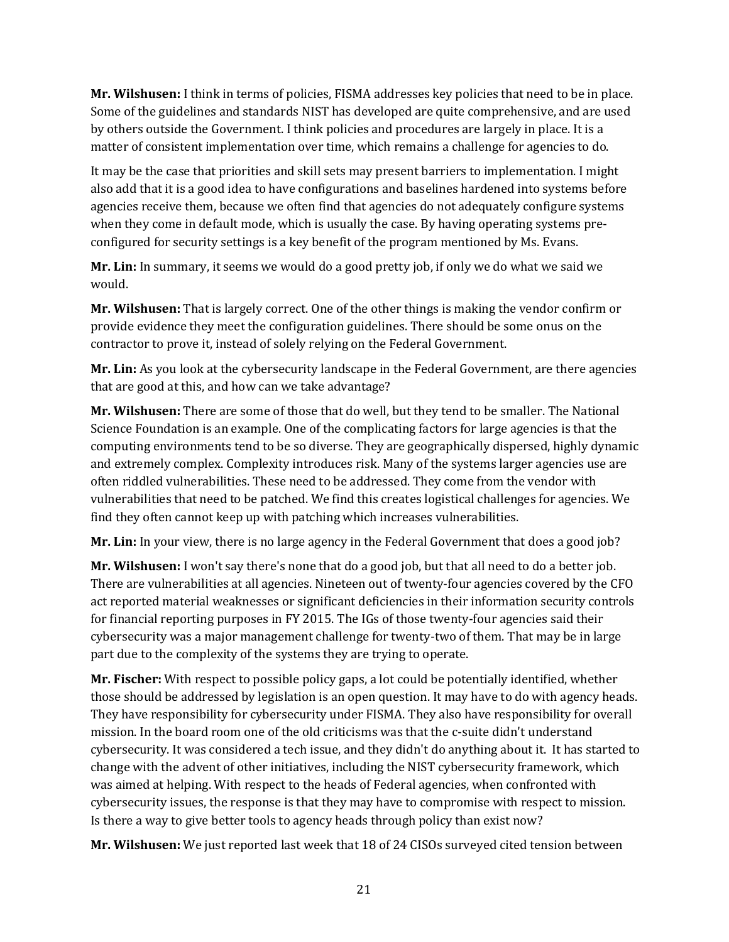**Mr. Wilshusen:** I think in terms of policies, FISMA addresses key policies that need to be in place. Some of the guidelines and standards NIST has developed are quite comprehensive, and are used by others outside the Government. I think policies and procedures are largely in place. It is a matter of consistent implementation over time, which remains a challenge for agencies to do.

It may be the case that priorities and skill sets may present barriers to implementation. I might also add that it is a good idea to have configurations and baselines hardened into systems before agencies receive them, because we often find that agencies do not adequately configure systems when they come in default mode, which is usually the case. By having operating systems preconfigured for security settings is a key benefit of the program mentioned by Ms. Evans.

**Mr. Lin:** In summary, it seems we would do a good pretty job, if only we do what we said we would.

**Mr. Wilshusen:** That is largely correct. One of the other things is making the vendor confirm or provide evidence they meet the configuration guidelines. There should be some onus on the contractor to prove it, instead of solely relying on the Federal Government.

**Mr. Lin:** As you look at the cybersecurity landscape in the Federal Government, are there agencies that are good at this, and how can we take advantage?

**Mr. Wilshusen:** There are some of those that do well, but they tend to be smaller. The National Science Foundation is an example. One of the complicating factors for large agencies is that the computing environments tend to be so diverse. They are geographically dispersed, highly dynamic and extremely complex. Complexity introduces risk. Many of the systems larger agencies use are often riddled vulnerabilities. These need to be addressed. They come from the vendor with vulnerabilities that need to be patched. We find this creates logistical challenges for agencies. We find they often cannot keep up with patching which increases vulnerabilities.

**Mr. Lin:** In your view, there is no large agency in the Federal Government that does a good job?

**Mr. Wilshusen:** I won't say there's none that do a good job, but that all need to do a better job. There are vulnerabilities at all agencies. Nineteen out of twenty-four agencies covered by the CFO act reported material weaknesses or significant deficiencies in their information security controls for financial reporting purposes in FY 2015. The IGs of those twenty-four agencies said their cybersecurity was a major management challenge for twenty-two of them. That may be in large part due to the complexity of the systems they are trying to operate.

**Mr. Fischer:** With respect to possible policy gaps, a lot could be potentially identified, whether those should be addressed by legislation is an open question. It may have to do with agency heads. They have responsibility for cybersecurity under FISMA. They also have responsibility for overall mission. In the board room one of the old criticisms was that the c-suite didn't understand cybersecurity. It was considered a tech issue, and they didn't do anything about it. It has started to change with the advent of other initiatives, including the NIST cybersecurity framework, which was aimed at helping. With respect to the heads of Federal agencies, when confronted with cybersecurity issues, the response is that they may have to compromise with respect to mission. Is there a way to give better tools to agency heads through policy than exist now?

**Mr. Wilshusen:** We just reported last week that 18 of 24 CISOs surveyed cited tension between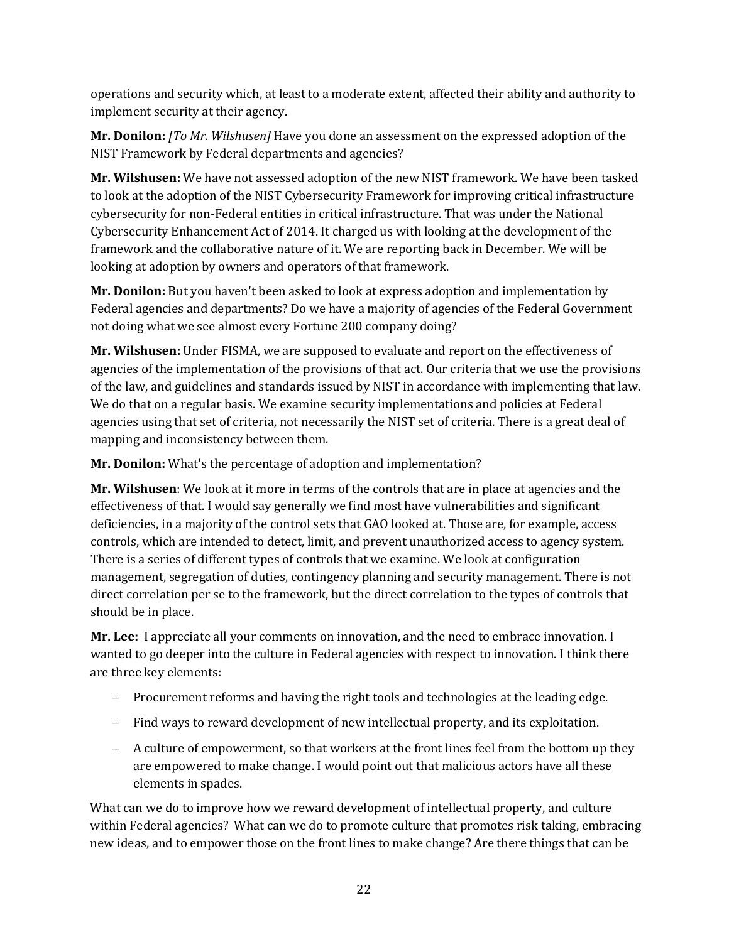operations and security which, at least to a moderate extent, affected their ability and authority to implement security at their agency.

**Mr. Donilon:** *[To Mr. Wilshusen]* Have you done an assessment on the expressed adoption of the NIST Framework by Federal departments and agencies?

**Mr. Wilshusen:** We have not assessed adoption of the new NIST framework. We have been tasked to look at the adoption of the NIST Cybersecurity Framework for improving critical infrastructure cybersecurity for non-Federal entities in critical infrastructure. That was under the National Cybersecurity Enhancement Act of 2014. It charged us with looking at the development of the framework and the collaborative nature of it. We are reporting back in December. We will be looking at adoption by owners and operators of that framework.

**Mr. Donilon:** But you haven't been asked to look at express adoption and implementation by Federal agencies and departments? Do we have a majority of agencies of the Federal Government not doing what we see almost every Fortune 200 company doing?

**Mr. Wilshusen:** Under FISMA, we are supposed to evaluate and report on the effectiveness of agencies of the implementation of the provisions of that act. Our criteria that we use the provisions of the law, and guidelines and standards issued by NIST in accordance with implementing that law. We do that on a regular basis. We examine security implementations and policies at Federal agencies using that set of criteria, not necessarily the NIST set of criteria. There is a great deal of mapping and inconsistency between them.

**Mr. Donilon:** What's the percentage of adoption and implementation?

**Mr. Wilshusen**: We look at it more in terms of the controls that are in place at agencies and the effectiveness of that. I would say generally we find most have vulnerabilities and significant deficiencies, in a majority of the control sets that GAO looked at. Those are, for example, access controls, which are intended to detect, limit, and prevent unauthorized access to agency system. There is a series of different types of controls that we examine. We look at configuration management, segregation of duties, contingency planning and security management. There is not direct correlation per se to the framework, but the direct correlation to the types of controls that should be in place.

**Mr. Lee:** I appreciate all your comments on innovation, and the need to embrace innovation. I wanted to go deeper into the culture in Federal agencies with respect to innovation. I think there are three key elements:

- − Procurement reforms and having the right tools and technologies at the leading edge.
- − Find ways to reward development of new intellectual property, and its exploitation.
- − A culture of empowerment, so that workers at the front lines feel from the bottom up they are empowered to make change. I would point out that malicious actors have all these elements in spades.

What can we do to improve how we reward development of intellectual property, and culture within Federal agencies? What can we do to promote culture that promotes risk taking, embracing new ideas, and to empower those on the front lines to make change? Are there things that can be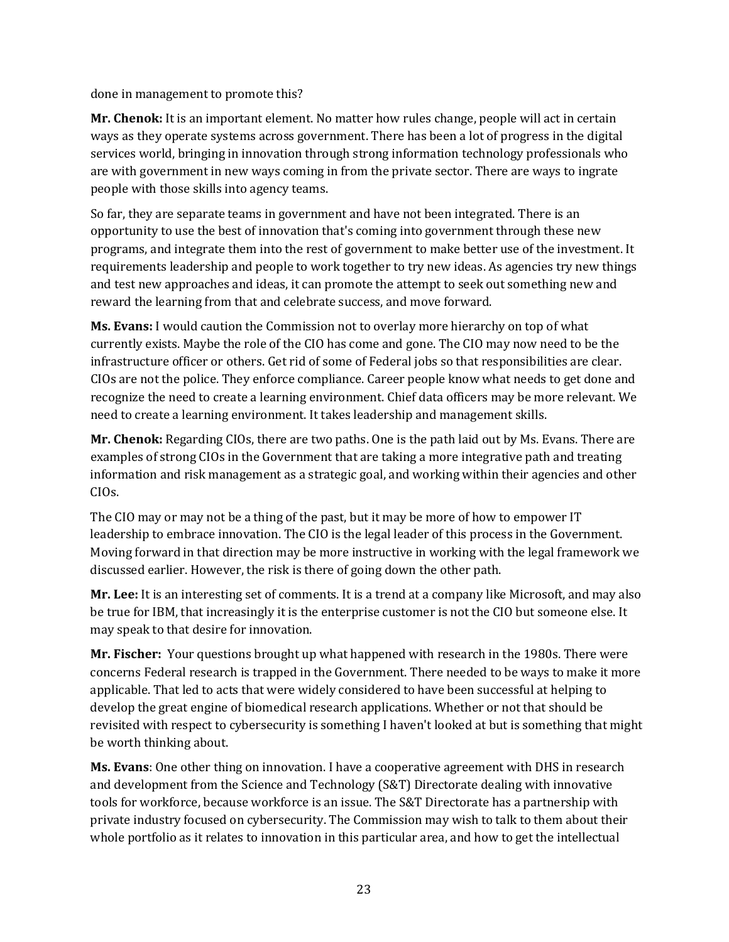done in management to promote this?

**Mr. Chenok:** It is an important element. No matter how rules change, people will act in certain ways as they operate systems across government. There has been a lot of progress in the digital services world, bringing in innovation through strong information technology professionals who are with government in new ways coming in from the private sector. There are ways to ingrate people with those skills into agency teams.

So far, they are separate teams in government and have not been integrated. There is an opportunity to use the best of innovation that's coming into government through these new programs, and integrate them into the rest of government to make better use of the investment. It requirements leadership and people to work together to try new ideas. As agencies try new things and test new approaches and ideas, it can promote the attempt to seek out something new and reward the learning from that and celebrate success, and move forward.

**Ms. Evans:** I would caution the Commission not to overlay more hierarchy on top of what currently exists. Maybe the role of the CIO has come and gone. The CIO may now need to be the infrastructure officer or others. Get rid of some of Federal jobs so that responsibilities are clear. CIOs are not the police. They enforce compliance. Career people know what needs to get done and recognize the need to create a learning environment. Chief data officers may be more relevant. We need to create a learning environment. It takes leadership and management skills.

**Mr. Chenok:** Regarding CIOs, there are two paths. One is the path laid out by Ms. Evans. There are examples of strong CIOs in the Government that are taking a more integrative path and treating information and risk management as a strategic goal, and working within their agencies and other CIOs.

The CIO may or may not be a thing of the past, but it may be more of how to empower IT leadership to embrace innovation. The CIO is the legal leader of this process in the Government. Moving forward in that direction may be more instructive in working with the legal framework we discussed earlier. However, the risk is there of going down the other path.

**Mr. Lee:** It is an interesting set of comments. It is a trend at a company like Microsoft, and may also be true for IBM, that increasingly it is the enterprise customer is not the CIO but someone else. It may speak to that desire for innovation.

**Mr. Fischer:** Your questions brought up what happened with research in the 1980s. There were concerns Federal research is trapped in the Government. There needed to be ways to make it more applicable. That led to acts that were widely considered to have been successful at helping to develop the great engine of biomedical research applications. Whether or not that should be revisited with respect to cybersecurity is something I haven't looked at but is something that might be worth thinking about.

**Ms. Evans**: One other thing on innovation. I have a cooperative agreement with DHS in research and development from the Science and Technology (S&T) Directorate dealing with innovative tools for workforce, because workforce is an issue. The S&T Directorate has a partnership with private industry focused on cybersecurity. The Commission may wish to talk to them about their whole portfolio as it relates to innovation in this particular area, and how to get the intellectual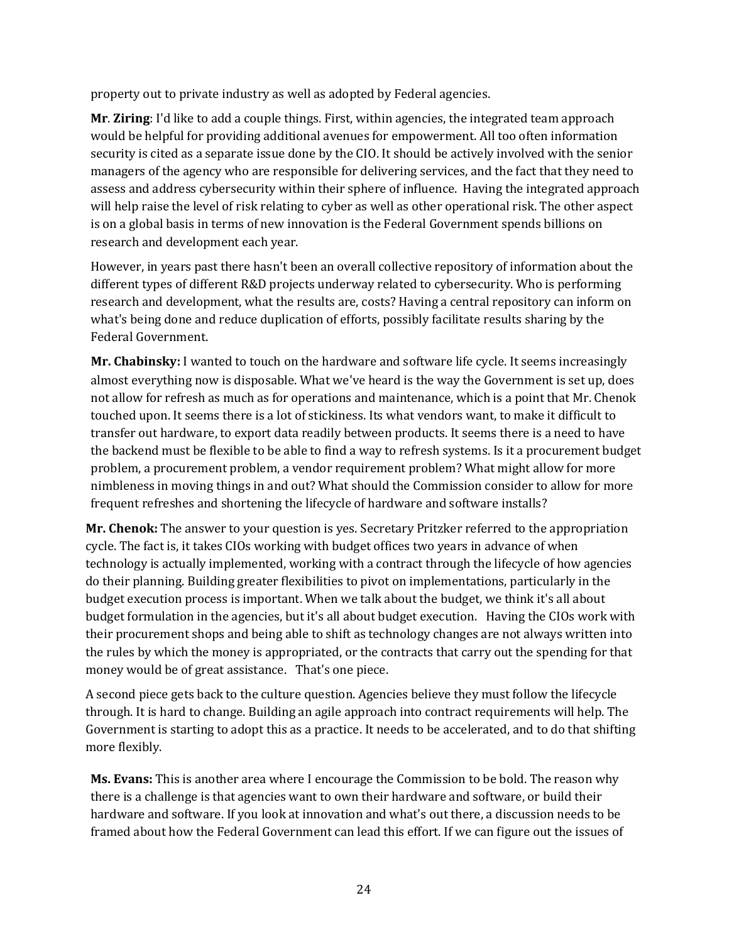property out to private industry as well as adopted by Federal agencies.

**Mr**. **Ziring**: I'd like to add a couple things. First, within agencies, the integrated team approach would be helpful for providing additional avenues for empowerment. All too often information security is cited as a separate issue done by the CIO. It should be actively involved with the senior managers of the agency who are responsible for delivering services, and the fact that they need to assess and address cybersecurity within their sphere of influence. Having the integrated approach will help raise the level of risk relating to cyber as well as other operational risk. The other aspect is on a global basis in terms of new innovation is the Federal Government spends billions on research and development each year.

However, in years past there hasn't been an overall collective repository of information about the different types of different R&D projects underway related to cybersecurity. Who is performing research and development, what the results are, costs? Having a central repository can inform on what's being done and reduce duplication of efforts, possibly facilitate results sharing by the Federal Government.

**Mr. Chabinsky:** I wanted to touch on the hardware and software life cycle. It seems increasingly almost everything now is disposable. What we've heard is the way the Government is set up, does not allow for refresh as much as for operations and maintenance, which is a point that Mr. Chenok touched upon. It seems there is a lot of stickiness. Its what vendors want, to make it difficult to transfer out hardware, to export data readily between products. It seems there is a need to have the backend must be flexible to be able to find a way to refresh systems. Is it a procurement budget problem, a procurement problem, a vendor requirement problem? What might allow for more nimbleness in moving things in and out? What should the Commission consider to allow for more frequent refreshes and shortening the lifecycle of hardware and software installs?

**Mr. Chenok:** The answer to your question is yes. Secretary Pritzker referred to the appropriation cycle. The fact is, it takes CIOs working with budget offices two years in advance of when technology is actually implemented, working with a contract through the lifecycle of how agencies do their planning. Building greater flexibilities to pivot on implementations, particularly in the budget execution process is important. When we talk about the budget, we think it's all about budget formulation in the agencies, but it's all about budget execution. Having the CIOs work with their procurement shops and being able to shift as technology changes are not always written into the rules by which the money is appropriated, or the contracts that carry out the spending for that money would be of great assistance. That's one piece.

A second piece gets back to the culture question. Agencies believe they must follow the lifecycle through. It is hard to change. Building an agile approach into contract requirements will help. The Government is starting to adopt this as a practice. It needs to be accelerated, and to do that shifting more flexibly.

**Ms. Evans:** This is another area where I encourage the Commission to be bold. The reason why there is a challenge is that agencies want to own their hardware and software, or build their hardware and software. If you look at innovation and what's out there, a discussion needs to be framed about how the Federal Government can lead this effort. If we can figure out the issues of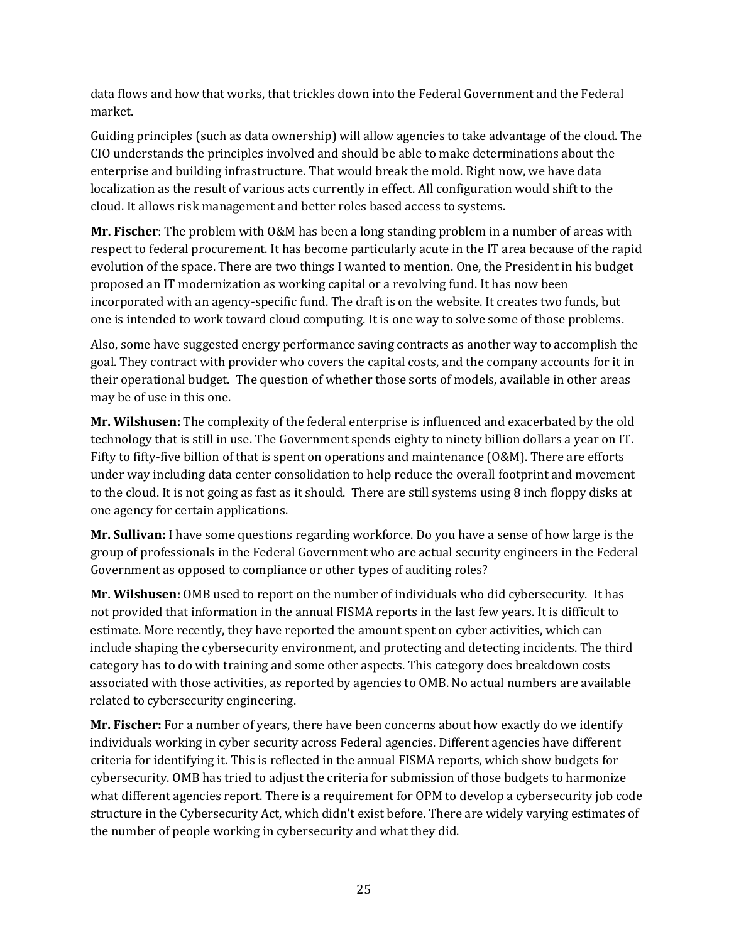data flows and how that works, that trickles down into the Federal Government and the Federal market.

Guiding principles (such as data ownership) will allow agencies to take advantage of the cloud. The CIO understands the principles involved and should be able to make determinations about the enterprise and building infrastructure. That would break the mold. Right now, we have data localization as the result of various acts currently in effect. All configuration would shift to the cloud. It allows risk management and better roles based access to systems.

**Mr. Fischer**: The problem with O&M has been a long standing problem in a number of areas with respect to federal procurement. It has become particularly acute in the IT area because of the rapid evolution of the space. There are two things I wanted to mention. One, the President in his budget proposed an IT modernization as working capital or a revolving fund. It has now been incorporated with an agency-specific fund. The draft is on the website. It creates two funds, but one is intended to work toward cloud computing. It is one way to solve some of those problems.

Also, some have suggested energy performance saving contracts as another way to accomplish the goal. They contract with provider who covers the capital costs, and the company accounts for it in their operational budget. The question of whether those sorts of models, available in other areas may be of use in this one.

**Mr. Wilshusen:** The complexity of the federal enterprise is influenced and exacerbated by the old technology that is still in use. The Government spends eighty to ninety billion dollars a year on IT. Fifty to fifty-five billion of that is spent on operations and maintenance (O&M). There are efforts under way including data center consolidation to help reduce the overall footprint and movement to the cloud. It is not going as fast as it should. There are still systems using 8 inch floppy disks at one agency for certain applications.

**Mr. Sullivan:** I have some questions regarding workforce. Do you have a sense of how large is the group of professionals in the Federal Government who are actual security engineers in the Federal Government as opposed to compliance or other types of auditing roles?

**Mr. Wilshusen:** OMB used to report on the number of individuals who did cybersecurity. It has not provided that information in the annual FISMA reports in the last few years. It is difficult to estimate. More recently, they have reported the amount spent on cyber activities, which can include shaping the cybersecurity environment, and protecting and detecting incidents. The third category has to do with training and some other aspects. This category does breakdown costs associated with those activities, as reported by agencies to OMB. No actual numbers are available related to cybersecurity engineering.

**Mr. Fischer:** For a number of years, there have been concerns about how exactly do we identify individuals working in cyber security across Federal agencies. Different agencies have different criteria for identifying it. This is reflected in the annual FISMA reports, which show budgets for cybersecurity. OMB has tried to adjust the criteria for submission of those budgets to harmonize what different agencies report. There is a requirement for OPM to develop a cybersecurity job code structure in the Cybersecurity Act, which didn't exist before. There are widely varying estimates of the number of people working in cybersecurity and what they did.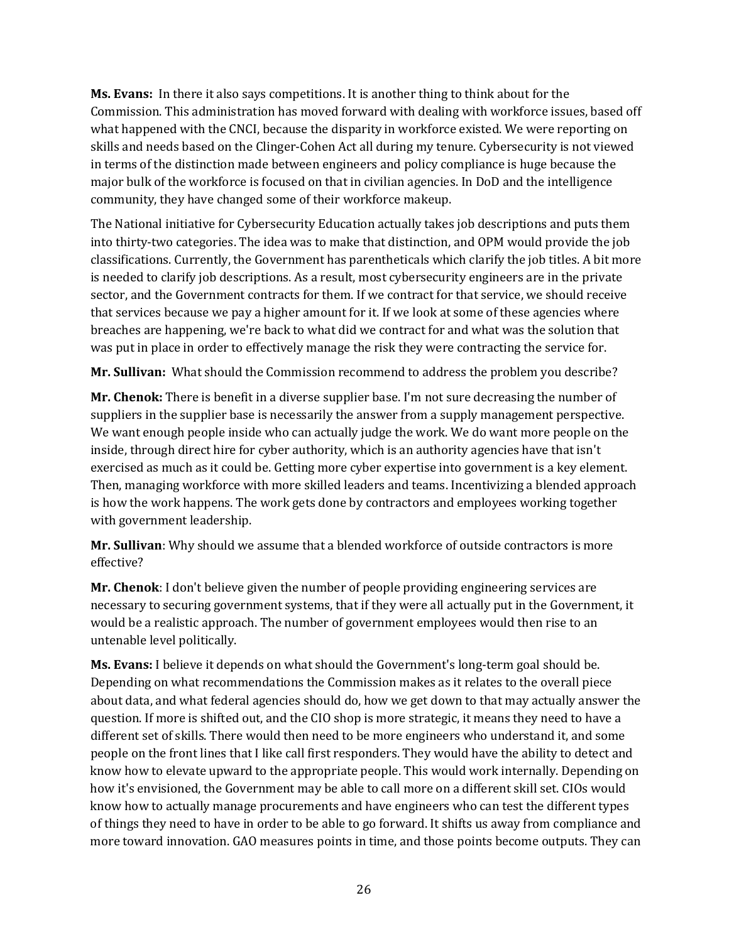**Ms. Evans:** In there it also says competitions. It is another thing to think about for the Commission. This administration has moved forward with dealing with workforce issues, based off what happened with the CNCI, because the disparity in workforce existed. We were reporting on skills and needs based on the Clinger-Cohen Act all during my tenure. Cybersecurity is not viewed in terms of the distinction made between engineers and policy compliance is huge because the major bulk of the workforce is focused on that in civilian agencies. In DoD and the intelligence community, they have changed some of their workforce makeup.

The National initiative for Cybersecurity Education actually takes job descriptions and puts them into thirty-two categories. The idea was to make that distinction, and OPM would provide the job classifications. Currently, the Government has parentheticals which clarify the job titles. A bit more is needed to clarify job descriptions. As a result, most cybersecurity engineers are in the private sector, and the Government contracts for them. If we contract for that service, we should receive that services because we pay a higher amount for it. If we look at some of these agencies where breaches are happening, we're back to what did we contract for and what was the solution that was put in place in order to effectively manage the risk they were contracting the service for.

**Mr. Sullivan:** What should the Commission recommend to address the problem you describe?

**Mr. Chenok:** There is benefit in a diverse supplier base. I'm not sure decreasing the number of suppliers in the supplier base is necessarily the answer from a supply management perspective. We want enough people inside who can actually judge the work. We do want more people on the inside, through direct hire for cyber authority, which is an authority agencies have that isn't exercised as much as it could be. Getting more cyber expertise into government is a key element. Then, managing workforce with more skilled leaders and teams. Incentivizing a blended approach is how the work happens. The work gets done by contractors and employees working together with government leadership.

**Mr. Sullivan**: Why should we assume that a blended workforce of outside contractors is more effective?

**Mr. Chenok**: I don't believe given the number of people providing engineering services are necessary to securing government systems, that if they were all actually put in the Government, it would be a realistic approach. The number of government employees would then rise to an untenable level politically.

**Ms. Evans:** I believe it depends on what should the Government's long-term goal should be. Depending on what recommendations the Commission makes as it relates to the overall piece about data, and what federal agencies should do, how we get down to that may actually answer the question. If more is shifted out, and the CIO shop is more strategic, it means they need to have a different set of skills. There would then need to be more engineers who understand it, and some people on the front lines that I like call first responders. They would have the ability to detect and know how to elevate upward to the appropriate people. This would work internally. Depending on how it's envisioned, the Government may be able to call more on a different skill set. CIOs would know how to actually manage procurements and have engineers who can test the different types of things they need to have in order to be able to go forward. It shifts us away from compliance and more toward innovation. GAO measures points in time, and those points become outputs. They can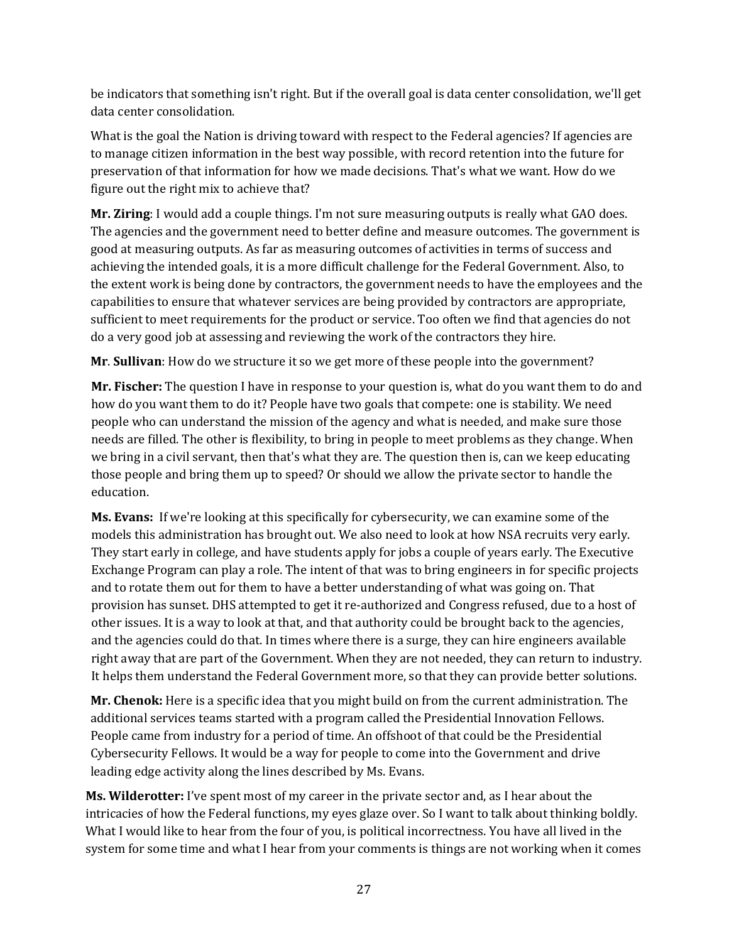be indicators that something isn't right. But if the overall goal is data center consolidation, we'll get data center consolidation.

What is the goal the Nation is driving toward with respect to the Federal agencies? If agencies are to manage citizen information in the best way possible, with record retention into the future for preservation of that information for how we made decisions. That's what we want. How do we figure out the right mix to achieve that?

**Mr. Ziring**: I would add a couple things. I'm not sure measuring outputs is really what GAO does. The agencies and the government need to better define and measure outcomes. The government is good at measuring outputs. As far as measuring outcomes of activities in terms of success and achieving the intended goals, it is a more difficult challenge for the Federal Government. Also, to the extent work is being done by contractors, the government needs to have the employees and the capabilities to ensure that whatever services are being provided by contractors are appropriate, sufficient to meet requirements for the product or service. Too often we find that agencies do not do a very good job at assessing and reviewing the work of the contractors they hire.

**Mr**. **Sullivan**: How do we structure it so we get more of these people into the government?

**Mr. Fischer:** The question I have in response to your question is, what do you want them to do and how do you want them to do it? People have two goals that compete: one is stability. We need people who can understand the mission of the agency and what is needed, and make sure those needs are filled. The other is flexibility, to bring in people to meet problems as they change. When we bring in a civil servant, then that's what they are. The question then is, can we keep educating those people and bring them up to speed? Or should we allow the private sector to handle the education.

**Ms. Evans:** If we're looking at this specifically for cybersecurity, we can examine some of the models this administration has brought out. We also need to look at how NSA recruits very early. They start early in college, and have students apply for jobs a couple of years early. The Executive Exchange Program can play a role. The intent of that was to bring engineers in for specific projects and to rotate them out for them to have a better understanding of what was going on. That provision has sunset. DHS attempted to get it re-authorized and Congress refused, due to a host of other issues. It is a way to look at that, and that authority could be brought back to the agencies, and the agencies could do that. In times where there is a surge, they can hire engineers available right away that are part of the Government. When they are not needed, they can return to industry. It helps them understand the Federal Government more, so that they can provide better solutions.

**Mr. Chenok:** Here is a specific idea that you might build on from the current administration. The additional services teams started with a program called the Presidential Innovation Fellows. People came from industry for a period of time. An offshoot of that could be the Presidential Cybersecurity Fellows. It would be a way for people to come into the Government and drive leading edge activity along the lines described by Ms. Evans.

**Ms. Wilderotter:** I've spent most of my career in the private sector and, as I hear about the intricacies of how the Federal functions, my eyes glaze over. So I want to talk about thinking boldly. What I would like to hear from the four of you, is political incorrectness. You have all lived in the system for some time and what I hear from your comments is things are not working when it comes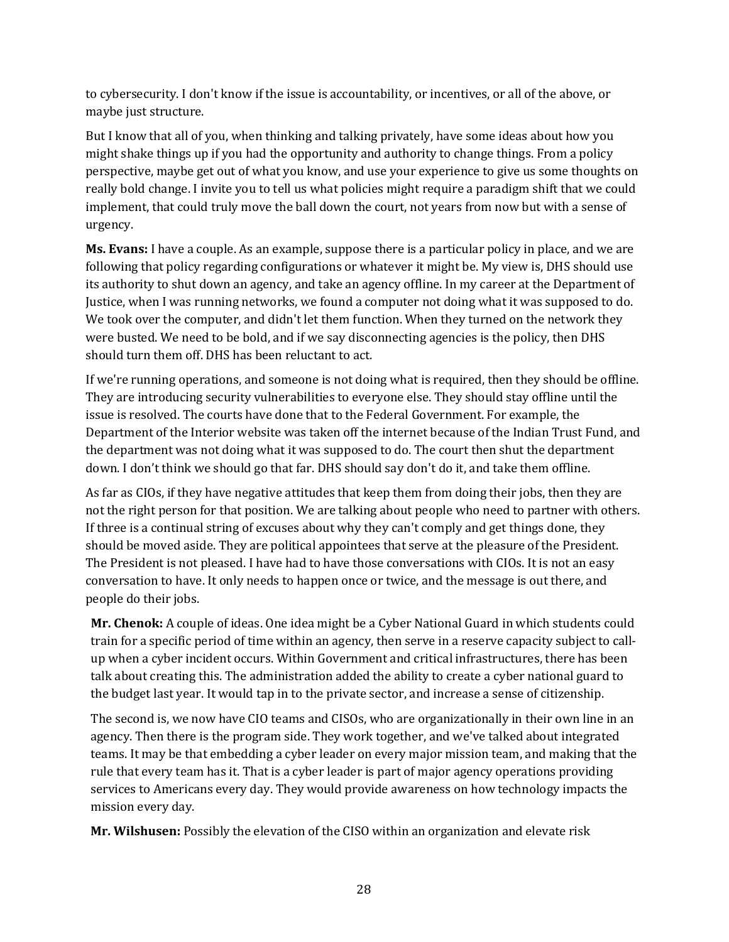to cybersecurity. I don't know if the issue is accountability, or incentives, or all of the above, or maybe just structure.

But I know that all of you, when thinking and talking privately, have some ideas about how you might shake things up if you had the opportunity and authority to change things. From a policy perspective, maybe get out of what you know, and use your experience to give us some thoughts on really bold change. I invite you to tell us what policies might require a paradigm shift that we could implement, that could truly move the ball down the court, not years from now but with a sense of urgency.

**Ms. Evans:** I have a couple. As an example, suppose there is a particular policy in place, and we are following that policy regarding configurations or whatever it might be. My view is, DHS should use its authority to shut down an agency, and take an agency offline. In my career at the Department of Justice, when I was running networks, we found a computer not doing what it was supposed to do. We took over the computer, and didn't let them function. When they turned on the network they were busted. We need to be bold, and if we say disconnecting agencies is the policy, then DHS should turn them off. DHS has been reluctant to act.

If we're running operations, and someone is not doing what is required, then they should be offline. They are introducing security vulnerabilities to everyone else. They should stay offline until the issue is resolved. The courts have done that to the Federal Government. For example, the Department of the Interior website was taken off the internet because of the Indian Trust Fund, and the department was not doing what it was supposed to do. The court then shut the department down. I don't think we should go that far. DHS should say don't do it, and take them offline.

As far as CIOs, if they have negative attitudes that keep them from doing their jobs, then they are not the right person for that position. We are talking about people who need to partner with others. If three is a continual string of excuses about why they can't comply and get things done, they should be moved aside. They are political appointees that serve at the pleasure of the President. The President is not pleased. I have had to have those conversations with CIOs. It is not an easy conversation to have. It only needs to happen once or twice, and the message is out there, and people do their jobs.

**Mr. Chenok:** A couple of ideas. One idea might be a Cyber National Guard in which students could train for a specific period of time within an agency, then serve in a reserve capacity subject to callup when a cyber incident occurs. Within Government and critical infrastructures, there has been talk about creating this. The administration added the ability to create a cyber national guard to the budget last year. It would tap in to the private sector, and increase a sense of citizenship.

The second is, we now have CIO teams and CISOs, who are organizationally in their own line in an agency. Then there is the program side. They work together, and we've talked about integrated teams. It may be that embedding a cyber leader on every major mission team, and making that the rule that every team has it. That is a cyber leader is part of major agency operations providing services to Americans every day. They would provide awareness on how technology impacts the mission every day.

**Mr. Wilshusen:** Possibly the elevation of the CISO within an organization and elevate risk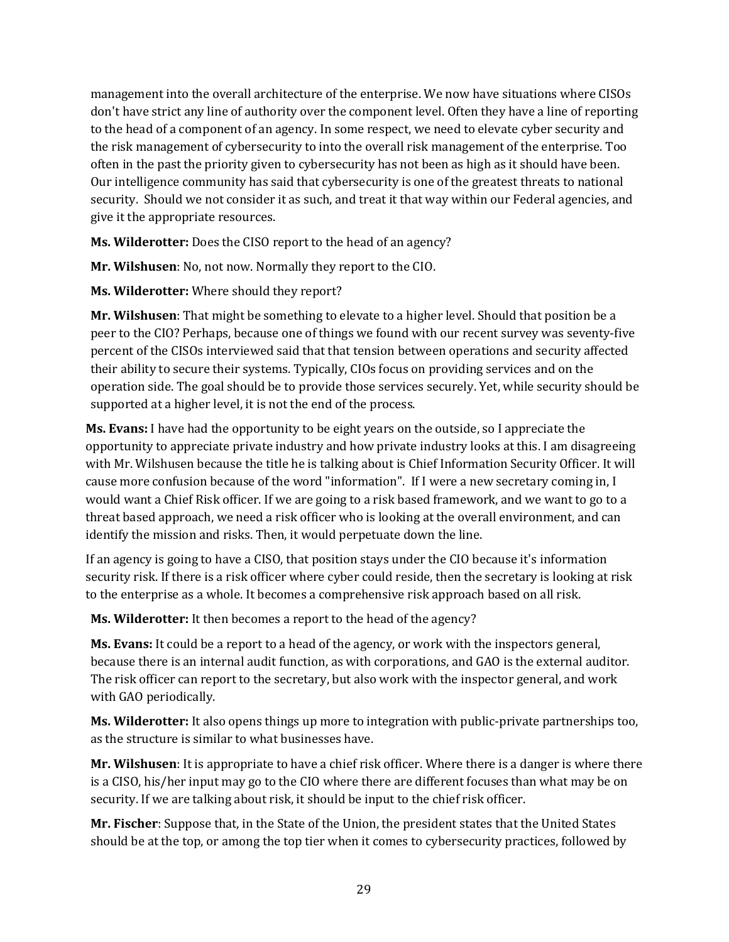management into the overall architecture of the enterprise. We now have situations where CISOs don't have strict any line of authority over the component level. Often they have a line of reporting to the head of a component of an agency. In some respect, we need to elevate cyber security and the risk management of cybersecurity to into the overall risk management of the enterprise. Too often in the past the priority given to cybersecurity has not been as high as it should have been. Our intelligence community has said that cybersecurity is one of the greatest threats to national security. Should we not consider it as such, and treat it that way within our Federal agencies, and give it the appropriate resources.

**Ms. Wilderotter:** Does the CISO report to the head of an agency?

**Mr. Wilshusen**: No, not now. Normally they report to the CIO.

**Ms. Wilderotter:** Where should they report?

**Mr. Wilshusen**: That might be something to elevate to a higher level. Should that position be a peer to the CIO? Perhaps, because one of things we found with our recent survey was seventy-five percent of the CISOs interviewed said that that tension between operations and security affected their ability to secure their systems. Typically, CIOs focus on providing services and on the operation side. The goal should be to provide those services securely. Yet, while security should be supported at a higher level, it is not the end of the process.

**Ms. Evans:** I have had the opportunity to be eight years on the outside, so I appreciate the opportunity to appreciate private industry and how private industry looks at this. I am disagreeing with Mr. Wilshusen because the title he is talking about is Chief Information Security Officer. It will cause more confusion because of the word "information". If I were a new secretary coming in, I would want a Chief Risk officer. If we are going to a risk based framework, and we want to go to a threat based approach, we need a risk officer who is looking at the overall environment, and can identify the mission and risks. Then, it would perpetuate down the line.

If an agency is going to have a CISO, that position stays under the CIO because it's information security risk. If there is a risk officer where cyber could reside, then the secretary is looking at risk to the enterprise as a whole. It becomes a comprehensive risk approach based on all risk.

**Ms. Wilderotter:** It then becomes a report to the head of the agency?

**Ms. Evans:** It could be a report to a head of the agency, or work with the inspectors general, because there is an internal audit function, as with corporations, and GAO is the external auditor. The risk officer can report to the secretary, but also work with the inspector general, and work with GAO periodically.

**Ms. Wilderotter:** It also opens things up more to integration with public-private partnerships too, as the structure is similar to what businesses have.

**Mr. Wilshusen**: It is appropriate to have a chief risk officer. Where there is a danger is where there is a CISO, his/her input may go to the CIO where there are different focuses than what may be on security. If we are talking about risk, it should be input to the chief risk officer.

**Mr. Fischer**: Suppose that, in the State of the Union, the president states that the United States should be at the top, or among the top tier when it comes to cybersecurity practices, followed by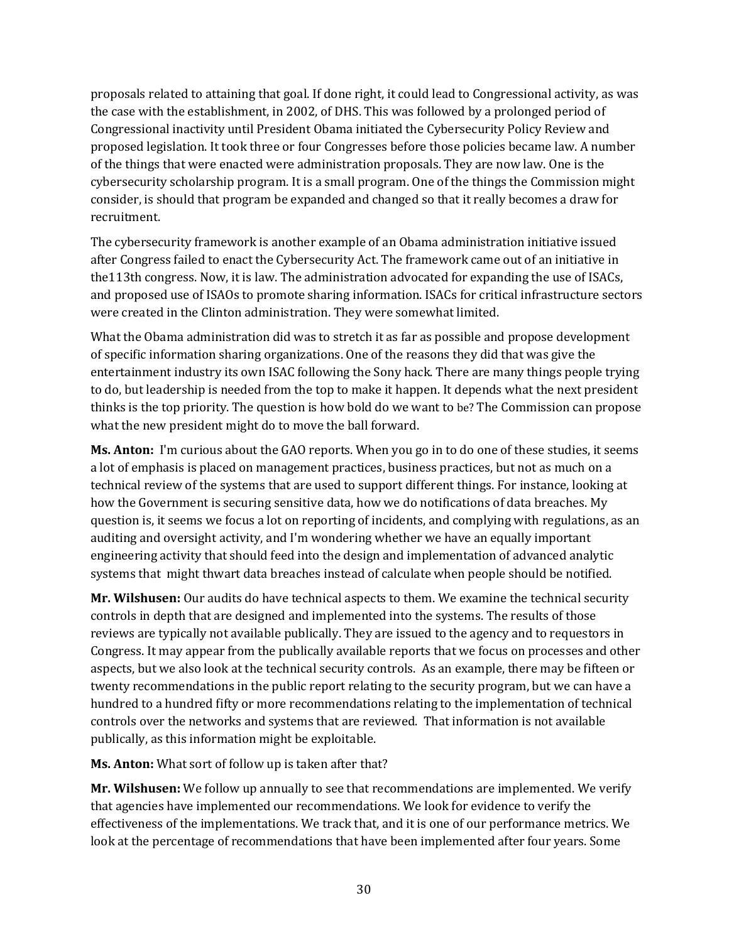proposals related to attaining that goal. If done right, it could lead to Congressional activity, as was the case with the establishment, in 2002, of DHS. This was followed by a prolonged period of Congressional inactivity until President Obama initiated the Cybersecurity Policy Review and proposed legislation. It took three or four Congresses before those policies became law. A number of the things that were enacted were administration proposals. They are now law. One is the cybersecurity scholarship program. It is a small program. One of the things the Commission might consider, is should that program be expanded and changed so that it really becomes a draw for recruitment.

The cybersecurity framework is another example of an Obama administration initiative issued after Congress failed to enact the Cybersecurity Act. The framework came out of an initiative in the113th congress. Now, it is law. The administration advocated for expanding the use of ISACs, and proposed use of ISAOs to promote sharing information. ISACs for critical infrastructure sectors were created in the Clinton administration. They were somewhat limited.

What the Obama administration did was to stretch it as far as possible and propose development of specific information sharing organizations. One of the reasons they did that was give the entertainment industry its own ISAC following the Sony hack. There are many things people trying to do, but leadership is needed from the top to make it happen. It depends what the next president thinks is the top priority. The question is how bold do we want to be? The Commission can propose what the new president might do to move the ball forward.

**Ms. Anton:** I'm curious about the GAO reports. When you go in to do one of these studies, it seems a lot of emphasis is placed on management practices, business practices, but not as much on a technical review of the systems that are used to support different things. For instance, looking at how the Government is securing sensitive data, how we do notifications of data breaches. My question is, it seems we focus a lot on reporting of incidents, and complying with regulations, as an auditing and oversight activity, and I'm wondering whether we have an equally important engineering activity that should feed into the design and implementation of advanced analytic systems that might thwart data breaches instead of calculate when people should be notified.

**Mr. Wilshusen:** Our audits do have technical aspects to them. We examine the technical security controls in depth that are designed and implemented into the systems. The results of those reviews are typically not available publically. They are issued to the agency and to requestors in Congress. It may appear from the publically available reports that we focus on processes and other aspects, but we also look at the technical security controls. As an example, there may be fifteen or twenty recommendations in the public report relating to the security program, but we can have a hundred to a hundred fifty or more recommendations relating to the implementation of technical controls over the networks and systems that are reviewed. That information is not available publically, as this information might be exploitable.

**Ms. Anton:** What sort of follow up is taken after that?

**Mr. Wilshusen:** We follow up annually to see that recommendations are implemented. We verify that agencies have implemented our recommendations. We look for evidence to verify the effectiveness of the implementations. We track that, and it is one of our performance metrics. We look at the percentage of recommendations that have been implemented after four years. Some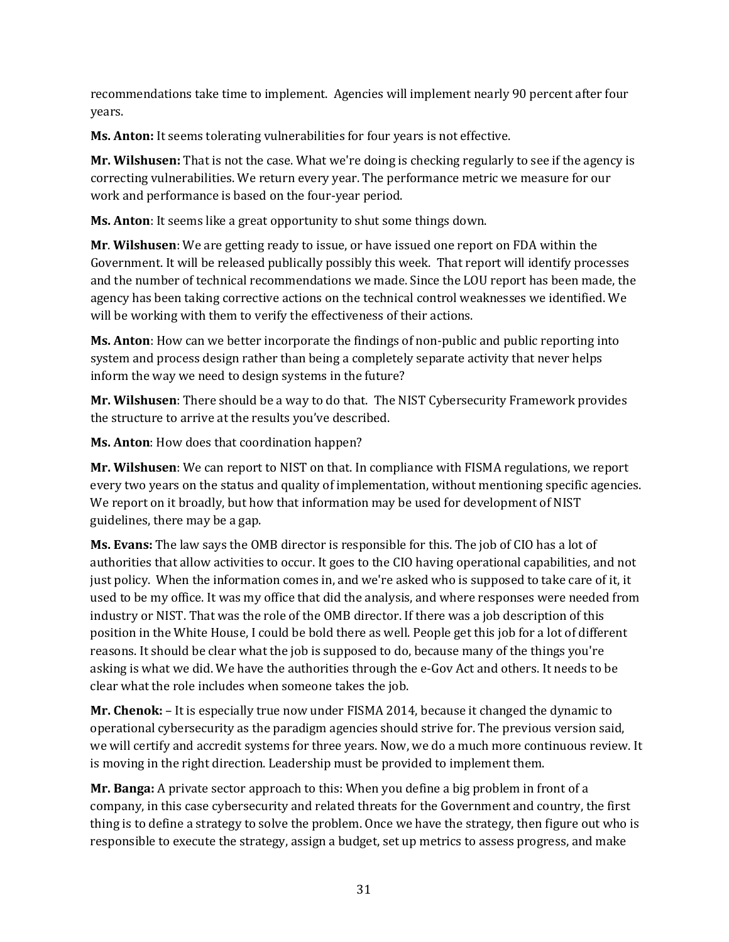recommendations take time to implement. Agencies will implement nearly 90 percent after four years.

**Ms. Anton:** It seems tolerating vulnerabilities for four years is not effective.

**Mr. Wilshusen:** That is not the case. What we're doing is checking regularly to see if the agency is correcting vulnerabilities. We return every year. The performance metric we measure for our work and performance is based on the four-year period.

**Ms. Anton**: It seems like a great opportunity to shut some things down.

**Mr**. **Wilshusen**: We are getting ready to issue, or have issued one report on FDA within the Government. It will be released publically possibly this week. That report will identify processes and the number of technical recommendations we made. Since the LOU report has been made, the agency has been taking corrective actions on the technical control weaknesses we identified. We will be working with them to verify the effectiveness of their actions.

**Ms. Anton**: How can we better incorporate the findings of non-public and public reporting into system and process design rather than being a completely separate activity that never helps inform the way we need to design systems in the future?

**Mr. Wilshusen**: There should be a way to do that. The NIST Cybersecurity Framework provides the structure to arrive at the results you've described.

**Ms. Anton**: How does that coordination happen?

**Mr. Wilshusen**: We can report to NIST on that. In compliance with FISMA regulations, we report every two years on the status and quality of implementation, without mentioning specific agencies. We report on it broadly, but how that information may be used for development of NIST guidelines, there may be a gap.

**Ms. Evans:** The law says the OMB director is responsible for this. The job of CIO has a lot of authorities that allow activities to occur. It goes to the CIO having operational capabilities, and not just policy. When the information comes in, and we're asked who is supposed to take care of it, it used to be my office. It was my office that did the analysis, and where responses were needed from industry or NIST. That was the role of the OMB director. If there was a job description of this position in the White House, I could be bold there as well. People get this job for a lot of different reasons. It should be clear what the job is supposed to do, because many of the things you're asking is what we did. We have the authorities through the e-Gov Act and others. It needs to be clear what the role includes when someone takes the job.

**Mr. Chenok:** – It is especially true now under FISMA 2014, because it changed the dynamic to operational cybersecurity as the paradigm agencies should strive for. The previous version said, we will certify and accredit systems for three years. Now, we do a much more continuous review. It is moving in the right direction. Leadership must be provided to implement them.

**Mr. Banga:** A private sector approach to this: When you define a big problem in front of a company, in this case cybersecurity and related threats for the Government and country, the first thing is to define a strategy to solve the problem. Once we have the strategy, then figure out who is responsible to execute the strategy, assign a budget, set up metrics to assess progress, and make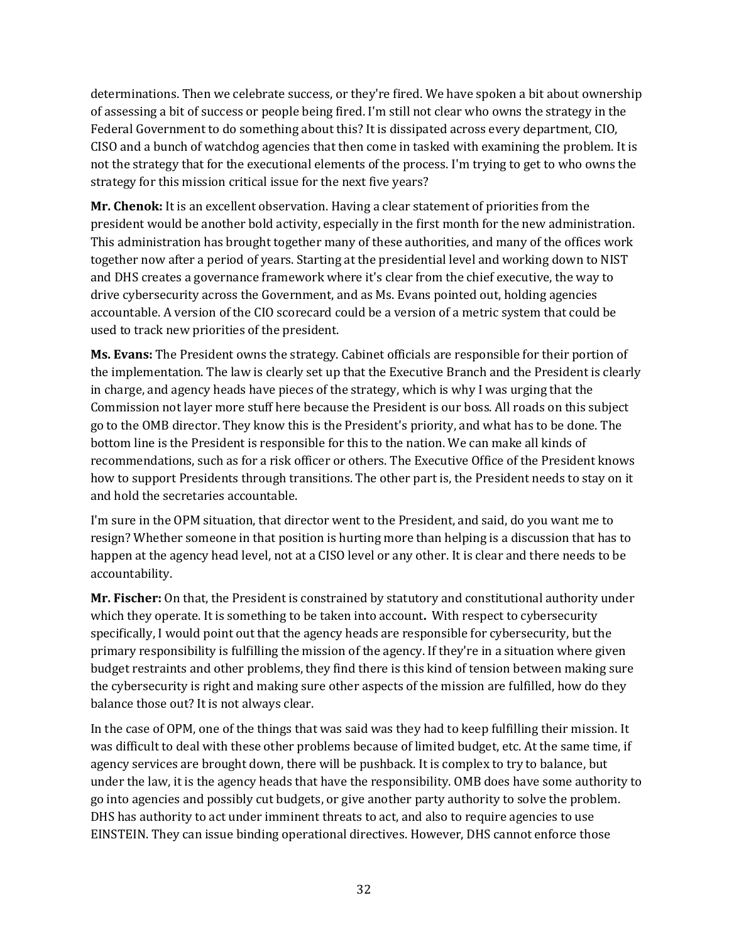determinations. Then we celebrate success, or they're fired. We have spoken a bit about ownership of assessing a bit of success or people being fired. I'm still not clear who owns the strategy in the Federal Government to do something about this? It is dissipated across every department, CIO, CISO and a bunch of watchdog agencies that then come in tasked with examining the problem. It is not the strategy that for the executional elements of the process. I'm trying to get to who owns the strategy for this mission critical issue for the next five years?

**Mr. Chenok:** It is an excellent observation. Having a clear statement of priorities from the president would be another bold activity, especially in the first month for the new administration. This administration has brought together many of these authorities, and many of the offices work together now after a period of years. Starting at the presidential level and working down to NIST and DHS creates a governance framework where it's clear from the chief executive, the way to drive cybersecurity across the Government, and as Ms. Evans pointed out, holding agencies accountable. A version of the CIO scorecard could be a version of a metric system that could be used to track new priorities of the president.

**Ms. Evans:** The President owns the strategy. Cabinet officials are responsible for their portion of the implementation. The law is clearly set up that the Executive Branch and the President is clearly in charge, and agency heads have pieces of the strategy, which is why I was urging that the Commission not layer more stuff here because the President is our boss. All roads on this subject go to the OMB director. They know this is the President's priority, and what has to be done. The bottom line is the President is responsible for this to the nation. We can make all kinds of recommendations, such as for a risk officer or others. The Executive Office of the President knows how to support Presidents through transitions. The other part is, the President needs to stay on it and hold the secretaries accountable.

I'm sure in the OPM situation, that director went to the President, and said, do you want me to resign? Whether someone in that position is hurting more than helping is a discussion that has to happen at the agency head level, not at a CISO level or any other. It is clear and there needs to be accountability.

**Mr. Fischer:** On that, the President is constrained by statutory and constitutional authority under which they operate. It is something to be taken into account**.** With respect to cybersecurity specifically, I would point out that the agency heads are responsible for cybersecurity, but the primary responsibility is fulfilling the mission of the agency. If they're in a situation where given budget restraints and other problems, they find there is this kind of tension between making sure the cybersecurity is right and making sure other aspects of the mission are fulfilled, how do they balance those out? It is not always clear.

In the case of OPM, one of the things that was said was they had to keep fulfilling their mission. It was difficult to deal with these other problems because of limited budget, etc. At the same time, if agency services are brought down, there will be pushback. It is complex to try to balance, but under the law, it is the agency heads that have the responsibility. OMB does have some authority to go into agencies and possibly cut budgets, or give another party authority to solve the problem. DHS has authority to act under imminent threats to act, and also to require agencies to use EINSTEIN. They can issue binding operational directives. However, DHS cannot enforce those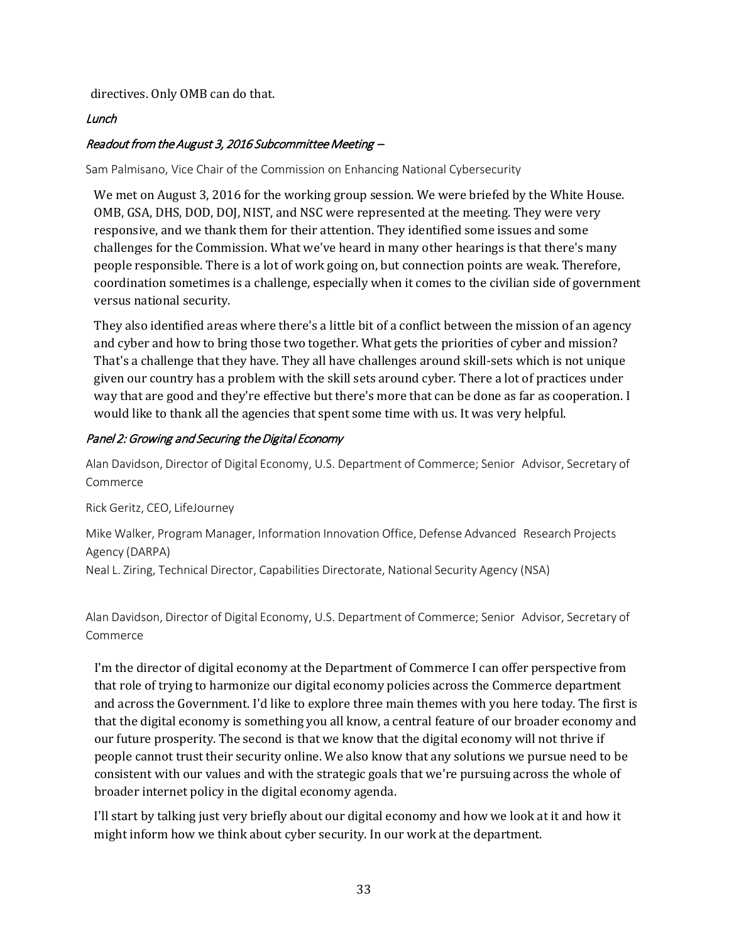directives. Only OMB can do that.

#### Lunch

## Readout from the August 3, 2016 Subcommittee Meeting –

Sam Palmisano, Vice Chair of the Commission on Enhancing National Cybersecurity

We met on August 3, 2016 for the working group session. We were briefed by the White House. OMB, GSA, DHS, DOD, DOJ, NIST, and NSC were represented at the meeting. They were very responsive, and we thank them for their attention. They identified some issues and some challenges for the Commission. What we've heard in many other hearings is that there's many people responsible. There is a lot of work going on, but connection points are weak. Therefore, coordination sometimes is a challenge, especially when it comes to the civilian side of government versus national security.

They also identified areas where there's a little bit of a conflict between the mission of an agency and cyber and how to bring those two together. What gets the priorities of cyber and mission? That's a challenge that they have. They all have challenges around skill-sets which is not unique given our country has a problem with the skill sets around cyber. There a lot of practices under way that are good and they're effective but there's more that can be done as far as cooperation. I would like to thank all the agencies that spent some time with us. It was very helpful.

#### Panel 2: Growing and Securing the Digital Economy

Alan Davidson, Director of Digital Economy, U.S. Department of Commerce; Senior Advisor, Secretary of Commerce

Rick Geritz, CEO, LifeJourney

Mike Walker, Program Manager, Information Innovation Office, Defense Advanced Research Projects Agency (DARPA)

Neal L. Ziring, Technical Director, Capabilities Directorate, National Security Agency (NSA)

Alan Davidson, Director of Digital Economy, U.S. Department of Commerce; Senior Advisor, Secretary of Commerce

I'm the director of digital economy at the Department of Commerce I can offer perspective from that role of trying to harmonize our digital economy policies across the Commerce department and across the Government. I'd like to explore three main themes with you here today. The first is that the digital economy is something you all know, a central feature of our broader economy and our future prosperity. The second is that we know that the digital economy will not thrive if people cannot trust their security online. We also know that any solutions we pursue need to be consistent with our values and with the strategic goals that we're pursuing across the whole of broader internet policy in the digital economy agenda.

I'll start by talking just very briefly about our digital economy and how we look at it and how it might inform how we think about cyber security. In our work at the department.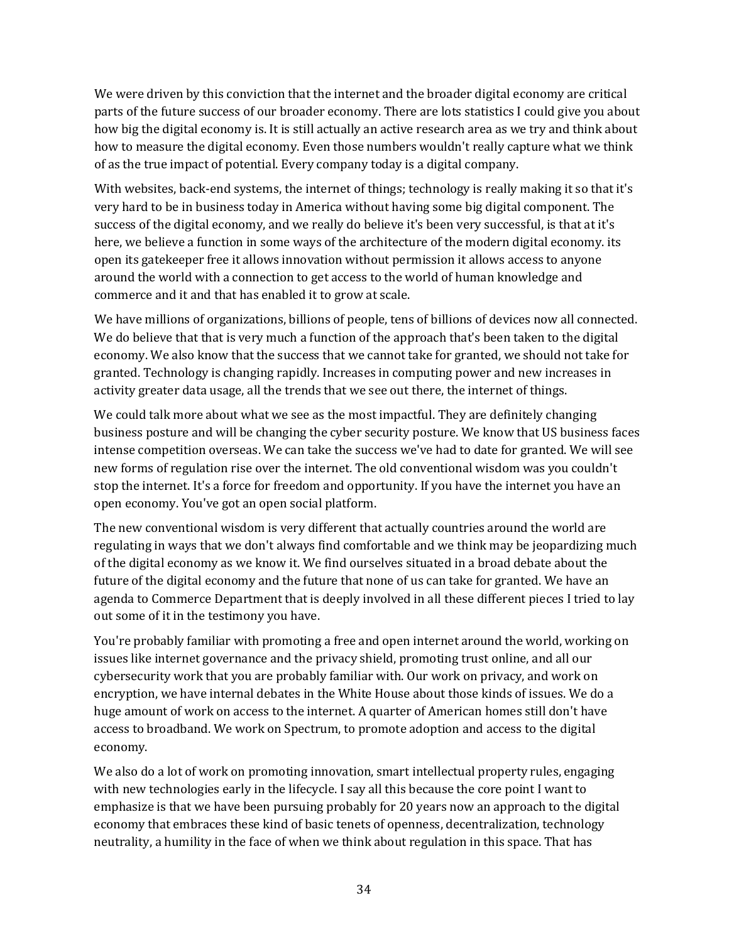We were driven by this conviction that the internet and the broader digital economy are critical parts of the future success of our broader economy. There are lots statistics I could give you about how big the digital economy is. It is still actually an active research area as we try and think about how to measure the digital economy. Even those numbers wouldn't really capture what we think of as the true impact of potential. Every company today is a digital company.

With websites, back-end systems, the internet of things; technology is really making it so that it's very hard to be in business today in America without having some big digital component. The success of the digital economy, and we really do believe it's been very successful, is that at it's here, we believe a function in some ways of the architecture of the modern digital economy. its open its gatekeeper free it allows innovation without permission it allows access to anyone around the world with a connection to get access to the world of human knowledge and commerce and it and that has enabled it to grow at scale.

We have millions of organizations, billions of people, tens of billions of devices now all connected. We do believe that that is very much a function of the approach that's been taken to the digital economy. We also know that the success that we cannot take for granted, we should not take for granted. Technology is changing rapidly. Increases in computing power and new increases in activity greater data usage, all the trends that we see out there, the internet of things.

We could talk more about what we see as the most impactful. They are definitely changing business posture and will be changing the cyber security posture. We know that US business faces intense competition overseas. We can take the success we've had to date for granted. We will see new forms of regulation rise over the internet. The old conventional wisdom was you couldn't stop the internet. It's a force for freedom and opportunity. If you have the internet you have an open economy. You've got an open social platform.

The new conventional wisdom is very different that actually countries around the world are regulating in ways that we don't always find comfortable and we think may be jeopardizing much of the digital economy as we know it. We find ourselves situated in a broad debate about the future of the digital economy and the future that none of us can take for granted. We have an agenda to Commerce Department that is deeply involved in all these different pieces I tried to lay out some of it in the testimony you have.

You're probably familiar with promoting a free and open internet around the world, working on issues like internet governance and the privacy shield, promoting trust online, and all our cybersecurity work that you are probably familiar with. Our work on privacy, and work on encryption, we have internal debates in the White House about those kinds of issues. We do a huge amount of work on access to the internet. A quarter of American homes still don't have access to broadband. We work on Spectrum, to promote adoption and access to the digital economy.

We also do a lot of work on promoting innovation, smart intellectual property rules, engaging with new technologies early in the lifecycle. I say all this because the core point I want to emphasize is that we have been pursuing probably for 20 years now an approach to the digital economy that embraces these kind of basic tenets of openness, decentralization, technology neutrality, a humility in the face of when we think about regulation in this space. That has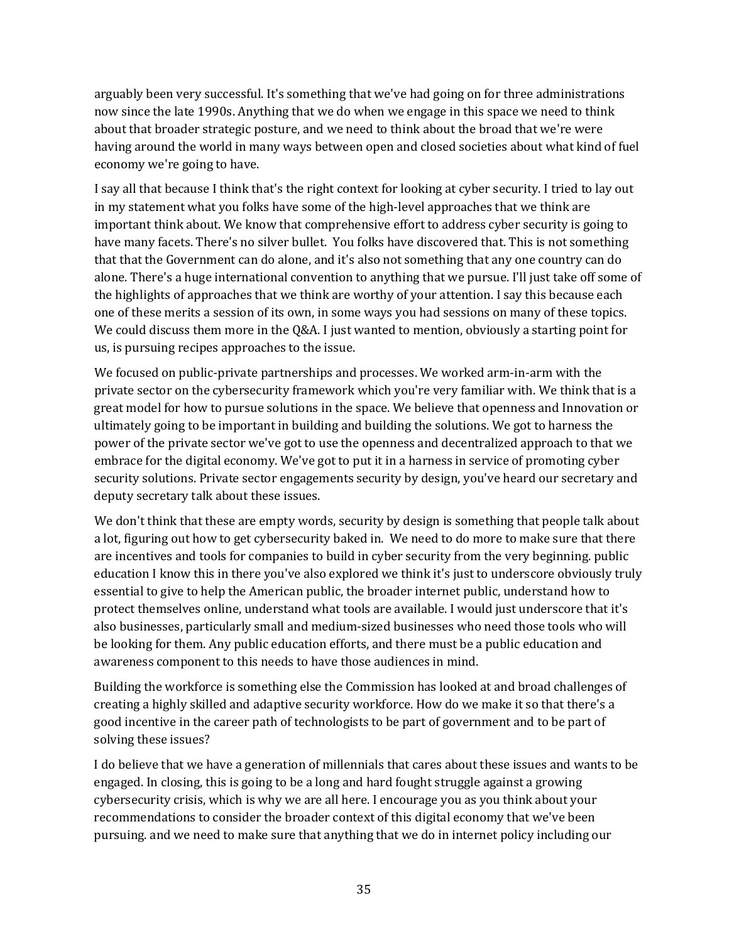arguably been very successful. It's something that we've had going on for three administrations now since the late 1990s. Anything that we do when we engage in this space we need to think about that broader strategic posture, and we need to think about the broad that we're were having around the world in many ways between open and closed societies about what kind of fuel economy we're going to have.

I say all that because I think that's the right context for looking at cyber security. I tried to lay out in my statement what you folks have some of the high-level approaches that we think are important think about. We know that comprehensive effort to address cyber security is going to have many facets. There's no silver bullet. You folks have discovered that. This is not something that that the Government can do alone, and it's also not something that any one country can do alone. There's a huge international convention to anything that we pursue. I'll just take off some of the highlights of approaches that we think are worthy of your attention. I say this because each one of these merits a session of its own, in some ways you had sessions on many of these topics. We could discuss them more in the Q&A. I just wanted to mention, obviously a starting point for us, is pursuing recipes approaches to the issue.

We focused on public-private partnerships and processes. We worked arm-in-arm with the private sector on the cybersecurity framework which you're very familiar with. We think that is a great model for how to pursue solutions in the space. We believe that openness and Innovation or ultimately going to be important in building and building the solutions. We got to harness the power of the private sector we've got to use the openness and decentralized approach to that we embrace for the digital economy. We've got to put it in a harness in service of promoting cyber security solutions. Private sector engagements security by design, you've heard our secretary and deputy secretary talk about these issues.

We don't think that these are empty words, security by design is something that people talk about a lot, figuring out how to get cybersecurity baked in. We need to do more to make sure that there are incentives and tools for companies to build in cyber security from the very beginning. public education I know this in there you've also explored we think it's just to underscore obviously truly essential to give to help the American public, the broader internet public, understand how to protect themselves online, understand what tools are available. I would just underscore that it's also businesses, particularly small and medium-sized businesses who need those tools who will be looking for them. Any public education efforts, and there must be a public education and awareness component to this needs to have those audiences in mind.

Building the workforce is something else the Commission has looked at and broad challenges of creating a highly skilled and adaptive security workforce. How do we make it so that there's a good incentive in the career path of technologists to be part of government and to be part of solving these issues?

I do believe that we have a generation of millennials that cares about these issues and wants to be engaged. In closing, this is going to be a long and hard fought struggle against a growing cybersecurity crisis, which is why we are all here. I encourage you as you think about your recommendations to consider the broader context of this digital economy that we've been pursuing. and we need to make sure that anything that we do in internet policy including our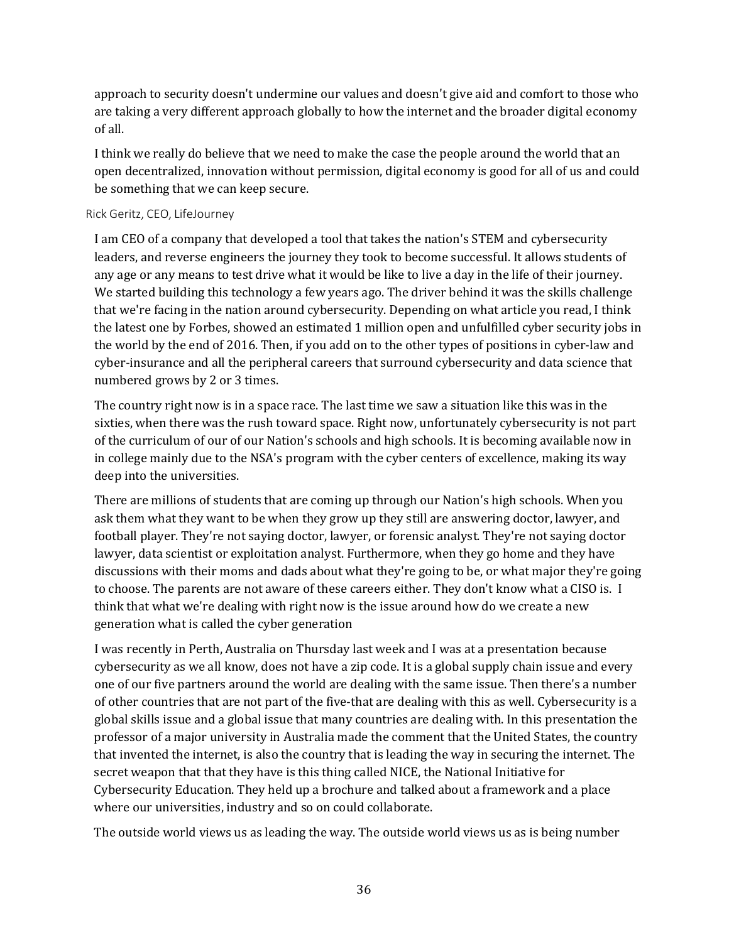approach to security doesn't undermine our values and doesn't give aid and comfort to those who are taking a very different approach globally to how the internet and the broader digital economy of all.

I think we really do believe that we need to make the case the people around the world that an open decentralized, innovation without permission, digital economy is good for all of us and could be something that we can keep secure.

## Rick Geritz, CEO, LifeJourney

I am CEO of a company that developed a tool that takes the nation's STEM and cybersecurity leaders, and reverse engineers the journey they took to become successful. It allows students of any age or any means to test drive what it would be like to live a day in the life of their journey. We started building this technology a few years ago. The driver behind it was the skills challenge that we're facing in the nation around cybersecurity. Depending on what article you read, I think the latest one by Forbes, showed an estimated 1 million open and unfulfilled cyber security jobs in the world by the end of 2016. Then, if you add on to the other types of positions in cyber-law and cyber-insurance and all the peripheral careers that surround cybersecurity and data science that numbered grows by 2 or 3 times.

The country right now is in a space race. The last time we saw a situation like this was in the sixties, when there was the rush toward space. Right now, unfortunately cybersecurity is not part of the curriculum of our of our Nation's schools and high schools. It is becoming available now in in college mainly due to the NSA's program with the cyber centers of excellence, making its way deep into the universities.

There are millions of students that are coming up through our Nation's high schools. When you ask them what they want to be when they grow up they still are answering doctor, lawyer, and football player. They're not saying doctor, lawyer, or forensic analyst. They're not saying doctor lawyer, data scientist or exploitation analyst. Furthermore, when they go home and they have discussions with their moms and dads about what they're going to be, or what major they're going to choose. The parents are not aware of these careers either. They don't know what a CISO is. I think that what we're dealing with right now is the issue around how do we create a new generation what is called the cyber generation

I was recently in Perth, Australia on Thursday last week and I was at a presentation because cybersecurity as we all know, does not have a zip code. It is a global supply chain issue and every one of our five partners around the world are dealing with the same issue. Then there's a number of other countries that are not part of the five-that are dealing with this as well. Cybersecurity is a global skills issue and a global issue that many countries are dealing with. In this presentation the professor of a major university in Australia made the comment that the United States, the country that invented the internet, is also the country that is leading the way in securing the internet. The secret weapon that that they have is this thing called NICE, the National Initiative for Cybersecurity Education. They held up a brochure and talked about a framework and a place where our universities, industry and so on could collaborate.

The outside world views us as leading the way. The outside world views us as is being number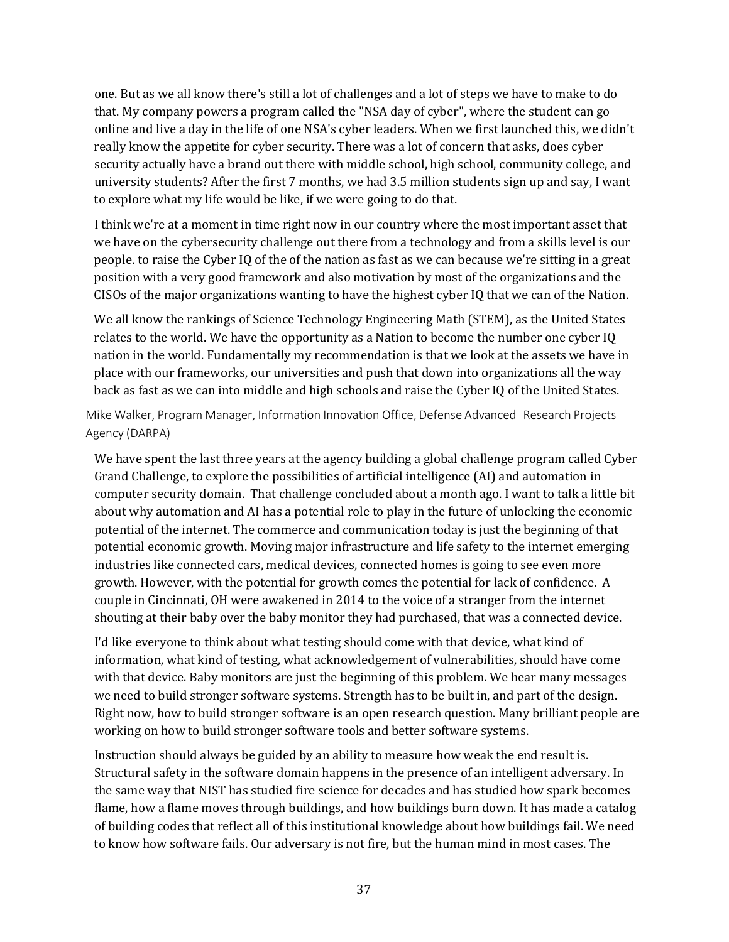one. But as we all know there's still a lot of challenges and a lot of steps we have to make to do that. My company powers a program called the "NSA day of cyber", where the student can go online and live a day in the life of one NSA's cyber leaders. When we first launched this, we didn't really know the appetite for cyber security. There was a lot of concern that asks, does cyber security actually have a brand out there with middle school, high school, community college, and university students? After the first 7 months, we had 3.5 million students sign up and say, I want to explore what my life would be like, if we were going to do that.

I think we're at a moment in time right now in our country where the most important asset that we have on the cybersecurity challenge out there from a technology and from a skills level is our people. to raise the Cyber IQ of the of the nation as fast as we can because we're sitting in a great position with a very good framework and also motivation by most of the organizations and the CISOs of the major organizations wanting to have the highest cyber IQ that we can of the Nation.

We all know the rankings of Science Technology Engineering Math (STEM), as the United States relates to the world. We have the opportunity as a Nation to become the number one cyber IQ nation in the world. Fundamentally my recommendation is that we look at the assets we have in place with our frameworks, our universities and push that down into organizations all the way back as fast as we can into middle and high schools and raise the Cyber IQ of the United States.

Mike Walker, Program Manager, Information Innovation Office, Defense Advanced Research Projects Agency (DARPA)

We have spent the last three years at the agency building a global challenge program called Cyber Grand Challenge, to explore the possibilities of artificial intelligence (AI) and automation in computer security domain. That challenge concluded about a month ago. I want to talk a little bit about why automation and AI has a potential role to play in the future of unlocking the economic potential of the internet. The commerce and communication today is just the beginning of that potential economic growth. Moving major infrastructure and life safety to the internet emerging industries like connected cars, medical devices, connected homes is going to see even more growth. However, with the potential for growth comes the potential for lack of confidence. A couple in Cincinnati, OH were awakened in 2014 to the voice of a stranger from the internet shouting at their baby over the baby monitor they had purchased, that was a connected device.

I'd like everyone to think about what testing should come with that device, what kind of information, what kind of testing, what acknowledgement of vulnerabilities, should have come with that device. Baby monitors are just the beginning of this problem. We hear many messages we need to build stronger software systems. Strength has to be built in, and part of the design. Right now, how to build stronger software is an open research question. Many brilliant people are working on how to build stronger software tools and better software systems.

Instruction should always be guided by an ability to measure how weak the end result is. Structural safety in the software domain happens in the presence of an intelligent adversary. In the same way that NIST has studied fire science for decades and has studied how spark becomes flame, how a flame moves through buildings, and how buildings burn down. It has made a catalog of building codes that reflect all of this institutional knowledge about how buildings fail. We need to know how software fails. Our adversary is not fire, but the human mind in most cases. The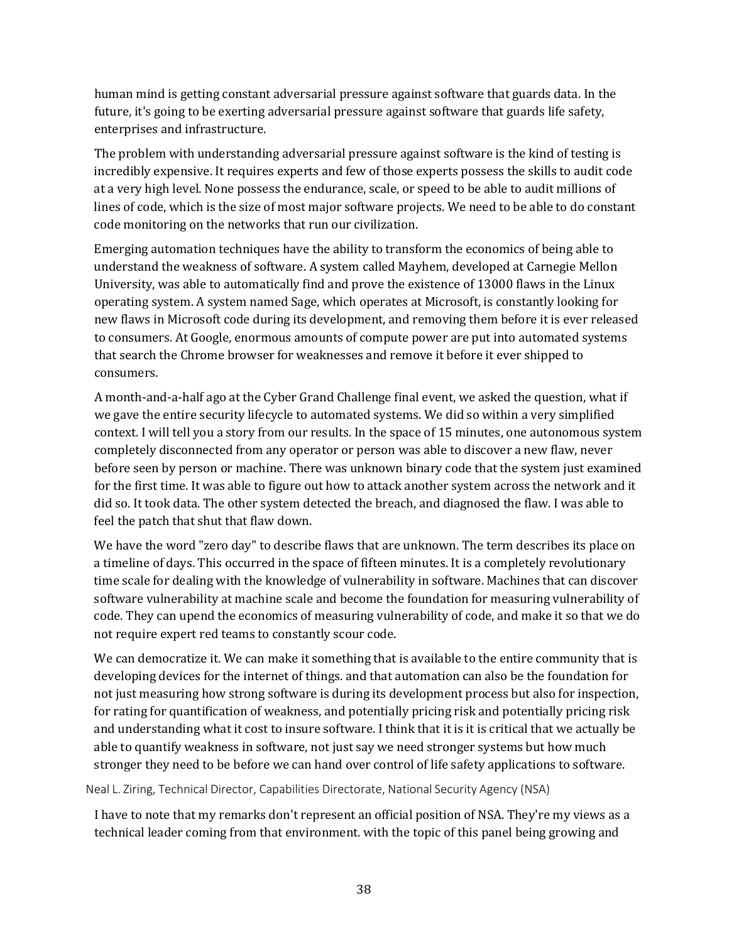human mind is getting constant adversarial pressure against software that guards data. In the future, it's going to be exerting adversarial pressure against software that guards life safety, enterprises and infrastructure.

The problem with understanding adversarial pressure against software is the kind of testing is incredibly expensive. It requires experts and few of those experts possess the skills to audit code at a very high level. None possess the endurance, scale, or speed to be able to audit millions of lines of code, which is the size of most major software projects. We need to be able to do constant code monitoring on the networks that run our civilization.

Emerging automation techniques have the ability to transform the economics of being able to understand the weakness of software. A system called Mayhem, developed at Carnegie Mellon University, was able to automatically find and prove the existence of 13000 flaws in the Linux operating system. A system named Sage, which operates at Microsoft, is constantly looking for new flaws in Microsoft code during its development, and removing them before it is ever released to consumers. At Google, enormous amounts of compute power are put into automated systems that search the Chrome browser for weaknesses and remove it before it ever shipped to consumers.

A month-and-a-half ago at the Cyber Grand Challenge final event, we asked the question, what if we gave the entire security lifecycle to automated systems. We did so within a very simplified context. I will tell you a story from our results. In the space of 15 minutes, one autonomous system completely disconnected from any operator or person was able to discover a new flaw, never before seen by person or machine. There was unknown binary code that the system just examined for the first time. It was able to figure out how to attack another system across the network and it did so. It took data. The other system detected the breach, and diagnosed the flaw. I was able to feel the patch that shut that flaw down.

We have the word "zero day" to describe flaws that are unknown. The term describes its place on a timeline of days. This occurred in the space of fifteen minutes. It is a completely revolutionary time scale for dealing with the knowledge of vulnerability in software. Machines that can discover software vulnerability at machine scale and become the foundation for measuring vulnerability of code. They can upend the economics of measuring vulnerability of code, and make it so that we do not require expert red teams to constantly scour code.

We can democratize it. We can make it something that is available to the entire community that is developing devices for the internet of things. and that automation can also be the foundation for not just measuring how strong software is during its development process but also for inspection, for rating for quantification of weakness, and potentially pricing risk and potentially pricing risk and understanding what it cost to insure software. I think that it is it is critical that we actually be able to quantify weakness in software, not just say we need stronger systems but how much stronger they need to be before we can hand over control of life safety applications to software.

Neal L. Ziring, Technical Director, Capabilities Directorate, National Security Agency (NSA)

I have to note that my remarks don't represent an official position of NSA. They're my views as a technical leader coming from that environment. with the topic of this panel being growing and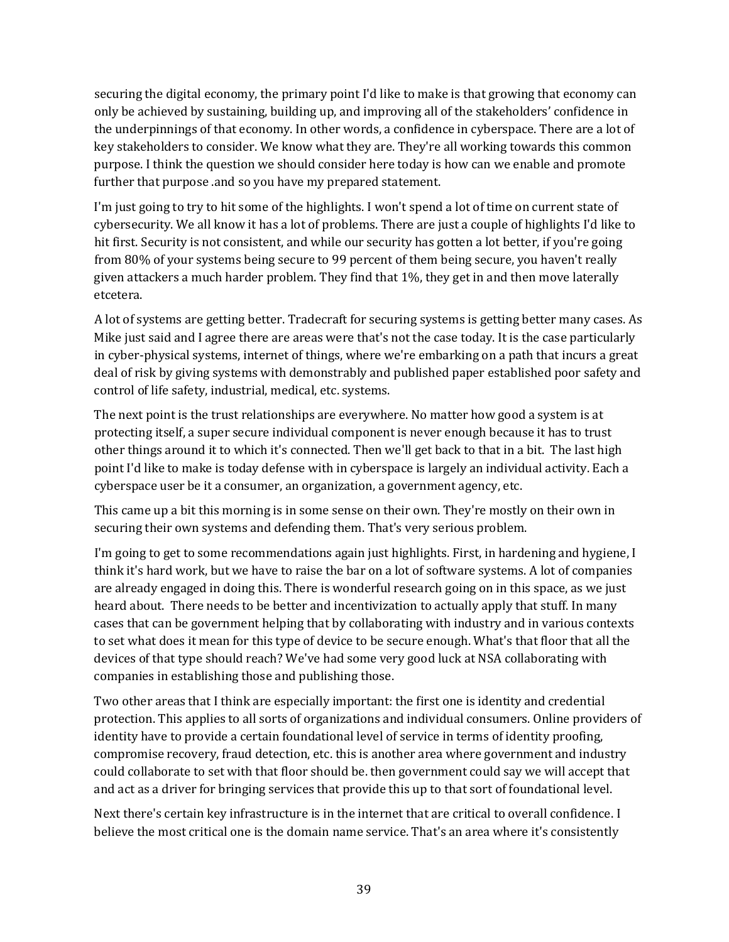securing the digital economy, the primary point I'd like to make is that growing that economy can only be achieved by sustaining, building up, and improving all of the stakeholders' confidence in the underpinnings of that economy. In other words, a confidence in cyberspace. There are a lot of key stakeholders to consider. We know what they are. They're all working towards this common purpose. I think the question we should consider here today is how can we enable and promote further that purpose .and so you have my prepared statement.

I'm just going to try to hit some of the highlights. I won't spend a lot of time on current state of cybersecurity. We all know it has a lot of problems. There are just a couple of highlights I'd like to hit first. Security is not consistent, and while our security has gotten a lot better, if you're going from 80% of your systems being secure to 99 percent of them being secure, you haven't really given attackers a much harder problem. They find that 1%, they get in and then move laterally etcetera.

A lot of systems are getting better. Tradecraft for securing systems is getting better many cases. As Mike just said and I agree there are areas were that's not the case today. It is the case particularly in cyber-physical systems, internet of things, where we're embarking on a path that incurs a great deal of risk by giving systems with demonstrably and published paper established poor safety and control of life safety, industrial, medical, etc. systems.

The next point is the trust relationships are everywhere. No matter how good a system is at protecting itself, a super secure individual component is never enough because it has to trust other things around it to which it's connected. Then we'll get back to that in a bit. The last high point I'd like to make is today defense with in cyberspace is largely an individual activity. Each a cyberspace user be it a consumer, an organization, a government agency, etc.

This came up a bit this morning is in some sense on their own. They're mostly on their own in securing their own systems and defending them. That's very serious problem.

I'm going to get to some recommendations again just highlights. First, in hardening and hygiene, I think it's hard work, but we have to raise the bar on a lot of software systems. A lot of companies are already engaged in doing this. There is wonderful research going on in this space, as we just heard about. There needs to be better and incentivization to actually apply that stuff. In many cases that can be government helping that by collaborating with industry and in various contexts to set what does it mean for this type of device to be secure enough. What's that floor that all the devices of that type should reach? We've had some very good luck at NSA collaborating with companies in establishing those and publishing those.

Two other areas that I think are especially important: the first one is identity and credential protection. This applies to all sorts of organizations and individual consumers. Online providers of identity have to provide a certain foundational level of service in terms of identity proofing, compromise recovery, fraud detection, etc. this is another area where government and industry could collaborate to set with that floor should be. then government could say we will accept that and act as a driver for bringing services that provide this up to that sort of foundational level.

Next there's certain key infrastructure is in the internet that are critical to overall confidence. I believe the most critical one is the domain name service. That's an area where it's consistently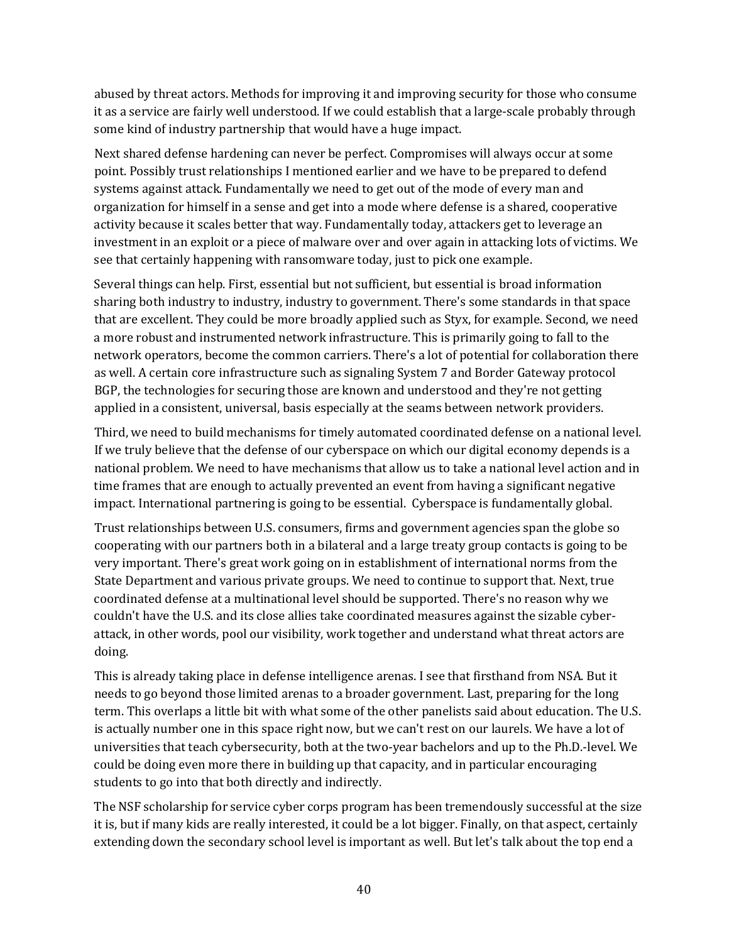abused by threat actors. Methods for improving it and improving security for those who consume it as a service are fairly well understood. If we could establish that a large-scale probably through some kind of industry partnership that would have a huge impact.

Next shared defense hardening can never be perfect. Compromises will always occur at some point. Possibly trust relationships I mentioned earlier and we have to be prepared to defend systems against attack. Fundamentally we need to get out of the mode of every man and organization for himself in a sense and get into a mode where defense is a shared, cooperative activity because it scales better that way. Fundamentally today, attackers get to leverage an investment in an exploit or a piece of malware over and over again in attacking lots of victims. We see that certainly happening with ransomware today, just to pick one example.

Several things can help. First, essential but not sufficient, but essential is broad information sharing both industry to industry, industry to government. There's some standards in that space that are excellent. They could be more broadly applied such as Styx, for example. Second, we need a more robust and instrumented network infrastructure. This is primarily going to fall to the network operators, become the common carriers. There's a lot of potential for collaboration there as well. A certain core infrastructure such as signaling System 7 and Border Gateway protocol BGP, the technologies for securing those are known and understood and they're not getting applied in a consistent, universal, basis especially at the seams between network providers.

Third, we need to build mechanisms for timely automated coordinated defense on a national level. If we truly believe that the defense of our cyberspace on which our digital economy depends is a national problem. We need to have mechanisms that allow us to take a national level action and in time frames that are enough to actually prevented an event from having a significant negative impact. International partnering is going to be essential. Cyberspace is fundamentally global.

Trust relationships between U.S. consumers, firms and government agencies span the globe so cooperating with our partners both in a bilateral and a large treaty group contacts is going to be very important. There's great work going on in establishment of international norms from the State Department and various private groups. We need to continue to support that. Next, true coordinated defense at a multinational level should be supported. There's no reason why we couldn't have the U.S. and its close allies take coordinated measures against the sizable cyberattack, in other words, pool our visibility, work together and understand what threat actors are doing.

This is already taking place in defense intelligence arenas. I see that firsthand from NSA. But it needs to go beyond those limited arenas to a broader government. Last, preparing for the long term. This overlaps a little bit with what some of the other panelists said about education. The U.S. is actually number one in this space right now, but we can't rest on our laurels. We have a lot of universities that teach cybersecurity, both at the two-year bachelors and up to the Ph.D.-level. We could be doing even more there in building up that capacity, and in particular encouraging students to go into that both directly and indirectly.

The NSF scholarship for service cyber corps program has been tremendously successful at the size it is, but if many kids are really interested, it could be a lot bigger. Finally, on that aspect, certainly extending down the secondary school level is important as well. But let's talk about the top end a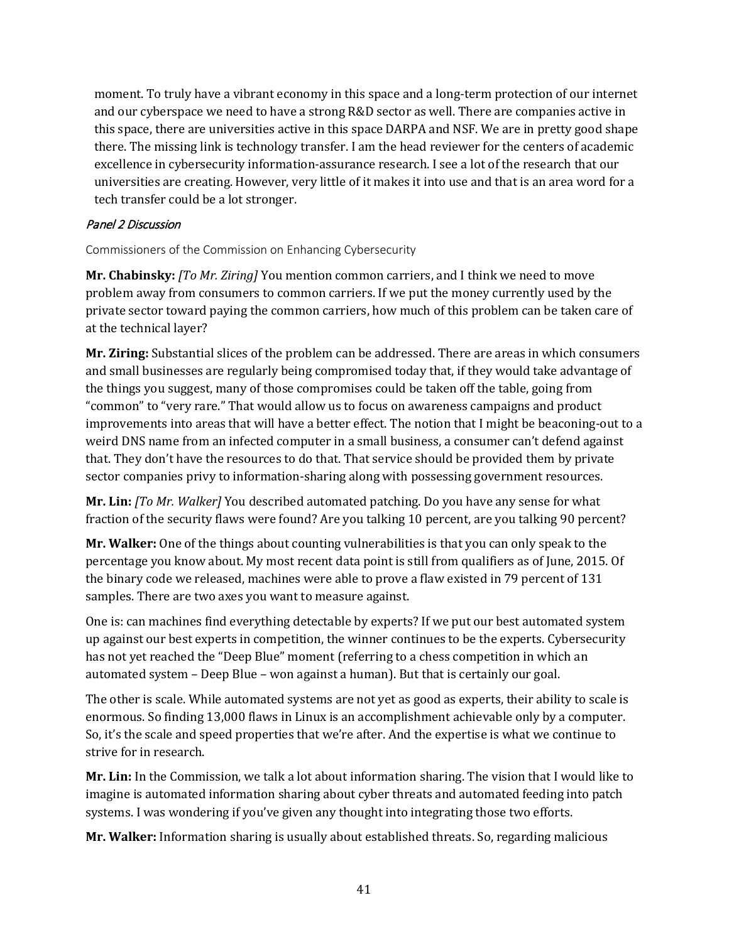moment. To truly have a vibrant economy in this space and a long-term protection of our internet and our cyberspace we need to have a strong R&D sector as well. There are companies active in this space, there are universities active in this space DARPA and NSF. We are in pretty good shape there. The missing link is technology transfer. I am the head reviewer for the centers of academic excellence in cybersecurity information-assurance research. I see a lot of the research that our universities are creating. However, very little of it makes it into use and that is an area word for a tech transfer could be a lot stronger.

#### Panel 2 Discussion

Commissioners of the Commission on Enhancing Cybersecurity

**Mr. Chabinsky:** *[To Mr. Ziring]* You mention common carriers, and I think we need to move problem away from consumers to common carriers. If we put the money currently used by the private sector toward paying the common carriers, how much of this problem can be taken care of at the technical layer?

**Mr. Ziring:** Substantial slices of the problem can be addressed. There are areas in which consumers and small businesses are regularly being compromised today that, if they would take advantage of the things you suggest, many of those compromises could be taken off the table, going from "common" to "very rare." That would allow us to focus on awareness campaigns and product improvements into areas that will have a better effect. The notion that I might be beaconing-out to a weird DNS name from an infected computer in a small business, a consumer can't defend against that. They don't have the resources to do that. That service should be provided them by private sector companies privy to information-sharing along with possessing government resources.

**Mr. Lin:** *[To Mr. Walker]* You described automated patching. Do you have any sense for what fraction of the security flaws were found? Are you talking 10 percent, are you talking 90 percent?

**Mr. Walker:** One of the things about counting vulnerabilities is that you can only speak to the percentage you know about. My most recent data point is still from qualifiers as of June, 2015. Of the binary code we released, machines were able to prove a flaw existed in 79 percent of 131 samples. There are two axes you want to measure against.

One is: can machines find everything detectable by experts? If we put our best automated system up against our best experts in competition, the winner continues to be the experts. Cybersecurity has not yet reached the "Deep Blue" moment (referring to a chess competition in which an automated system – Deep Blue – won against a human). But that is certainly our goal.

The other is scale. While automated systems are not yet as good as experts, their ability to scale is enormous. So finding 13,000 flaws in Linux is an accomplishment achievable only by a computer. So, it's the scale and speed properties that we're after. And the expertise is what we continue to strive for in research.

**Mr. Lin:** In the Commission, we talk a lot about information sharing. The vision that I would like to imagine is automated information sharing about cyber threats and automated feeding into patch systems. I was wondering if you've given any thought into integrating those two efforts.

**Mr. Walker:** Information sharing is usually about established threats. So, regarding malicious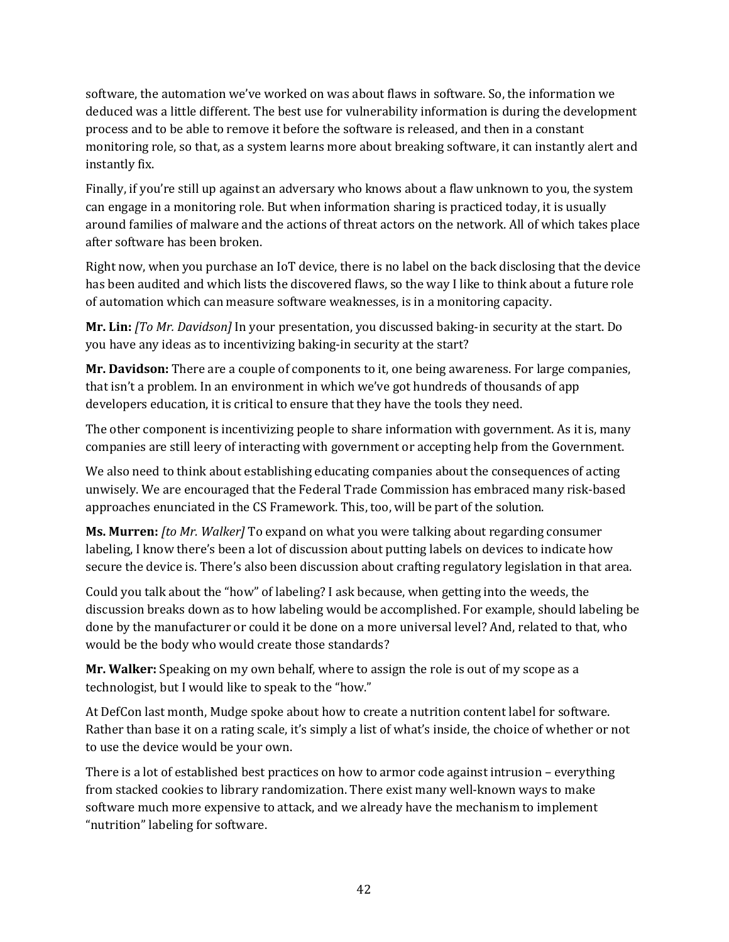software, the automation we've worked on was about flaws in software. So, the information we deduced was a little different. The best use for vulnerability information is during the development process and to be able to remove it before the software is released, and then in a constant monitoring role, so that, as a system learns more about breaking software, it can instantly alert and instantly fix.

Finally, if you're still up against an adversary who knows about a flaw unknown to you, the system can engage in a monitoring role. But when information sharing is practiced today, it is usually around families of malware and the actions of threat actors on the network. All of which takes place after software has been broken.

Right now, when you purchase an IoT device, there is no label on the back disclosing that the device has been audited and which lists the discovered flaws, so the way I like to think about a future role of automation which can measure software weaknesses, is in a monitoring capacity.

**Mr. Lin:** *[To Mr. Davidson]* In your presentation, you discussed baking-in security at the start. Do you have any ideas as to incentivizing baking-in security at the start?

**Mr. Davidson:** There are a couple of components to it, one being awareness. For large companies, that isn't a problem. In an environment in which we've got hundreds of thousands of app developers education, it is critical to ensure that they have the tools they need.

The other component is incentivizing people to share information with government. As it is, many companies are still leery of interacting with government or accepting help from the Government.

We also need to think about establishing educating companies about the consequences of acting unwisely. We are encouraged that the Federal Trade Commission has embraced many risk-based approaches enunciated in the CS Framework. This, too, will be part of the solution.

**Ms. Murren:** *[to Mr. Walker]* To expand on what you were talking about regarding consumer labeling, I know there's been a lot of discussion about putting labels on devices to indicate how secure the device is. There's also been discussion about crafting regulatory legislation in that area.

Could you talk about the "how" of labeling? I ask because, when getting into the weeds, the discussion breaks down as to how labeling would be accomplished. For example, should labeling be done by the manufacturer or could it be done on a more universal level? And, related to that, who would be the body who would create those standards?

**Mr. Walker:** Speaking on my own behalf, where to assign the role is out of my scope as a technologist, but I would like to speak to the "how."

At DefCon last month, Mudge spoke about how to create a nutrition content label for software. Rather than base it on a rating scale, it's simply a list of what's inside, the choice of whether or not to use the device would be your own.

There is a lot of established best practices on how to armor code against intrusion – everything from stacked cookies to library randomization. There exist many well-known ways to make software much more expensive to attack, and we already have the mechanism to implement "nutrition" labeling for software.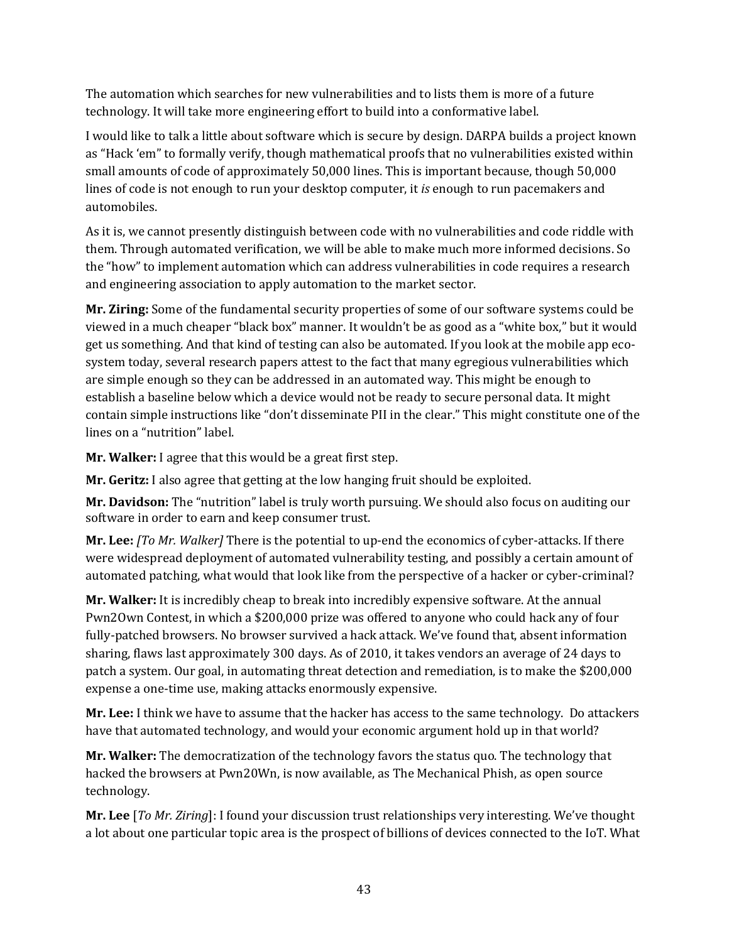The automation which searches for new vulnerabilities and to lists them is more of a future technology. It will take more engineering effort to build into a conformative label.

I would like to talk a little about software which is secure by design. DARPA builds a project known as "Hack 'em" to formally verify, though mathematical proofs that no vulnerabilities existed within small amounts of code of approximately 50,000 lines. This is important because, though 50,000 lines of code is not enough to run your desktop computer, it *is* enough to run pacemakers and automobiles.

As it is, we cannot presently distinguish between code with no vulnerabilities and code riddle with them. Through automated verification, we will be able to make much more informed decisions. So the "how" to implement automation which can address vulnerabilities in code requires a research and engineering association to apply automation to the market sector.

**Mr. Ziring:** Some of the fundamental security properties of some of our software systems could be viewed in a much cheaper "black box" manner. It wouldn't be as good as a "white box," but it would get us something. And that kind of testing can also be automated. If you look at the mobile app ecosystem today, several research papers attest to the fact that many egregious vulnerabilities which are simple enough so they can be addressed in an automated way. This might be enough to establish a baseline below which a device would not be ready to secure personal data. It might contain simple instructions like "don't disseminate PII in the clear." This might constitute one of the lines on a "nutrition" label.

**Mr. Walker:** I agree that this would be a great first step.

**Mr. Geritz:** I also agree that getting at the low hanging fruit should be exploited.

**Mr. Davidson:** The "nutrition" label is truly worth pursuing. We should also focus on auditing our software in order to earn and keep consumer trust.

**Mr. Lee:** *[To Mr. Walker]* There is the potential to up-end the economics of cyber-attacks. If there were widespread deployment of automated vulnerability testing, and possibly a certain amount of automated patching, what would that look like from the perspective of a hacker or cyber-criminal?

**Mr. Walker:** It is incredibly cheap to break into incredibly expensive software. At the annual Pwn2Own Contest, in which a \$200,000 prize was offered to anyone who could hack any of four fully-patched browsers. No browser survived a hack attack. We've found that, absent information sharing, flaws last approximately 300 days. As of 2010, it takes vendors an average of 24 days to patch a system. Our goal, in automating threat detection and remediation, is to make the \$200,000 expense a one-time use, making attacks enormously expensive.

**Mr. Lee:** I think we have to assume that the hacker has access to the same technology. Do attackers have that automated technology, and would your economic argument hold up in that world?

**Mr. Walker:** The democratization of the technology favors the status quo. The technology that hacked the browsers at Pwn20Wn, is now available, as The Mechanical Phish, as open source technology.

**Mr. Lee** [*To Mr. Ziring*]: I found your discussion trust relationships very interesting. We've thought a lot about one particular topic area is the prospect of billions of devices connected to the IoT. What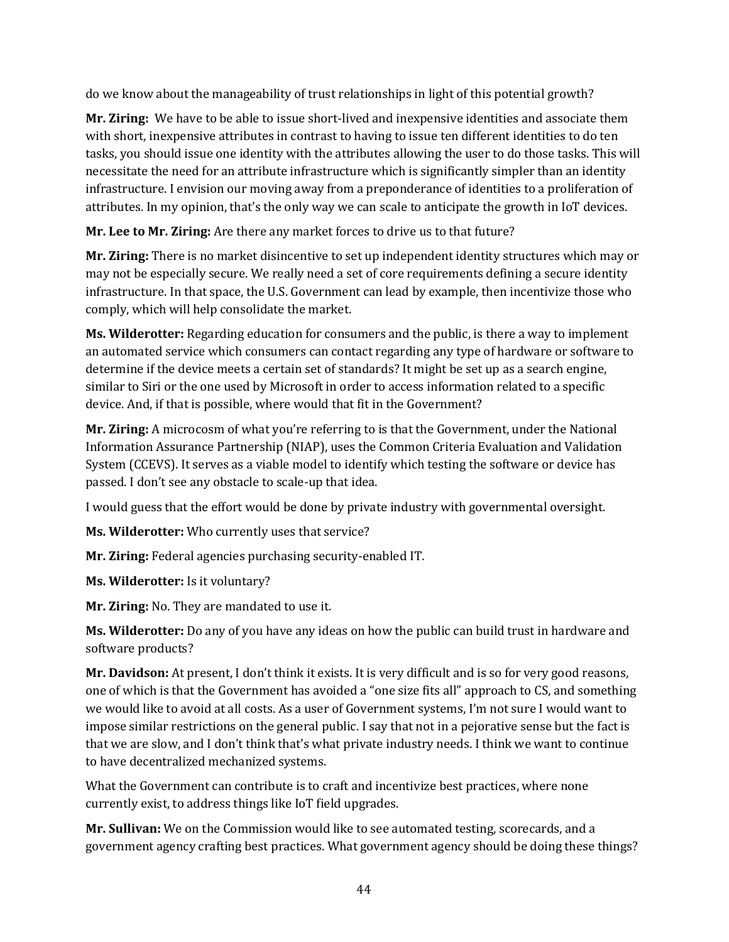do we know about the manageability of trust relationships in light of this potential growth?

**Mr. Ziring:** We have to be able to issue short-lived and inexpensive identities and associate them with short, inexpensive attributes in contrast to having to issue ten different identities to do ten tasks, you should issue one identity with the attributes allowing the user to do those tasks. This will necessitate the need for an attribute infrastructure which is significantly simpler than an identity infrastructure. I envision our moving away from a preponderance of identities to a proliferation of attributes. In my opinion, that's the only way we can scale to anticipate the growth in IoT devices.

**Mr. Lee to Mr. Ziring:** Are there any market forces to drive us to that future?

**Mr. Ziring:** There is no market disincentive to set up independent identity structures which may or may not be especially secure. We really need a set of core requirements defining a secure identity infrastructure. In that space, the U.S. Government can lead by example, then incentivize those who comply, which will help consolidate the market.

**Ms. Wilderotter:** Regarding education for consumers and the public, is there a way to implement an automated service which consumers can contact regarding any type of hardware or software to determine if the device meets a certain set of standards? It might be set up as a search engine, similar to Siri or the one used by Microsoft in order to access information related to a specific device. And, if that is possible, where would that fit in the Government?

**Mr. Ziring:** A microcosm of what you're referring to is that the Government, under the National Information Assurance Partnership (NIAP), uses the Common Criteria Evaluation and Validation System (CCEVS). It serves as a viable model to identify which testing the software or device has passed. I don't see any obstacle to scale-up that idea.

I would guess that the effort would be done by private industry with governmental oversight.

**Ms. Wilderotter:** Who currently uses that service?

**Mr. Ziring:** Federal agencies purchasing security-enabled IT.

**Ms. Wilderotter:** Is it voluntary?

**Mr. Ziring:** No. They are mandated to use it.

**Ms. Wilderotter:** Do any of you have any ideas on how the public can build trust in hardware and software products?

**Mr. Davidson:** At present, I don't think it exists. It is very difficult and is so for very good reasons, one of which is that the Government has avoided a "one size fits all" approach to CS, and something we would like to avoid at all costs. As a user of Government systems, I'm not sure I would want to impose similar restrictions on the general public. I say that not in a pejorative sense but the fact is that we are slow, and I don't think that's what private industry needs. I think we want to continue to have decentralized mechanized systems.

What the Government can contribute is to craft and incentivize best practices, where none currently exist, to address things like IoT field upgrades.

**Mr. Sullivan:** We on the Commission would like to see automated testing, scorecards, and a government agency crafting best practices. What government agency should be doing these things?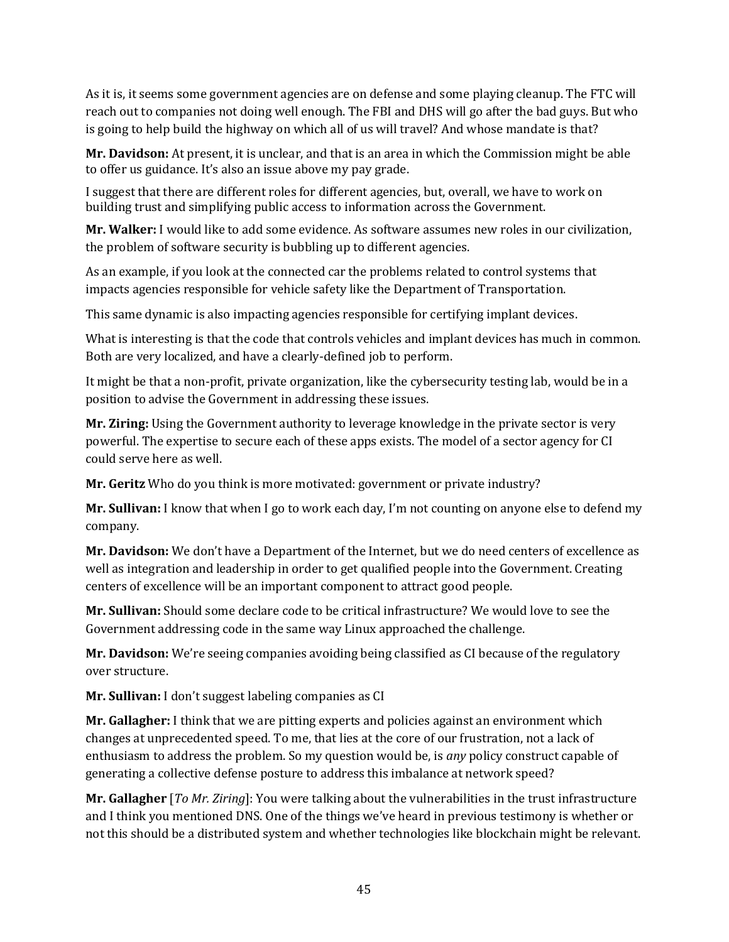As it is, it seems some government agencies are on defense and some playing cleanup. The FTC will reach out to companies not doing well enough. The FBI and DHS will go after the bad guys. But who is going to help build the highway on which all of us will travel? And whose mandate is that?

**Mr. Davidson:** At present, it is unclear, and that is an area in which the Commission might be able to offer us guidance. It's also an issue above my pay grade.

I suggest that there are different roles for different agencies, but, overall, we have to work on building trust and simplifying public access to information across the Government.

**Mr. Walker:** I would like to add some evidence. As software assumes new roles in our civilization, the problem of software security is bubbling up to different agencies.

As an example, if you look at the connected car the problems related to control systems that impacts agencies responsible for vehicle safety like the Department of Transportation.

This same dynamic is also impacting agencies responsible for certifying implant devices.

What is interesting is that the code that controls vehicles and implant devices has much in common. Both are very localized, and have a clearly-defined job to perform.

It might be that a non-profit, private organization, like the cybersecurity testing lab, would be in a position to advise the Government in addressing these issues.

**Mr. Ziring:** Using the Government authority to leverage knowledge in the private sector is very powerful. The expertise to secure each of these apps exists. The model of a sector agency for CI could serve here as well.

**Mr. Geritz** Who do you think is more motivated: government or private industry?

**Mr. Sullivan:** I know that when I go to work each day, I'm not counting on anyone else to defend my company.

**Mr. Davidson:** We don't have a Department of the Internet, but we do need centers of excellence as well as integration and leadership in order to get qualified people into the Government. Creating centers of excellence will be an important component to attract good people.

**Mr. Sullivan:** Should some declare code to be critical infrastructure? We would love to see the Government addressing code in the same way Linux approached the challenge.

**Mr. Davidson:** We're seeing companies avoiding being classified as CI because of the regulatory over structure.

**Mr. Sullivan:** I don't suggest labeling companies as CI

**Mr. Gallagher:** I think that we are pitting experts and policies against an environment which changes at unprecedented speed. To me, that lies at the core of our frustration, not a lack of enthusiasm to address the problem. So my question would be, is *any* policy construct capable of generating a collective defense posture to address this imbalance at network speed?

**Mr. Gallagher** [*To Mr. Ziring*]: You were talking about the vulnerabilities in the trust infrastructure and I think you mentioned DNS. One of the things we've heard in previous testimony is whether or not this should be a distributed system and whether technologies like blockchain might be relevant.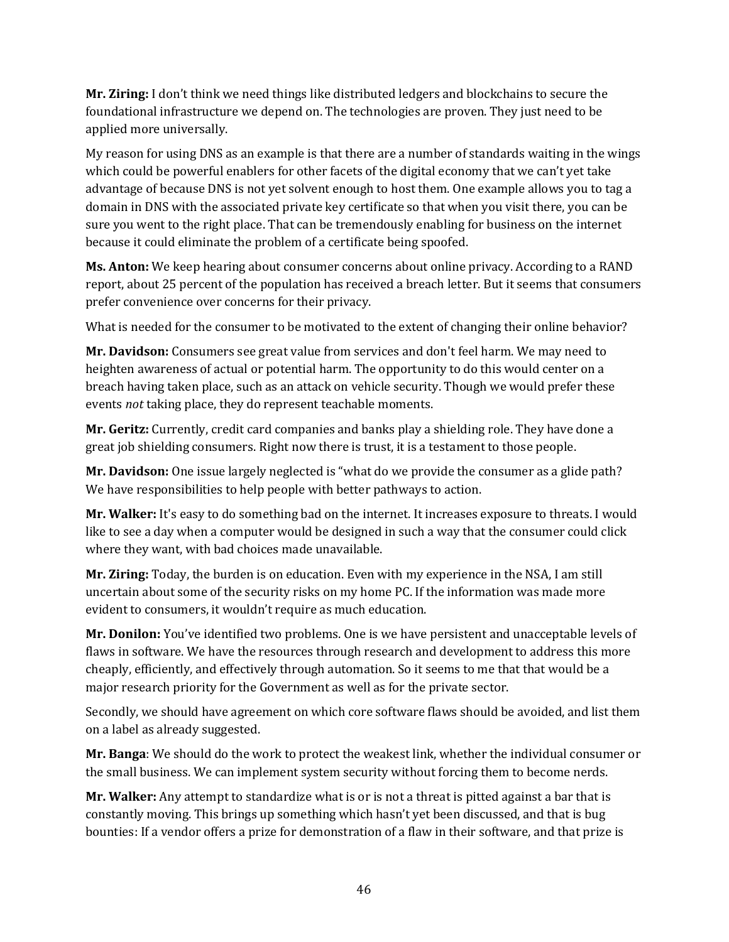**Mr. Ziring:** I don't think we need things like distributed ledgers and blockchains to secure the foundational infrastructure we depend on. The technologies are proven. They just need to be applied more universally.

My reason for using DNS as an example is that there are a number of standards waiting in the wings which could be powerful enablers for other facets of the digital economy that we can't yet take advantage of because DNS is not yet solvent enough to host them. One example allows you to tag a domain in DNS with the associated private key certificate so that when you visit there, you can be sure you went to the right place. That can be tremendously enabling for business on the internet because it could eliminate the problem of a certificate being spoofed.

**Ms. Anton:** We keep hearing about consumer concerns about online privacy. According to a RAND report, about 25 percent of the population has received a breach letter. But it seems that consumers prefer convenience over concerns for their privacy.

What is needed for the consumer to be motivated to the extent of changing their online behavior?

**Mr. Davidson:** Consumers see great value from services and don't feel harm. We may need to heighten awareness of actual or potential harm. The opportunity to do this would center on a breach having taken place, such as an attack on vehicle security. Though we would prefer these events *not* taking place, they do represent teachable moments.

**Mr. Geritz:** Currently, credit card companies and banks play a shielding role. They have done a great job shielding consumers. Right now there is trust, it is a testament to those people.

**Mr. Davidson:** One issue largely neglected is "what do we provide the consumer as a glide path? We have responsibilities to help people with better pathways to action.

**Mr. Walker:** It's easy to do something bad on the internet. It increases exposure to threats. I would like to see a day when a computer would be designed in such a way that the consumer could click where they want, with bad choices made unavailable.

**Mr. Ziring:** Today, the burden is on education. Even with my experience in the NSA, I am still uncertain about some of the security risks on my home PC. If the information was made more evident to consumers, it wouldn't require as much education.

**Mr. Donilon:** You've identified two problems. One is we have persistent and unacceptable levels of flaws in software. We have the resources through research and development to address this more cheaply, efficiently, and effectively through automation. So it seems to me that that would be a major research priority for the Government as well as for the private sector.

Secondly, we should have agreement on which core software flaws should be avoided, and list them on a label as already suggested.

**Mr. Banga**: We should do the work to protect the weakest link, whether the individual consumer or the small business. We can implement system security without forcing them to become nerds.

**Mr. Walker:** Any attempt to standardize what is or is not a threat is pitted against a bar that is constantly moving. This brings up something which hasn't yet been discussed, and that is bug bounties: If a vendor offers a prize for demonstration of a flaw in their software, and that prize is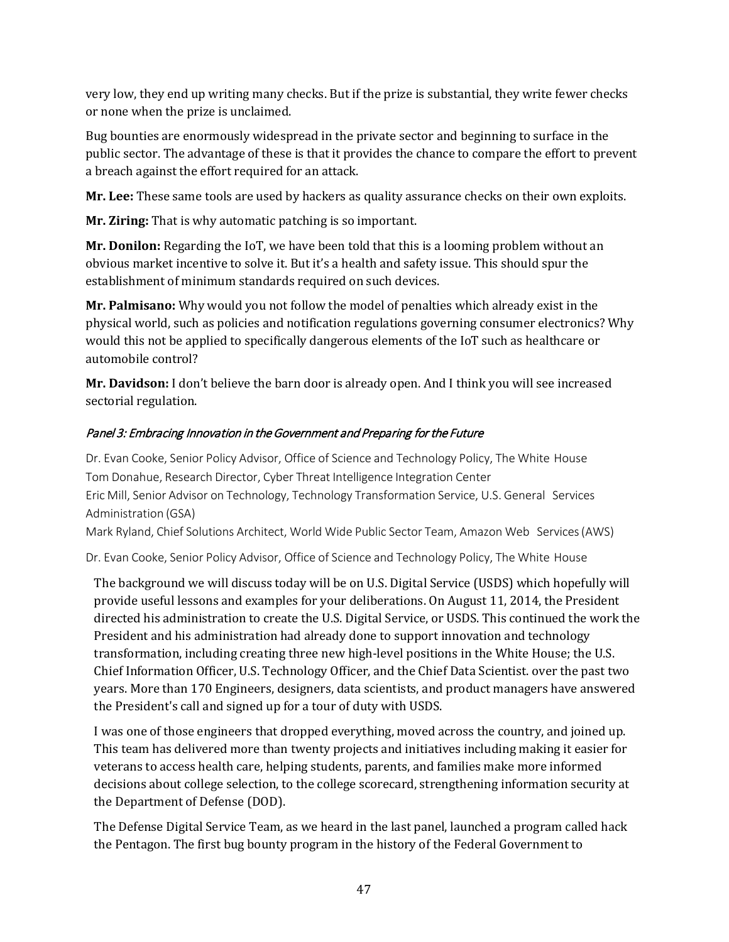very low, they end up writing many checks. But if the prize is substantial, they write fewer checks or none when the prize is unclaimed.

Bug bounties are enormously widespread in the private sector and beginning to surface in the public sector. The advantage of these is that it provides the chance to compare the effort to prevent a breach against the effort required for an attack.

**Mr. Lee:** These same tools are used by hackers as quality assurance checks on their own exploits.

**Mr. Ziring:** That is why automatic patching is so important.

**Mr. Donilon:** Regarding the IoT, we have been told that this is a looming problem without an obvious market incentive to solve it. But it's a health and safety issue. This should spur the establishment of minimum standards required on such devices.

**Mr. Palmisano:** Why would you not follow the model of penalties which already exist in the physical world, such as policies and notification regulations governing consumer electronics? Why would this not be applied to specifically dangerous elements of the IoT such as healthcare or automobile control?

**Mr. Davidson:** I don't believe the barn door is already open. And I think you will see increased sectorial regulation.

## Panel 3: Embracing Innovation in the Government and Preparing for the Future

Dr. Evan Cooke, Senior Policy Advisor, Office of Science and Technology Policy, The White House Tom Donahue, Research Director, Cyber Threat Intelligence Integration Center Eric Mill, Senior Advisor on Technology, Technology Transformation Service, U.S. General Services Administration (GSA)

Mark Ryland, Chief Solutions Architect, World Wide Public Sector Team, Amazon Web Services(AWS)

Dr. Evan Cooke, Senior Policy Advisor, Office of Science and Technology Policy, The White House

The background we will discuss today will be on U.S. Digital Service (USDS) which hopefully will provide useful lessons and examples for your deliberations. On August 11, 2014, the President directed his administration to create the U.S. Digital Service, or USDS. This continued the work the President and his administration had already done to support innovation and technology transformation, including creating three new high-level positions in the White House; the U.S. Chief Information Officer, U.S. Technology Officer, and the Chief Data Scientist. over the past two years. More than 170 Engineers, designers, data scientists, and product managers have answered the President's call and signed up for a tour of duty with USDS.

I was one of those engineers that dropped everything, moved across the country, and joined up. This team has delivered more than twenty projects and initiatives including making it easier for veterans to access health care, helping students, parents, and families make more informed decisions about college selection, to the college scorecard, strengthening information security at the Department of Defense (DOD).

The Defense Digital Service Team, as we heard in the last panel, launched a program called hack the Pentagon. The first bug bounty program in the history of the Federal Government to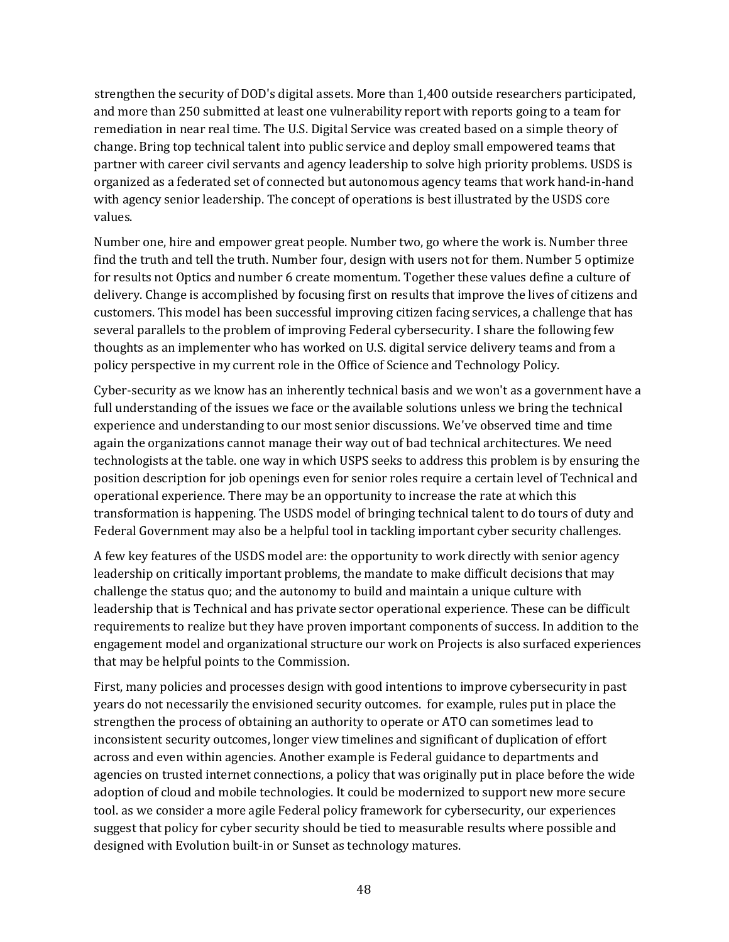strengthen the security of DOD's digital assets. More than 1,400 outside researchers participated, and more than 250 submitted at least one vulnerability report with reports going to a team for remediation in near real time. The U.S. Digital Service was created based on a simple theory of change. Bring top technical talent into public service and deploy small empowered teams that partner with career civil servants and agency leadership to solve high priority problems. USDS is organized as a federated set of connected but autonomous agency teams that work hand-in-hand with agency senior leadership. The concept of operations is best illustrated by the USDS core values.

Number one, hire and empower great people. Number two, go where the work is. Number three find the truth and tell the truth. Number four, design with users not for them. Number 5 optimize for results not Optics and number 6 create momentum. Together these values define a culture of delivery. Change is accomplished by focusing first on results that improve the lives of citizens and customers. This model has been successful improving citizen facing services, a challenge that has several parallels to the problem of improving Federal cybersecurity. I share the following few thoughts as an implementer who has worked on U.S. digital service delivery teams and from a policy perspective in my current role in the Office of Science and Technology Policy.

Cyber-security as we know has an inherently technical basis and we won't as a government have a full understanding of the issues we face or the available solutions unless we bring the technical experience and understanding to our most senior discussions. We've observed time and time again the organizations cannot manage their way out of bad technical architectures. We need technologists at the table. one way in which USPS seeks to address this problem is by ensuring the position description for job openings even for senior roles require a certain level of Technical and operational experience. There may be an opportunity to increase the rate at which this transformation is happening. The USDS model of bringing technical talent to do tours of duty and Federal Government may also be a helpful tool in tackling important cyber security challenges.

A few key features of the USDS model are: the opportunity to work directly with senior agency leadership on critically important problems, the mandate to make difficult decisions that may challenge the status quo; and the autonomy to build and maintain a unique culture with leadership that is Technical and has private sector operational experience. These can be difficult requirements to realize but they have proven important components of success. In addition to the engagement model and organizational structure our work on Projects is also surfaced experiences that may be helpful points to the Commission.

First, many policies and processes design with good intentions to improve cybersecurity in past years do not necessarily the envisioned security outcomes. for example, rules put in place the strengthen the process of obtaining an authority to operate or ATO can sometimes lead to inconsistent security outcomes, longer view timelines and significant of duplication of effort across and even within agencies. Another example is Federal guidance to departments and agencies on trusted internet connections, a policy that was originally put in place before the wide adoption of cloud and mobile technologies. It could be modernized to support new more secure tool. as we consider a more agile Federal policy framework for cybersecurity, our experiences suggest that policy for cyber security should be tied to measurable results where possible and designed with Evolution built-in or Sunset as technology matures.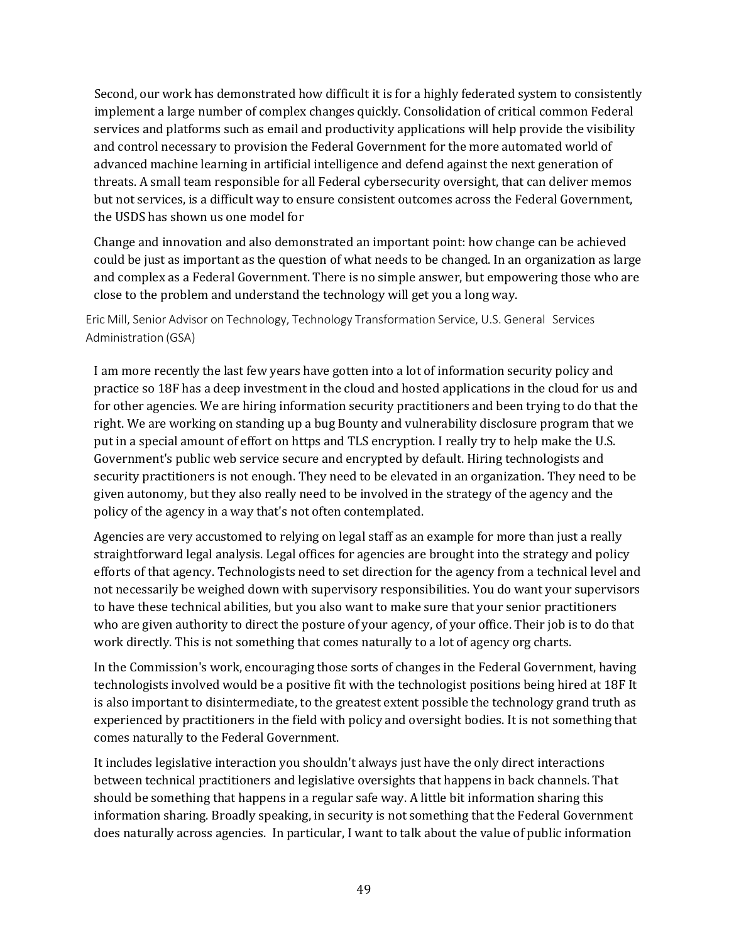Second, our work has demonstrated how difficult it is for a highly federated system to consistently implement a large number of complex changes quickly. Consolidation of critical common Federal services and platforms such as email and productivity applications will help provide the visibility and control necessary to provision the Federal Government for the more automated world of advanced machine learning in artificial intelligence and defend against the next generation of threats. A small team responsible for all Federal cybersecurity oversight, that can deliver memos but not services, is a difficult way to ensure consistent outcomes across the Federal Government, the USDS has shown us one model for

Change and innovation and also demonstrated an important point: how change can be achieved could be just as important as the question of what needs to be changed. In an organization as large and complex as a Federal Government. There is no simple answer, but empowering those who are close to the problem and understand the technology will get you a long way.

Eric Mill, Senior Advisor on Technology, Technology Transformation Service, U.S. General Services Administration (GSA)

I am more recently the last few years have gotten into a lot of information security policy and practice so 18F has a deep investment in the cloud and hosted applications in the cloud for us and for other agencies. We are hiring information security practitioners and been trying to do that the right. We are working on standing up a bug Bounty and vulnerability disclosure program that we put in a special amount of effort on https and TLS encryption. I really try to help make the U.S. Government's public web service secure and encrypted by default. Hiring technologists and security practitioners is not enough. They need to be elevated in an organization. They need to be given autonomy, but they also really need to be involved in the strategy of the agency and the policy of the agency in a way that's not often contemplated.

Agencies are very accustomed to relying on legal staff as an example for more than just a really straightforward legal analysis. Legal offices for agencies are brought into the strategy and policy efforts of that agency. Technologists need to set direction for the agency from a technical level and not necessarily be weighed down with supervisory responsibilities. You do want your supervisors to have these technical abilities, but you also want to make sure that your senior practitioners who are given authority to direct the posture of your agency, of your office. Their job is to do that work directly. This is not something that comes naturally to a lot of agency org charts.

In the Commission's work, encouraging those sorts of changes in the Federal Government, having technologists involved would be a positive fit with the technologist positions being hired at 18F It is also important to disintermediate, to the greatest extent possible the technology grand truth as experienced by practitioners in the field with policy and oversight bodies. It is not something that comes naturally to the Federal Government.

It includes legislative interaction you shouldn't always just have the only direct interactions between technical practitioners and legislative oversights that happens in back channels. That should be something that happens in a regular safe way. A little bit information sharing this information sharing. Broadly speaking, in security is not something that the Federal Government does naturally across agencies. In particular, I want to talk about the value of public information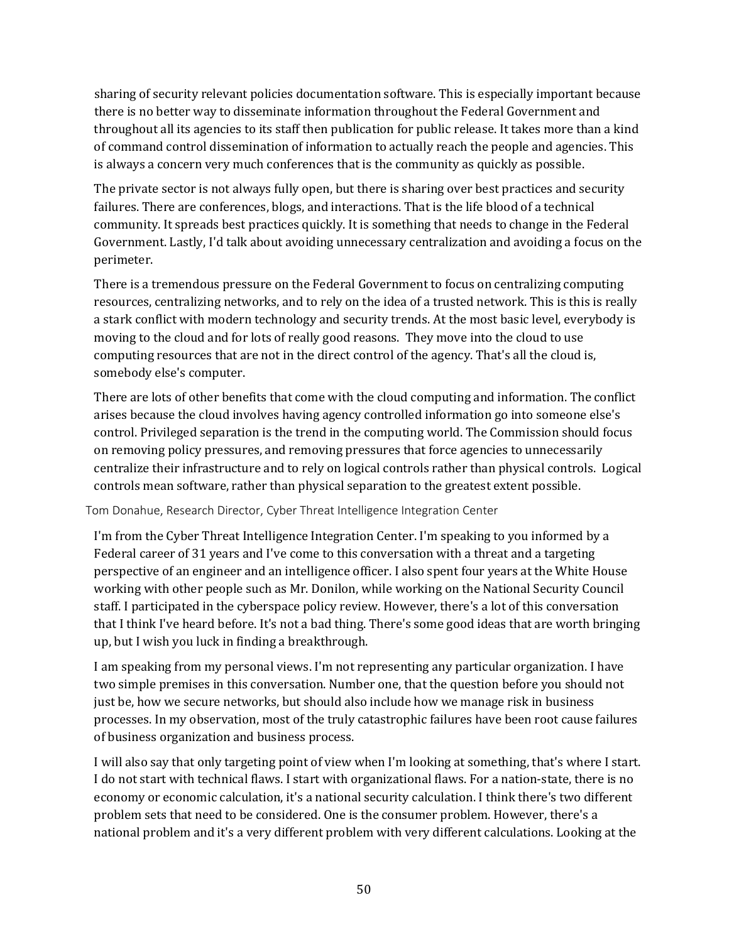sharing of security relevant policies documentation software. This is especially important because there is no better way to disseminate information throughout the Federal Government and throughout all its agencies to its staff then publication for public release. It takes more than a kind of command control dissemination of information to actually reach the people and agencies. This is always a concern very much conferences that is the community as quickly as possible.

The private sector is not always fully open, but there is sharing over best practices and security failures. There are conferences, blogs, and interactions. That is the life blood of a technical community. It spreads best practices quickly. It is something that needs to change in the Federal Government. Lastly, I'd talk about avoiding unnecessary centralization and avoiding a focus on the perimeter.

There is a tremendous pressure on the Federal Government to focus on centralizing computing resources, centralizing networks, and to rely on the idea of a trusted network. This is this is really a stark conflict with modern technology and security trends. At the most basic level, everybody is moving to the cloud and for lots of really good reasons. They move into the cloud to use computing resources that are not in the direct control of the agency. That's all the cloud is, somebody else's computer.

There are lots of other benefits that come with the cloud computing and information. The conflict arises because the cloud involves having agency controlled information go into someone else's control. Privileged separation is the trend in the computing world. The Commission should focus on removing policy pressures, and removing pressures that force agencies to unnecessarily centralize their infrastructure and to rely on logical controls rather than physical controls. Logical controls mean software, rather than physical separation to the greatest extent possible.

#### Tom Donahue, Research Director, Cyber Threat Intelligence Integration Center

I'm from the Cyber Threat Intelligence Integration Center. I'm speaking to you informed by a Federal career of 31 years and I've come to this conversation with a threat and a targeting perspective of an engineer and an intelligence officer. I also spent four years at the White House working with other people such as Mr. Donilon, while working on the National Security Council staff. I participated in the cyberspace policy review. However, there's a lot of this conversation that I think I've heard before. It's not a bad thing. There's some good ideas that are worth bringing up, but I wish you luck in finding a breakthrough.

I am speaking from my personal views. I'm not representing any particular organization. I have two simple premises in this conversation. Number one, that the question before you should not just be, how we secure networks, but should also include how we manage risk in business processes. In my observation, most of the truly catastrophic failures have been root cause failures of business organization and business process.

I will also say that only targeting point of view when I'm looking at something, that's where I start. I do not start with technical flaws. I start with organizational flaws. For a nation-state, there is no economy or economic calculation, it's a national security calculation. I think there's two different problem sets that need to be considered. One is the consumer problem. However, there's a national problem and it's a very different problem with very different calculations. Looking at the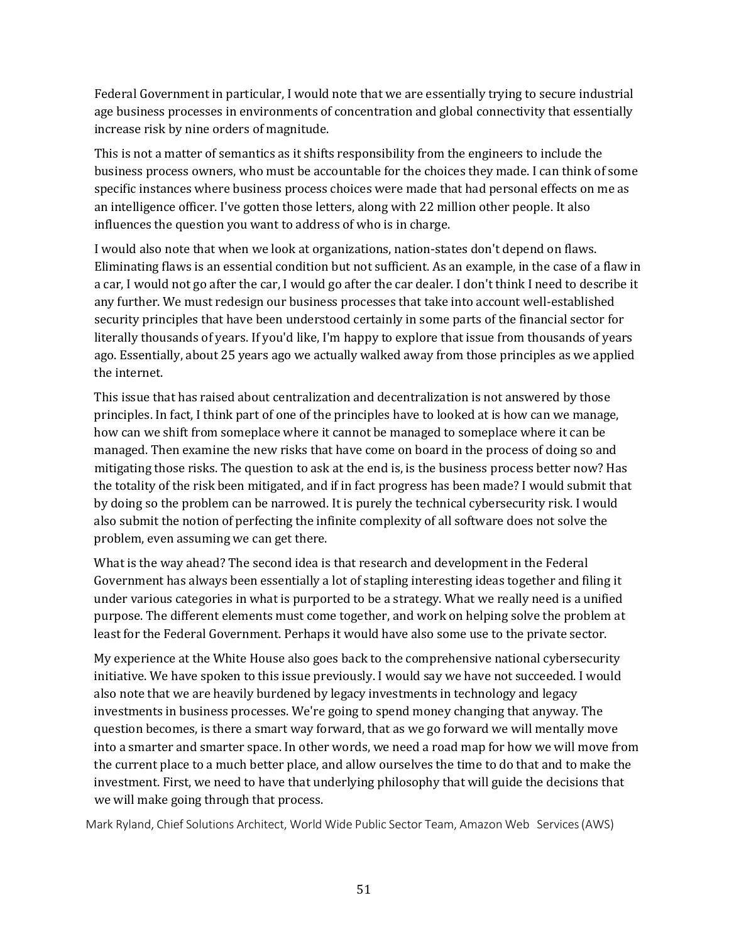Federal Government in particular, I would note that we are essentially trying to secure industrial age business processes in environments of concentration and global connectivity that essentially increase risk by nine orders of magnitude.

This is not a matter of semantics as it shifts responsibility from the engineers to include the business process owners, who must be accountable for the choices they made. I can think of some specific instances where business process choices were made that had personal effects on me as an intelligence officer. I've gotten those letters, along with 22 million other people. It also influences the question you want to address of who is in charge.

I would also note that when we look at organizations, nation-states don't depend on flaws. Eliminating flaws is an essential condition but not sufficient. As an example, in the case of a flaw in a car, I would not go after the car, I would go after the car dealer. I don't think I need to describe it any further. We must redesign our business processes that take into account well-established security principles that have been understood certainly in some parts of the financial sector for literally thousands of years. If you'd like, I'm happy to explore that issue from thousands of years ago. Essentially, about 25 years ago we actually walked away from those principles as we applied the internet.

This issue that has raised about centralization and decentralization is not answered by those principles. In fact, I think part of one of the principles have to looked at is how can we manage, how can we shift from someplace where it cannot be managed to someplace where it can be managed. Then examine the new risks that have come on board in the process of doing so and mitigating those risks. The question to ask at the end is, is the business process better now? Has the totality of the risk been mitigated, and if in fact progress has been made? I would submit that by doing so the problem can be narrowed. It is purely the technical cybersecurity risk. I would also submit the notion of perfecting the infinite complexity of all software does not solve the problem, even assuming we can get there.

What is the way ahead? The second idea is that research and development in the Federal Government has always been essentially a lot of stapling interesting ideas together and filing it under various categories in what is purported to be a strategy. What we really need is a unified purpose. The different elements must come together, and work on helping solve the problem at least for the Federal Government. Perhaps it would have also some use to the private sector.

My experience at the White House also goes back to the comprehensive national cybersecurity initiative. We have spoken to this issue previously. I would say we have not succeeded. I would also note that we are heavily burdened by legacy investments in technology and legacy investments in business processes. We're going to spend money changing that anyway. The question becomes, is there a smart way forward, that as we go forward we will mentally move into a smarter and smarter space. In other words, we need a road map for how we will move from the current place to a much better place, and allow ourselves the time to do that and to make the investment. First, we need to have that underlying philosophy that will guide the decisions that we will make going through that process.

Mark Ryland, Chief Solutions Architect, World Wide Public Sector Team, Amazon Web Services(AWS)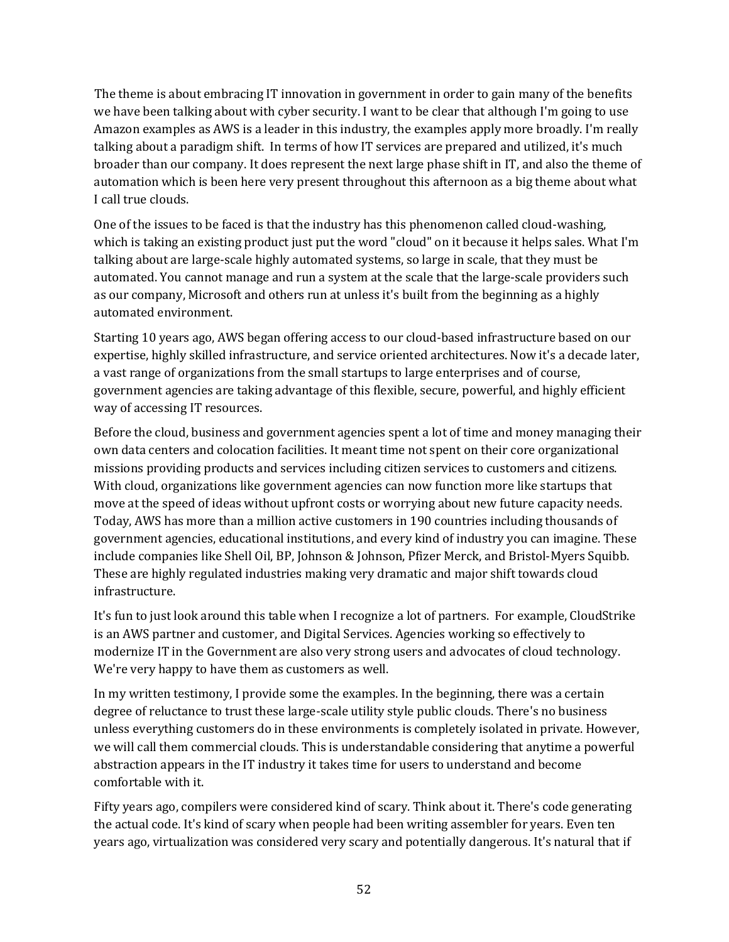The theme is about embracing IT innovation in government in order to gain many of the benefits we have been talking about with cyber security. I want to be clear that although I'm going to use Amazon examples as AWS is a leader in this industry, the examples apply more broadly. I'm really talking about a paradigm shift. In terms of how IT services are prepared and utilized, it's much broader than our company. It does represent the next large phase shift in IT, and also the theme of automation which is been here very present throughout this afternoon as a big theme about what I call true clouds.

One of the issues to be faced is that the industry has this phenomenon called cloud-washing, which is taking an existing product just put the word "cloud" on it because it helps sales. What I'm talking about are large-scale highly automated systems, so large in scale, that they must be automated. You cannot manage and run a system at the scale that the large-scale providers such as our company, Microsoft and others run at unless it's built from the beginning as a highly automated environment.

Starting 10 years ago, AWS began offering access to our cloud-based infrastructure based on our expertise, highly skilled infrastructure, and service oriented architectures. Now it's a decade later, a vast range of organizations from the small startups to large enterprises and of course, government agencies are taking advantage of this flexible, secure, powerful, and highly efficient way of accessing IT resources.

Before the cloud, business and government agencies spent a lot of time and money managing their own data centers and colocation facilities. It meant time not spent on their core organizational missions providing products and services including citizen services to customers and citizens. With cloud, organizations like government agencies can now function more like startups that move at the speed of ideas without upfront costs or worrying about new future capacity needs. Today, AWS has more than a million active customers in 190 countries including thousands of government agencies, educational institutions, and every kind of industry you can imagine. These include companies like Shell Oil, BP, Johnson & Johnson, Pfizer Merck, and Bristol-Myers Squibb. These are highly regulated industries making very dramatic and major shift towards cloud infrastructure.

It's fun to just look around this table when I recognize a lot of partners. For example, CloudStrike is an AWS partner and customer, and Digital Services. Agencies working so effectively to modernize IT in the Government are also very strong users and advocates of cloud technology. We're very happy to have them as customers as well.

In my written testimony, I provide some the examples. In the beginning, there was a certain degree of reluctance to trust these large-scale utility style public clouds. There's no business unless everything customers do in these environments is completely isolated in private. However, we will call them commercial clouds. This is understandable considering that anytime a powerful abstraction appears in the IT industry it takes time for users to understand and become comfortable with it.

Fifty years ago, compilers were considered kind of scary. Think about it. There's code generating the actual code. It's kind of scary when people had been writing assembler for years. Even ten years ago, virtualization was considered very scary and potentially dangerous. It's natural that if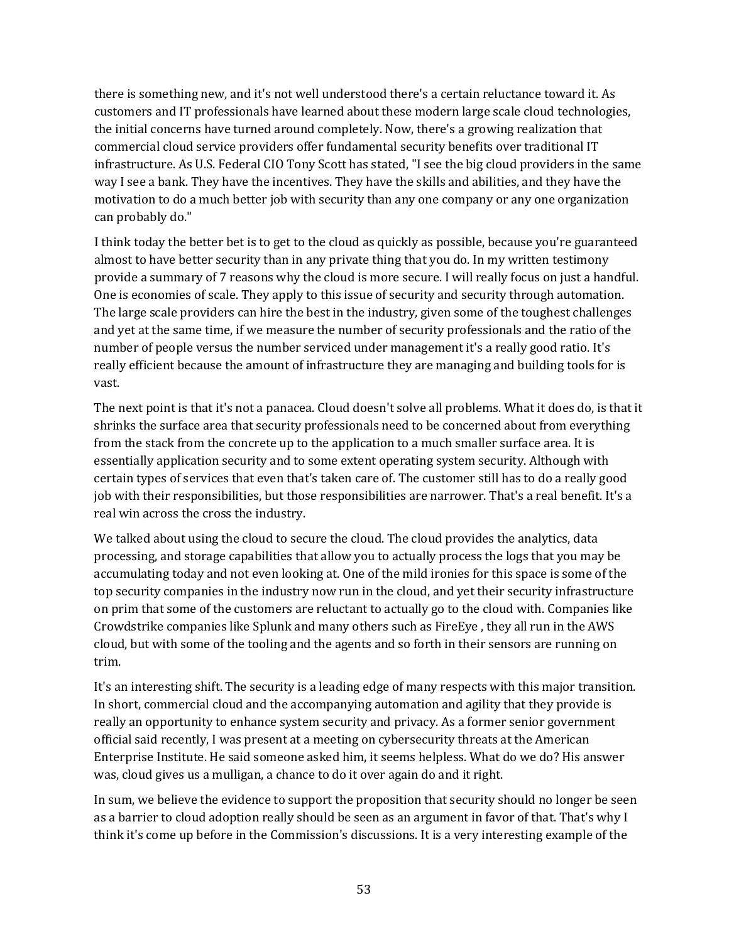there is something new, and it's not well understood there's a certain reluctance toward it. As customers and IT professionals have learned about these modern large scale cloud technologies, the initial concerns have turned around completely. Now, there's a growing realization that commercial cloud service providers offer fundamental security benefits over traditional IT infrastructure. As U.S. Federal CIO Tony Scott has stated, "I see the big cloud providers in the same way I see a bank. They have the incentives. They have the skills and abilities, and they have the motivation to do a much better job with security than any one company or any one organization can probably do."

I think today the better bet is to get to the cloud as quickly as possible, because you're guaranteed almost to have better security than in any private thing that you do. In my written testimony provide a summary of 7 reasons why the cloud is more secure. I will really focus on just a handful. One is economies of scale. They apply to this issue of security and security through automation. The large scale providers can hire the best in the industry, given some of the toughest challenges and yet at the same time, if we measure the number of security professionals and the ratio of the number of people versus the number serviced under management it's a really good ratio. It's really efficient because the amount of infrastructure they are managing and building tools for is vast.

The next point is that it's not a panacea. Cloud doesn't solve all problems. What it does do, is that it shrinks the surface area that security professionals need to be concerned about from everything from the stack from the concrete up to the application to a much smaller surface area. It is essentially application security and to some extent operating system security. Although with certain types of services that even that's taken care of. The customer still has to do a really good job with their responsibilities, but those responsibilities are narrower. That's a real benefit. It's a real win across the cross the industry.

We talked about using the cloud to secure the cloud. The cloud provides the analytics, data processing, and storage capabilities that allow you to actually process the logs that you may be accumulating today and not even looking at. One of the mild ironies for this space is some of the top security companies in the industry now run in the cloud, and yet their security infrastructure on prim that some of the customers are reluctant to actually go to the cloud with. Companies like Crowdstrike companies like Splunk and many others such as FireEye , they all run in the AWS cloud, but with some of the tooling and the agents and so forth in their sensors are running on trim.

It's an interesting shift. The security is a leading edge of many respects with this major transition. In short, commercial cloud and the accompanying automation and agility that they provide is really an opportunity to enhance system security and privacy. As a former senior government official said recently, I was present at a meeting on cybersecurity threats at the American Enterprise Institute. He said someone asked him, it seems helpless. What do we do? His answer was, cloud gives us a mulligan, a chance to do it over again do and it right.

In sum, we believe the evidence to support the proposition that security should no longer be seen as a barrier to cloud adoption really should be seen as an argument in favor of that. That's why I think it's come up before in the Commission's discussions. It is a very interesting example of the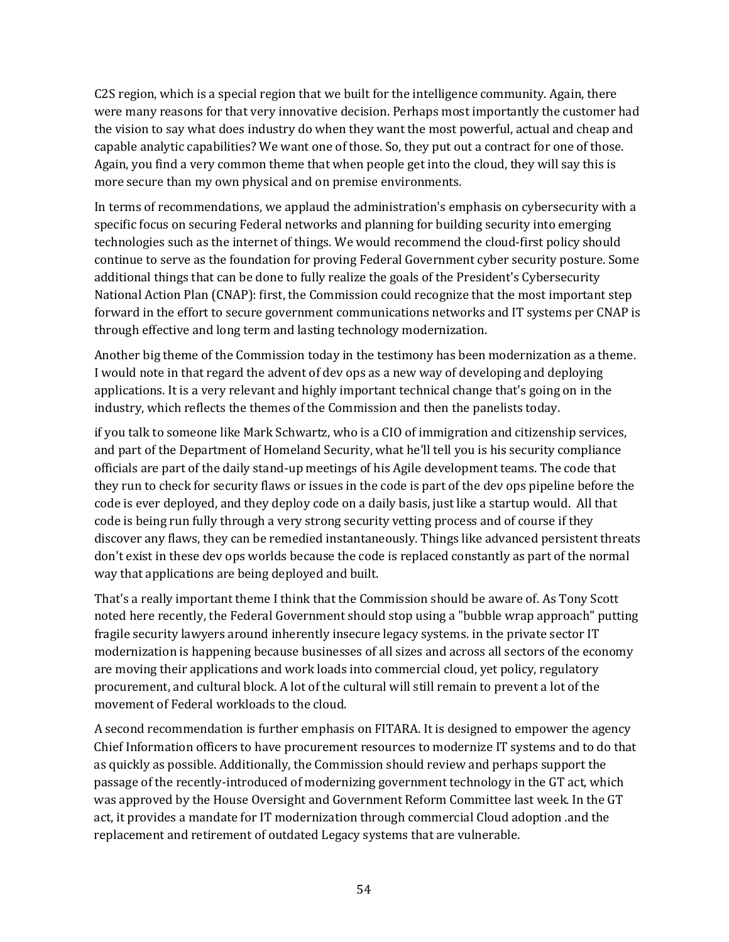C2S region, which is a special region that we built for the intelligence community. Again, there were many reasons for that very innovative decision. Perhaps most importantly the customer had the vision to say what does industry do when they want the most powerful, actual and cheap and capable analytic capabilities? We want one of those. So, they put out a contract for one of those. Again, you find a very common theme that when people get into the cloud, they will say this is more secure than my own physical and on premise environments.

In terms of recommendations, we applaud the administration's emphasis on cybersecurity with a specific focus on securing Federal networks and planning for building security into emerging technologies such as the internet of things. We would recommend the cloud-first policy should continue to serve as the foundation for proving Federal Government cyber security posture. Some additional things that can be done to fully realize the goals of the President's Cybersecurity National Action Plan (CNAP): first, the Commission could recognize that the most important step forward in the effort to secure government communications networks and IT systems per CNAP is through effective and long term and lasting technology modernization.

Another big theme of the Commission today in the testimony has been modernization as a theme. I would note in that regard the advent of dev ops as a new way of developing and deploying applications. It is a very relevant and highly important technical change that's going on in the industry, which reflects the themes of the Commission and then the panelists today.

if you talk to someone like Mark Schwartz, who is a CIO of immigration and citizenship services, and part of the Department of Homeland Security, what he'll tell you is his security compliance officials are part of the daily stand-up meetings of his Agile development teams. The code that they run to check for security flaws or issues in the code is part of the dev ops pipeline before the code is ever deployed, and they deploy code on a daily basis, just like a startup would. All that code is being run fully through a very strong security vetting process and of course if they discover any flaws, they can be remedied instantaneously. Things like advanced persistent threats don't exist in these dev ops worlds because the code is replaced constantly as part of the normal way that applications are being deployed and built.

That's a really important theme I think that the Commission should be aware of. As Tony Scott noted here recently, the Federal Government should stop using a "bubble wrap approach" putting fragile security lawyers around inherently insecure legacy systems. in the private sector IT modernization is happening because businesses of all sizes and across all sectors of the economy are moving their applications and work loads into commercial cloud, yet policy, regulatory procurement, and cultural block. A lot of the cultural will still remain to prevent a lot of the movement of Federal workloads to the cloud.

A second recommendation is further emphasis on FITARA. It is designed to empower the agency Chief Information officers to have procurement resources to modernize IT systems and to do that as quickly as possible. Additionally, the Commission should review and perhaps support the passage of the recently-introduced of modernizing government technology in the GT act, which was approved by the House Oversight and Government Reform Committee last week. In the GT act, it provides a mandate for IT modernization through commercial Cloud adoption .and the replacement and retirement of outdated Legacy systems that are vulnerable.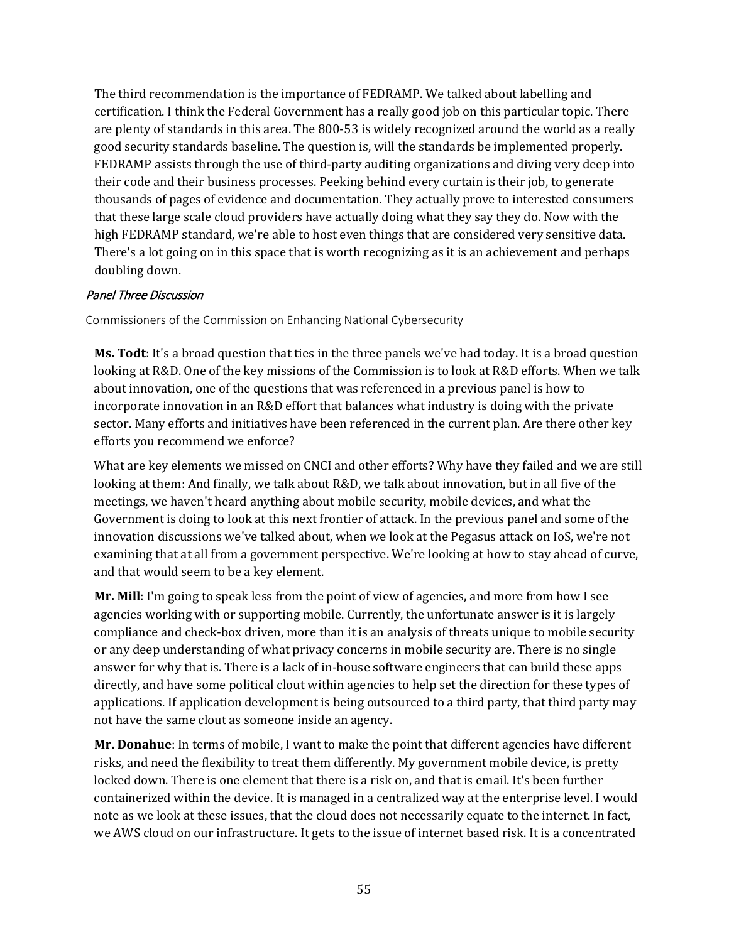The third recommendation is the importance of FEDRAMP. We talked about labelling and certification. I think the Federal Government has a really good job on this particular topic. There are plenty of standards in this area. The 800-53 is widely recognized around the world as a really good security standards baseline. The question is, will the standards be implemented properly. FEDRAMP assists through the use of third-party auditing organizations and diving very deep into their code and their business processes. Peeking behind every curtain is their job, to generate thousands of pages of evidence and documentation. They actually prove to interested consumers that these large scale cloud providers have actually doing what they say they do. Now with the high FEDRAMP standard, we're able to host even things that are considered very sensitive data. There's a lot going on in this space that is worth recognizing as it is an achievement and perhaps doubling down.

#### Panel Three Discussion

Commissioners of the Commission on Enhancing National Cybersecurity

**Ms. Todt**: It's a broad question that ties in the three panels we've had today. It is a broad question looking at R&D. One of the key missions of the Commission is to look at R&D efforts. When we talk about innovation, one of the questions that was referenced in a previous panel is how to incorporate innovation in an R&D effort that balances what industry is doing with the private sector. Many efforts and initiatives have been referenced in the current plan. Are there other key efforts you recommend we enforce?

What are key elements we missed on CNCI and other efforts? Why have they failed and we are still looking at them: And finally, we talk about R&D, we talk about innovation, but in all five of the meetings, we haven't heard anything about mobile security, mobile devices, and what the Government is doing to look at this next frontier of attack. In the previous panel and some of the innovation discussions we've talked about, when we look at the Pegasus attack on IoS, we're not examining that at all from a government perspective. We're looking at how to stay ahead of curve, and that would seem to be a key element.

**Mr. Mill**: I'm going to speak less from the point of view of agencies, and more from how I see agencies working with or supporting mobile. Currently, the unfortunate answer is it is largely compliance and check-box driven, more than it is an analysis of threats unique to mobile security or any deep understanding of what privacy concerns in mobile security are. There is no single answer for why that is. There is a lack of in-house software engineers that can build these apps directly, and have some political clout within agencies to help set the direction for these types of applications. If application development is being outsourced to a third party, that third party may not have the same clout as someone inside an agency.

**Mr. Donahue**: In terms of mobile, I want to make the point that different agencies have different risks, and need the flexibility to treat them differently. My government mobile device, is pretty locked down. There is one element that there is a risk on, and that is email. It's been further containerized within the device. It is managed in a centralized way at the enterprise level. I would note as we look at these issues, that the cloud does not necessarily equate to the internet. In fact, we AWS cloud on our infrastructure. It gets to the issue of internet based risk. It is a concentrated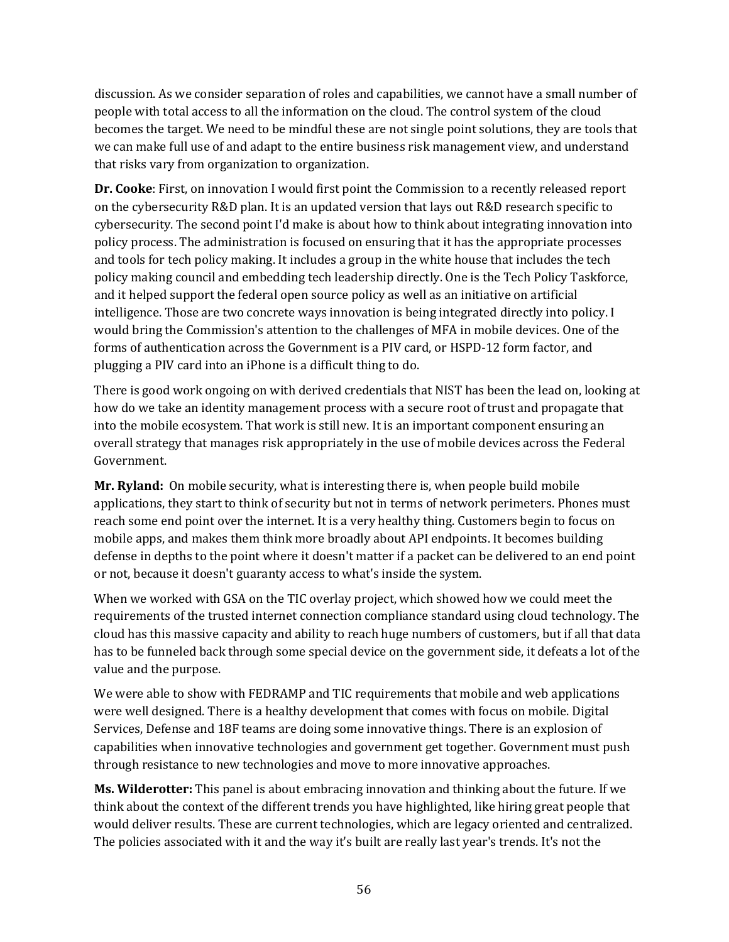discussion. As we consider separation of roles and capabilities, we cannot have a small number of people with total access to all the information on the cloud. The control system of the cloud becomes the target. We need to be mindful these are not single point solutions, they are tools that we can make full use of and adapt to the entire business risk management view, and understand that risks vary from organization to organization.

**Dr. Cooke**: First, on innovation I would first point the Commission to a recently released report on the cybersecurity R&D plan. It is an updated version that lays out R&D research specific to cybersecurity. The second point I'd make is about how to think about integrating innovation into policy process. The administration is focused on ensuring that it has the appropriate processes and tools for tech policy making. It includes a group in the white house that includes the tech policy making council and embedding tech leadership directly. One is the Tech Policy Taskforce, and it helped support the federal open source policy as well as an initiative on artificial intelligence. Those are two concrete ways innovation is being integrated directly into policy. I would bring the Commission's attention to the challenges of MFA in mobile devices. One of the forms of authentication across the Government is a PIV card, or HSPD-12 form factor, and plugging a PIV card into an iPhone is a difficult thing to do.

There is good work ongoing on with derived credentials that NIST has been the lead on, looking at how do we take an identity management process with a secure root of trust and propagate that into the mobile ecosystem. That work is still new. It is an important component ensuring an overall strategy that manages risk appropriately in the use of mobile devices across the Federal Government.

**Mr. Ryland:** On mobile security, what is interesting there is, when people build mobile applications, they start to think of security but not in terms of network perimeters. Phones must reach some end point over the internet. It is a very healthy thing. Customers begin to focus on mobile apps, and makes them think more broadly about API endpoints. It becomes building defense in depths to the point where it doesn't matter if a packet can be delivered to an end point or not, because it doesn't guaranty access to what's inside the system.

When we worked with GSA on the TIC overlay project, which showed how we could meet the requirements of the trusted internet connection compliance standard using cloud technology. The cloud has this massive capacity and ability to reach huge numbers of customers, but if all that data has to be funneled back through some special device on the government side, it defeats a lot of the value and the purpose.

We were able to show with FEDRAMP and TIC requirements that mobile and web applications were well designed. There is a healthy development that comes with focus on mobile. Digital Services, Defense and 18F teams are doing some innovative things. There is an explosion of capabilities when innovative technologies and government get together. Government must push through resistance to new technologies and move to more innovative approaches.

**Ms. Wilderotter:** This panel is about embracing innovation and thinking about the future. If we think about the context of the different trends you have highlighted, like hiring great people that would deliver results. These are current technologies, which are legacy oriented and centralized. The policies associated with it and the way it's built are really last year's trends. It's not the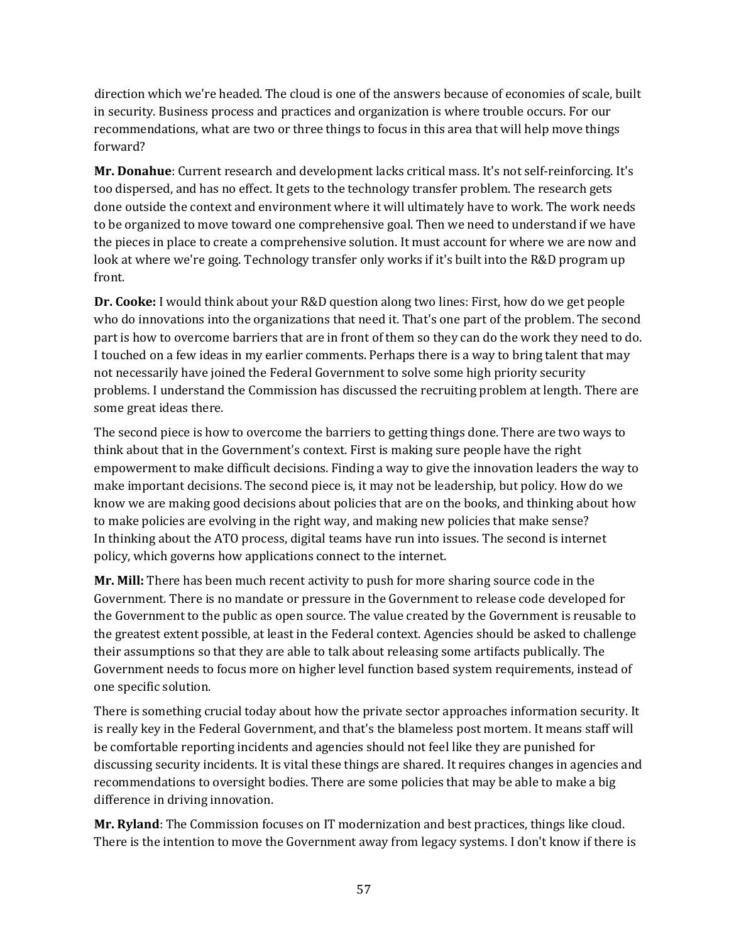direction which we're headed. The cloud is one of the answers because of economies of scale, built in security. Business process and practices and organization is where trouble occurs. For our recommendations, what are two or three things to focus in this area that will help move things forward?

**Mr. Donahue**: Current research and development lacks critical mass. It's not self-reinforcing. It's too dispersed, and has no effect. It gets to the technology transfer problem. The research gets done outside the context and environment where it will ultimately have to work. The work needs to be organized to move toward one comprehensive goal. Then we need to understand if we have the pieces in place to create a comprehensive solution. It must account for where we are now and look at where we're going. Technology transfer only works if it's built into the R&D program up front.

**Dr. Cooke:** I would think about your R&D question along two lines: First, how do we get people who do innovations into the organizations that need it. That's one part of the problem. The second part is how to overcome barriers that are in front of them so they can do the work they need to do. I touched on a few ideas in my earlier comments. Perhaps there is a way to bring talent that may not necessarily have joined the Federal Government to solve some high priority security problems. I understand the Commission has discussed the recruiting problem at length. There are some great ideas there.

The second piece is how to overcome the barriers to getting things done. There are two ways to think about that in the Government's context. First is making sure people have the right empowerment to make difficult decisions. Finding a way to give the innovation leaders the way to make important decisions. The second piece is, it may not be leadership, but policy. How do we know we are making good decisions about policies that are on the books, and thinking about how to make policies are evolving in the right way, and making new policies that make sense? In thinking about the ATO process, digital teams have run into issues. The second is internet policy, which governs how applications connect to the internet.

**Mr. Mill:** There has been much recent activity to push for more sharing source code in the Government. There is no mandate or pressure in the Government to release code developed for the Government to the public as open source. The value created by the Government is reusable to the greatest extent possible, at least in the Federal context. Agencies should be asked to challenge their assumptions so that they are able to talk about releasing some artifacts publically. The Government needs to focus more on higher level function based system requirements, instead of one specific solution.

There is something crucial today about how the private sector approaches information security. It is really key in the Federal Government, and that's the blameless post mortem. It means staff will be comfortable reporting incidents and agencies should not feel like they are punished for discussing security incidents. It is vital these things are shared. It requires changes in agencies and recommendations to oversight bodies. There are some policies that may be able to make a big difference in driving innovation.

**Mr. Ryland**: The Commission focuses on IT modernization and best practices, things like cloud. There is the intention to move the Government away from legacy systems. I don't know if there is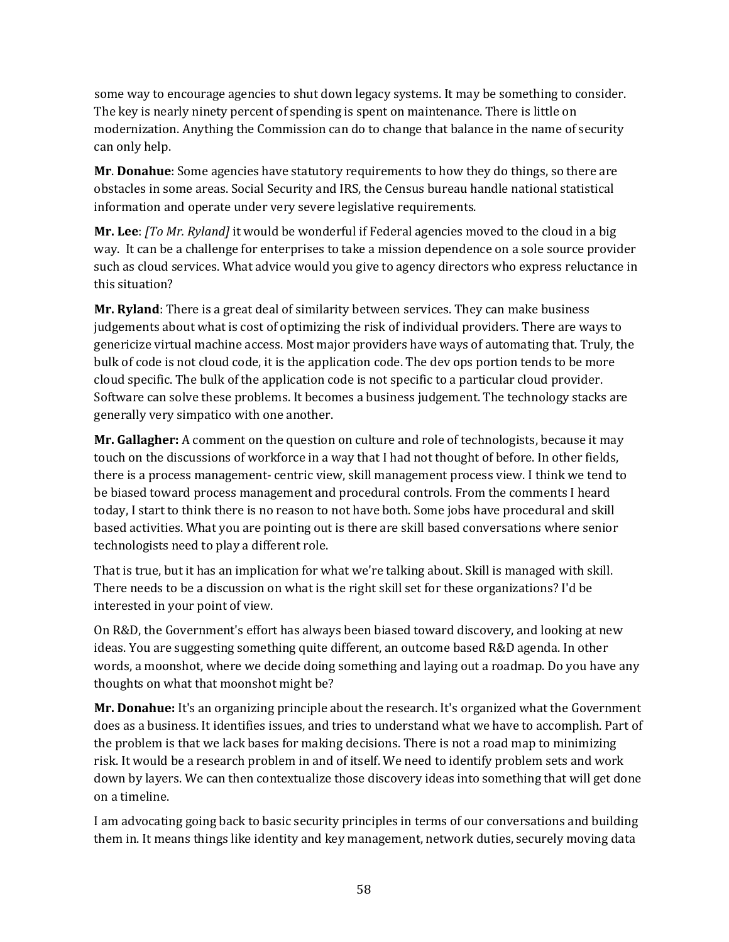some way to encourage agencies to shut down legacy systems. It may be something to consider. The key is nearly ninety percent of spending is spent on maintenance. There is little on modernization. Anything the Commission can do to change that balance in the name of security can only help.

**Mr**. **Donahue**: Some agencies have statutory requirements to how they do things, so there are obstacles in some areas. Social Security and IRS, the Census bureau handle national statistical information and operate under very severe legislative requirements.

**Mr. Lee**: *[To Mr. Ryland]* it would be wonderful if Federal agencies moved to the cloud in a big way. It can be a challenge for enterprises to take a mission dependence on a sole source provider such as cloud services. What advice would you give to agency directors who express reluctance in this situation?

**Mr. Ryland**: There is a great deal of similarity between services. They can make business judgements about what is cost of optimizing the risk of individual providers. There are ways to genericize virtual machine access. Most major providers have ways of automating that. Truly, the bulk of code is not cloud code, it is the application code. The dev ops portion tends to be more cloud specific. The bulk of the application code is not specific to a particular cloud provider. Software can solve these problems. It becomes a business judgement. The technology stacks are generally very simpatico with one another.

**Mr. Gallagher:** A comment on the question on culture and role of technologists, because it may touch on the discussions of workforce in a way that I had not thought of before. In other fields, there is a process management- centric view, skill management process view. I think we tend to be biased toward process management and procedural controls. From the comments I heard today, I start to think there is no reason to not have both. Some jobs have procedural and skill based activities. What you are pointing out is there are skill based conversations where senior technologists need to play a different role.

That is true, but it has an implication for what we're talking about. Skill is managed with skill. There needs to be a discussion on what is the right skill set for these organizations? I'd be interested in your point of view.

On R&D, the Government's effort has always been biased toward discovery, and looking at new ideas. You are suggesting something quite different, an outcome based R&D agenda. In other words, a moonshot, where we decide doing something and laying out a roadmap. Do you have any thoughts on what that moonshot might be?

**Mr. Donahue:** It's an organizing principle about the research. It's organized what the Government does as a business. It identifies issues, and tries to understand what we have to accomplish. Part of the problem is that we lack bases for making decisions. There is not a road map to minimizing risk. It would be a research problem in and of itself. We need to identify problem sets and work down by layers. We can then contextualize those discovery ideas into something that will get done on a timeline.

I am advocating going back to basic security principles in terms of our conversations and building them in. It means things like identity and key management, network duties, securely moving data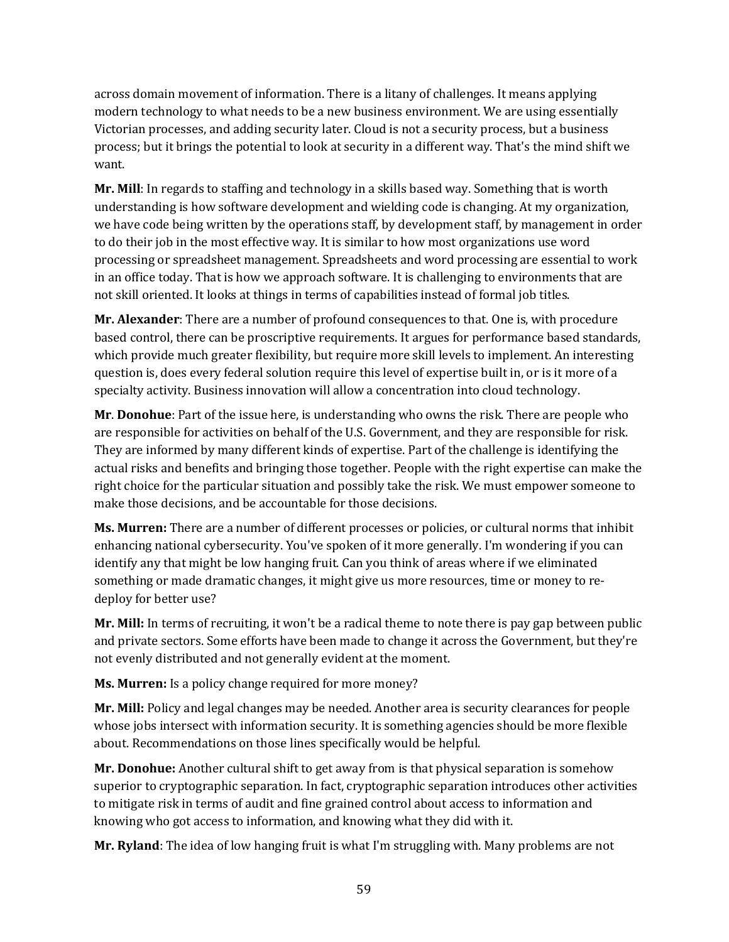across domain movement of information. There is a litany of challenges. It means applying modern technology to what needs to be a new business environment. We are using essentially Victorian processes, and adding security later. Cloud is not a security process, but a business process; but it brings the potential to look at security in a different way. That's the mind shift we want.

**Mr. Mill**: In regards to staffing and technology in a skills based way. Something that is worth understanding is how software development and wielding code is changing. At my organization, we have code being written by the operations staff, by development staff, by management in order to do their job in the most effective way. It is similar to how most organizations use word processing or spreadsheet management. Spreadsheets and word processing are essential to work in an office today. That is how we approach software. It is challenging to environments that are not skill oriented. It looks at things in terms of capabilities instead of formal job titles.

**Mr. Alexander**: There are a number of profound consequences to that. One is, with procedure based control, there can be proscriptive requirements. It argues for performance based standards, which provide much greater flexibility, but require more skill levels to implement. An interesting question is, does every federal solution require this level of expertise built in, or is it more of a specialty activity. Business innovation will allow a concentration into cloud technology.

**Mr**. **Donohue**: Part of the issue here, is understanding who owns the risk. There are people who are responsible for activities on behalf of the U.S. Government, and they are responsible for risk. They are informed by many different kinds of expertise. Part of the challenge is identifying the actual risks and benefits and bringing those together. People with the right expertise can make the right choice for the particular situation and possibly take the risk. We must empower someone to make those decisions, and be accountable for those decisions.

**Ms. Murren:** There are a number of different processes or policies, or cultural norms that inhibit enhancing national cybersecurity. You've spoken of it more generally. I'm wondering if you can identify any that might be low hanging fruit. Can you think of areas where if we eliminated something or made dramatic changes, it might give us more resources, time or money to redeploy for better use?

**Mr. Mill:** In terms of recruiting, it won't be a radical theme to note there is pay gap between public and private sectors. Some efforts have been made to change it across the Government, but they're not evenly distributed and not generally evident at the moment.

**Ms. Murren:** Is a policy change required for more money?

**Mr. Mill:** Policy and legal changes may be needed. Another area is security clearances for people whose jobs intersect with information security. It is something agencies should be more flexible about. Recommendations on those lines specifically would be helpful.

**Mr. Donohue:** Another cultural shift to get away from is that physical separation is somehow superior to cryptographic separation. In fact, cryptographic separation introduces other activities to mitigate risk in terms of audit and fine grained control about access to information and knowing who got access to information, and knowing what they did with it.

**Mr. Ryland**: The idea of low hanging fruit is what I'm struggling with. Many problems are not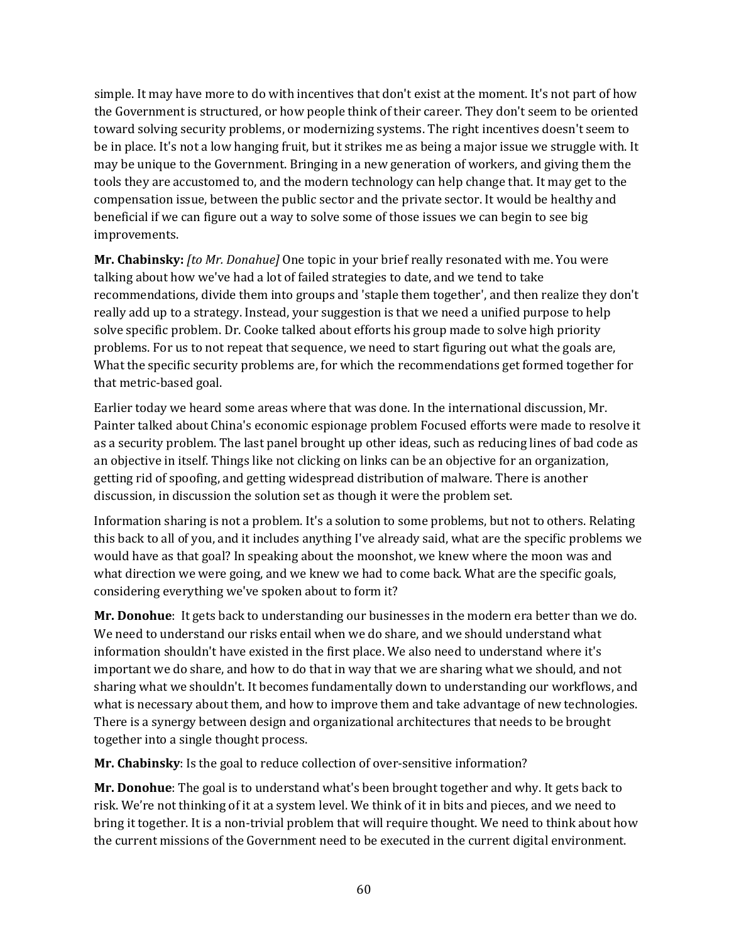simple. It may have more to do with incentives that don't exist at the moment. It's not part of how the Government is structured, or how people think of their career. They don't seem to be oriented toward solving security problems, or modernizing systems. The right incentives doesn't seem to be in place. It's not a low hanging fruit, but it strikes me as being a major issue we struggle with. It may be unique to the Government. Bringing in a new generation of workers, and giving them the tools they are accustomed to, and the modern technology can help change that. It may get to the compensation issue, between the public sector and the private sector. It would be healthy and beneficial if we can figure out a way to solve some of those issues we can begin to see big improvements.

**Mr. Chabinsky:** *[to Mr. Donahue]* One topic in your brief really resonated with me. You were talking about how we've had a lot of failed strategies to date, and we tend to take recommendations, divide them into groups and 'staple them together', and then realize they don't really add up to a strategy. Instead, your suggestion is that we need a unified purpose to help solve specific problem. Dr. Cooke talked about efforts his group made to solve high priority problems. For us to not repeat that sequence, we need to start figuring out what the goals are, What the specific security problems are, for which the recommendations get formed together for that metric-based goal.

Earlier today we heard some areas where that was done. In the international discussion, Mr. Painter talked about China's economic espionage problem Focused efforts were made to resolve it as a security problem. The last panel brought up other ideas, such as reducing lines of bad code as an objective in itself. Things like not clicking on links can be an objective for an organization, getting rid of spoofing, and getting widespread distribution of malware. There is another discussion, in discussion the solution set as though it were the problem set.

Information sharing is not a problem. It's a solution to some problems, but not to others. Relating this back to all of you, and it includes anything I've already said, what are the specific problems we would have as that goal? In speaking about the moonshot, we knew where the moon was and what direction we were going, and we knew we had to come back. What are the specific goals, considering everything we've spoken about to form it?

**Mr. Donohue**: It gets back to understanding our businesses in the modern era better than we do. We need to understand our risks entail when we do share, and we should understand what information shouldn't have existed in the first place. We also need to understand where it's important we do share, and how to do that in way that we are sharing what we should, and not sharing what we shouldn't. It becomes fundamentally down to understanding our workflows, and what is necessary about them, and how to improve them and take advantage of new technologies. There is a synergy between design and organizational architectures that needs to be brought together into a single thought process.

**Mr. Chabinsky**: Is the goal to reduce collection of over-sensitive information?

**Mr. Donohue**: The goal is to understand what's been brought together and why. It gets back to risk. We're not thinking of it at a system level. We think of it in bits and pieces, and we need to bring it together. It is a non-trivial problem that will require thought. We need to think about how the current missions of the Government need to be executed in the current digital environment.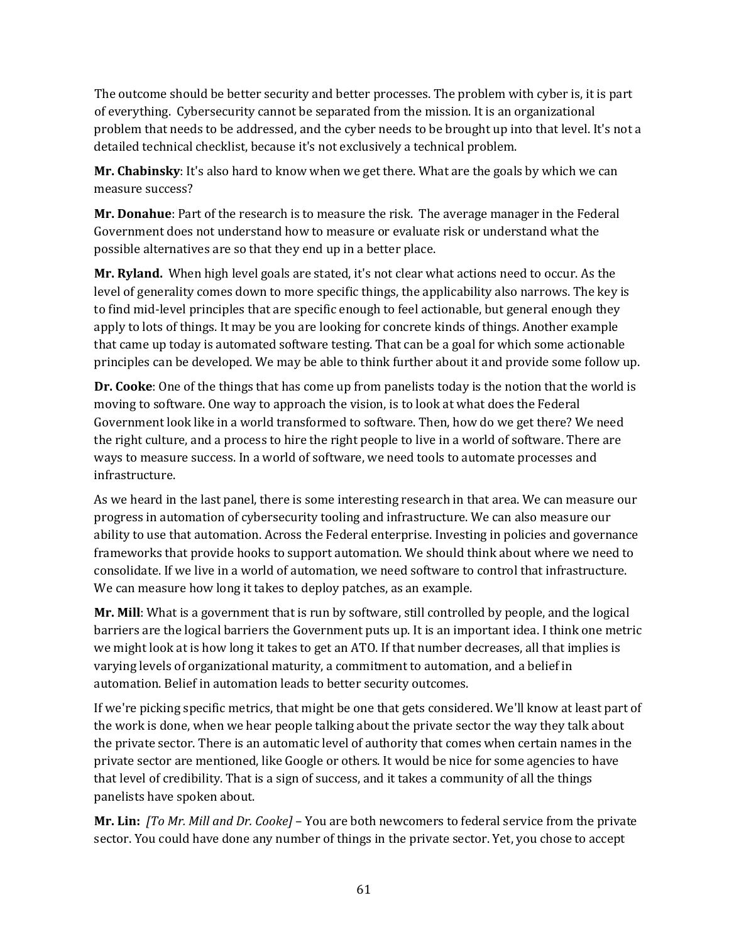The outcome should be better security and better processes. The problem with cyber is, it is part of everything. Cybersecurity cannot be separated from the mission. It is an organizational problem that needs to be addressed, and the cyber needs to be brought up into that level. It's not a detailed technical checklist, because it's not exclusively a technical problem.

**Mr. Chabinsky**: It's also hard to know when we get there. What are the goals by which we can measure success?

**Mr. Donahue**: Part of the research is to measure the risk. The average manager in the Federal Government does not understand how to measure or evaluate risk or understand what the possible alternatives are so that they end up in a better place.

**Mr. Ryland.** When high level goals are stated, it's not clear what actions need to occur. As the level of generality comes down to more specific things, the applicability also narrows. The key is to find mid-level principles that are specific enough to feel actionable, but general enough they apply to lots of things. It may be you are looking for concrete kinds of things. Another example that came up today is automated software testing. That can be a goal for which some actionable principles can be developed. We may be able to think further about it and provide some follow up.

**Dr. Cooke**: One of the things that has come up from panelists today is the notion that the world is moving to software. One way to approach the vision, is to look at what does the Federal Government look like in a world transformed to software. Then, how do we get there? We need the right culture, and a process to hire the right people to live in a world of software. There are ways to measure success. In a world of software, we need tools to automate processes and infrastructure.

As we heard in the last panel, there is some interesting research in that area. We can measure our progress in automation of cybersecurity tooling and infrastructure. We can also measure our ability to use that automation. Across the Federal enterprise. Investing in policies and governance frameworks that provide hooks to support automation. We should think about where we need to consolidate. If we live in a world of automation, we need software to control that infrastructure. We can measure how long it takes to deploy patches, as an example.

**Mr. Mill**: What is a government that is run by software, still controlled by people, and the logical barriers are the logical barriers the Government puts up. It is an important idea. I think one metric we might look at is how long it takes to get an ATO. If that number decreases, all that implies is varying levels of organizational maturity, a commitment to automation, and a belief in automation. Belief in automation leads to better security outcomes.

If we're picking specific metrics, that might be one that gets considered. We'll know at least part of the work is done, when we hear people talking about the private sector the way they talk about the private sector. There is an automatic level of authority that comes when certain names in the private sector are mentioned, like Google or others. It would be nice for some agencies to have that level of credibility. That is a sign of success, and it takes a community of all the things panelists have spoken about.

**Mr. Lin:** *[To Mr. Mill and Dr. Cooke]* – You are both newcomers to federal service from the private sector. You could have done any number of things in the private sector. Yet, you chose to accept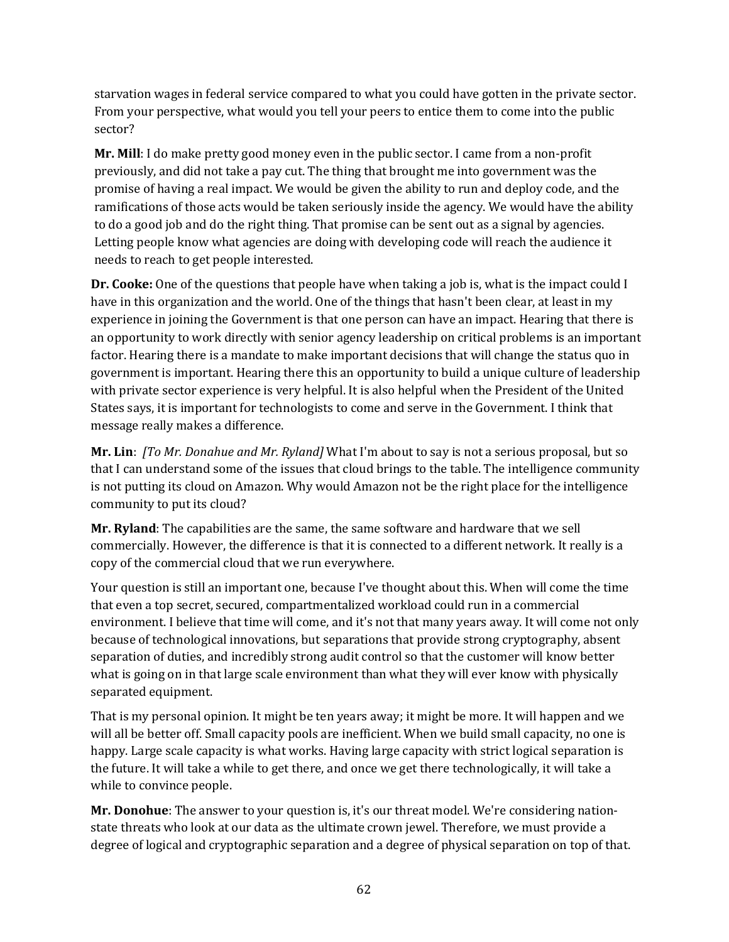starvation wages in federal service compared to what you could have gotten in the private sector. From your perspective, what would you tell your peers to entice them to come into the public sector?

**Mr. Mill**: I do make pretty good money even in the public sector. I came from a non-profit previously, and did not take a pay cut. The thing that brought me into government was the promise of having a real impact. We would be given the ability to run and deploy code, and the ramifications of those acts would be taken seriously inside the agency. We would have the ability to do a good job and do the right thing. That promise can be sent out as a signal by agencies. Letting people know what agencies are doing with developing code will reach the audience it needs to reach to get people interested.

**Dr. Cooke:** One of the questions that people have when taking a job is, what is the impact could I have in this organization and the world. One of the things that hasn't been clear, at least in my experience in joining the Government is that one person can have an impact. Hearing that there is an opportunity to work directly with senior agency leadership on critical problems is an important factor. Hearing there is a mandate to make important decisions that will change the status quo in government is important. Hearing there this an opportunity to build a unique culture of leadership with private sector experience is very helpful. It is also helpful when the President of the United States says, it is important for technologists to come and serve in the Government. I think that message really makes a difference.

**Mr. Lin**: *[To Mr. Donahue and Mr. Ryland]* What I'm about to say is not a serious proposal, but so that I can understand some of the issues that cloud brings to the table. The intelligence community is not putting its cloud on Amazon. Why would Amazon not be the right place for the intelligence community to put its cloud?

**Mr. Ryland**: The capabilities are the same, the same software and hardware that we sell commercially. However, the difference is that it is connected to a different network. It really is a copy of the commercial cloud that we run everywhere.

Your question is still an important one, because I've thought about this. When will come the time that even a top secret, secured, compartmentalized workload could run in a commercial environment. I believe that time will come, and it's not that many years away. It will come not only because of technological innovations, but separations that provide strong cryptography, absent separation of duties, and incredibly strong audit control so that the customer will know better what is going on in that large scale environment than what they will ever know with physically separated equipment.

That is my personal opinion. It might be ten years away; it might be more. It will happen and we will all be better off. Small capacity pools are inefficient. When we build small capacity, no one is happy. Large scale capacity is what works. Having large capacity with strict logical separation is the future. It will take a while to get there, and once we get there technologically, it will take a while to convince people.

**Mr. Donohue**: The answer to your question is, it's our threat model. We're considering nationstate threats who look at our data as the ultimate crown jewel. Therefore, we must provide a degree of logical and cryptographic separation and a degree of physical separation on top of that.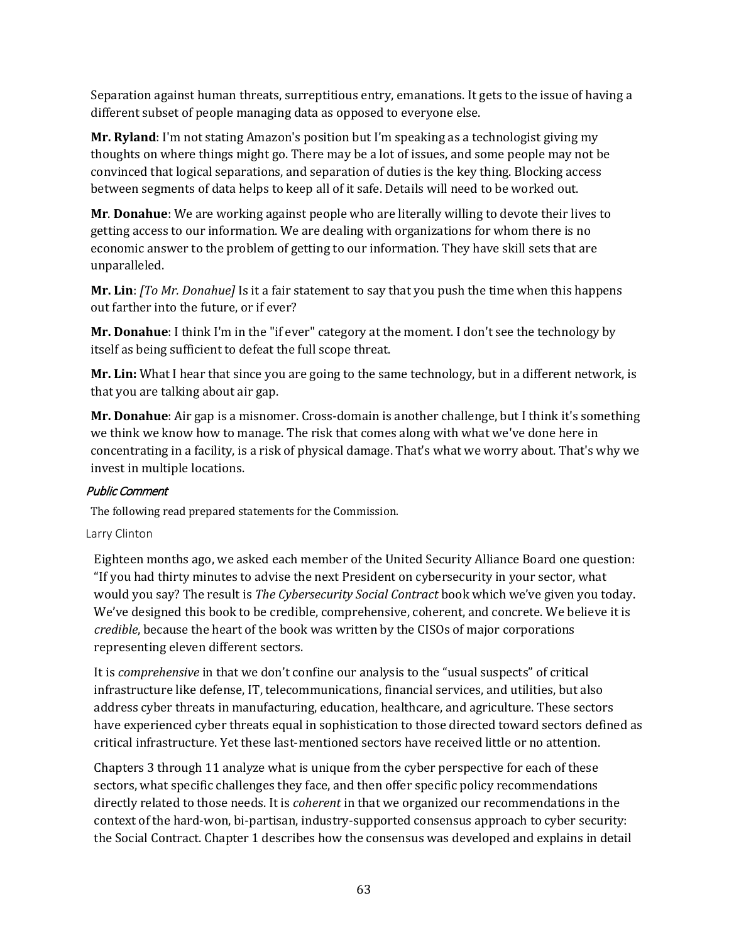Separation against human threats, surreptitious entry, emanations. It gets to the issue of having a different subset of people managing data as opposed to everyone else.

**Mr. Ryland**: I'm not stating Amazon's position but I'm speaking as a technologist giving my thoughts on where things might go. There may be a lot of issues, and some people may not be convinced that logical separations, and separation of duties is the key thing. Blocking access between segments of data helps to keep all of it safe. Details will need to be worked out.

**Mr**. **Donahue**: We are working against people who are literally willing to devote their lives to getting access to our information. We are dealing with organizations for whom there is no economic answer to the problem of getting to our information. They have skill sets that are unparalleled.

**Mr. Lin**: *[To Mr. Donahue]* Is it a fair statement to say that you push the time when this happens out farther into the future, or if ever?

**Mr. Donahue**: I think I'm in the "if ever" category at the moment. I don't see the technology by itself as being sufficient to defeat the full scope threat.

**Mr. Lin:** What I hear that since you are going to the same technology, but in a different network, is that you are talking about air gap.

**Mr. Donahue**: Air gap is a misnomer. Cross-domain is another challenge, but I think it's something we think we know how to manage. The risk that comes along with what we've done here in concentrating in a facility, is a risk of physical damage. That's what we worry about. That's why we invest in multiple locations.

#### Public Comment

The following read prepared statements for the Commission.

#### Larry Clinton

Eighteen months ago, we asked each member of the United Security Alliance Board one question: "If you had thirty minutes to advise the next President on cybersecurity in your sector, what would you say? The result is *The Cybersecurity Social Contract* book which we've given you today. We've designed this book to be credible, comprehensive, coherent, and concrete. We believe it is *credible*, because the heart of the book was written by the CISOs of major corporations representing eleven different sectors.

It is *comprehensive* in that we don't confine our analysis to the "usual suspects" of critical infrastructure like defense, IT, telecommunications, financial services, and utilities, but also address cyber threats in manufacturing, education, healthcare, and agriculture. These sectors have experienced cyber threats equal in sophistication to those directed toward sectors defined as critical infrastructure. Yet these last-mentioned sectors have received little or no attention.

Chapters 3 through 11 analyze what is unique from the cyber perspective for each of these sectors, what specific challenges they face, and then offer specific policy recommendations directly related to those needs. It is *coherent* in that we organized our recommendations in the context of the hard-won, bi-partisan, industry-supported consensus approach to cyber security: the Social Contract. Chapter 1 describes how the consensus was developed and explains in detail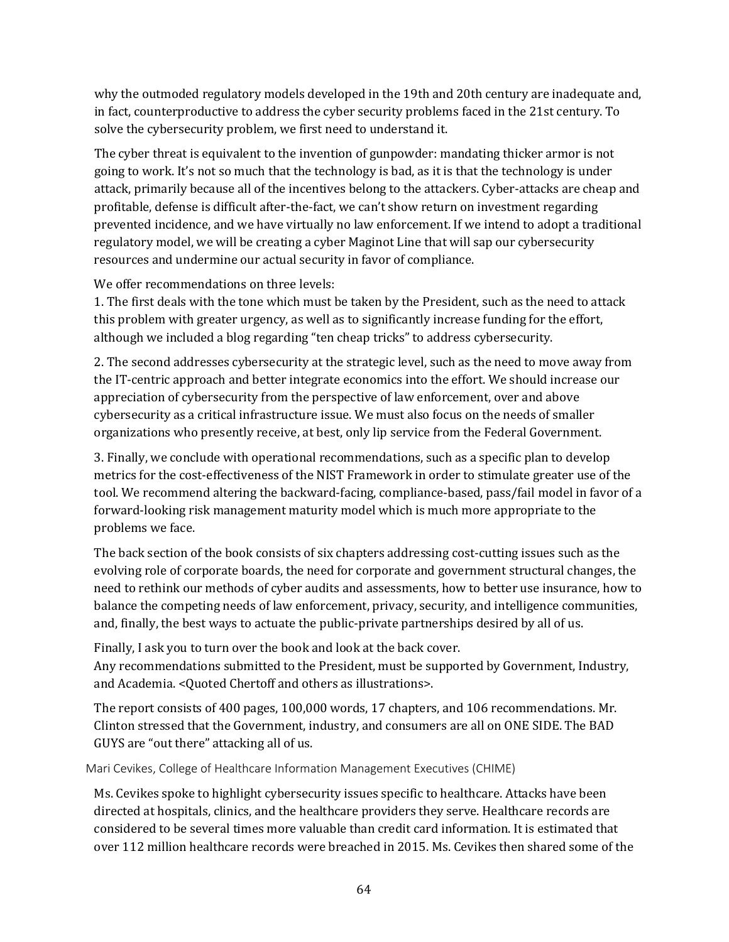why the outmoded regulatory models developed in the 19th and 20th century are inadequate and, in fact, counterproductive to address the cyber security problems faced in the 21st century. To solve the cybersecurity problem, we first need to understand it.

The cyber threat is equivalent to the invention of gunpowder: mandating thicker armor is not going to work. It's not so much that the technology is bad, as it is that the technology is under attack, primarily because all of the incentives belong to the attackers. Cyber-attacks are cheap and profitable, defense is difficult after-the-fact, we can't show return on investment regarding prevented incidence, and we have virtually no law enforcement. If we intend to adopt a traditional regulatory model, we will be creating a cyber Maginot Line that will sap our cybersecurity resources and undermine our actual security in favor of compliance.

We offer recommendations on three levels:

1. The first deals with the tone which must be taken by the President, such as the need to attack this problem with greater urgency, as well as to significantly increase funding for the effort, although we included a blog regarding "ten cheap tricks" to address cybersecurity.

2. The second addresses cybersecurity at the strategic level, such as the need to move away from the IT-centric approach and better integrate economics into the effort. We should increase our appreciation of cybersecurity from the perspective of law enforcement, over and above cybersecurity as a critical infrastructure issue. We must also focus on the needs of smaller organizations who presently receive, at best, only lip service from the Federal Government.

3. Finally, we conclude with operational recommendations, such as a specific plan to develop metrics for the cost-effectiveness of the NIST Framework in order to stimulate greater use of the tool. We recommend altering the backward-facing, compliance-based, pass/fail model in favor of a forward-looking risk management maturity model which is much more appropriate to the problems we face.

The back section of the book consists of six chapters addressing cost-cutting issues such as the evolving role of corporate boards, the need for corporate and government structural changes, the need to rethink our methods of cyber audits and assessments, how to better use insurance, how to balance the competing needs of law enforcement, privacy, security, and intelligence communities, and, finally, the best ways to actuate the public-private partnerships desired by all of us.

Finally, I ask you to turn over the book and look at the back cover.

Any recommendations submitted to the President, must be supported by Government, Industry, and Academia. <Quoted Chertoff and others as illustrations>.

The report consists of 400 pages, 100,000 words, 17 chapters, and 106 recommendations. Mr. Clinton stressed that the Government, industry, and consumers are all on ONE SIDE. The BAD GUYS are "out there" attacking all of us.

Mari Cevikes, College of Healthcare Information Management Executives (CHIME)

Ms. Cevikes spoke to highlight cybersecurity issues specific to healthcare. Attacks have been directed at hospitals, clinics, and the healthcare providers they serve. Healthcare records are considered to be several times more valuable than credit card information. It is estimated that over 112 million healthcare records were breached in 2015. Ms. Cevikes then shared some of the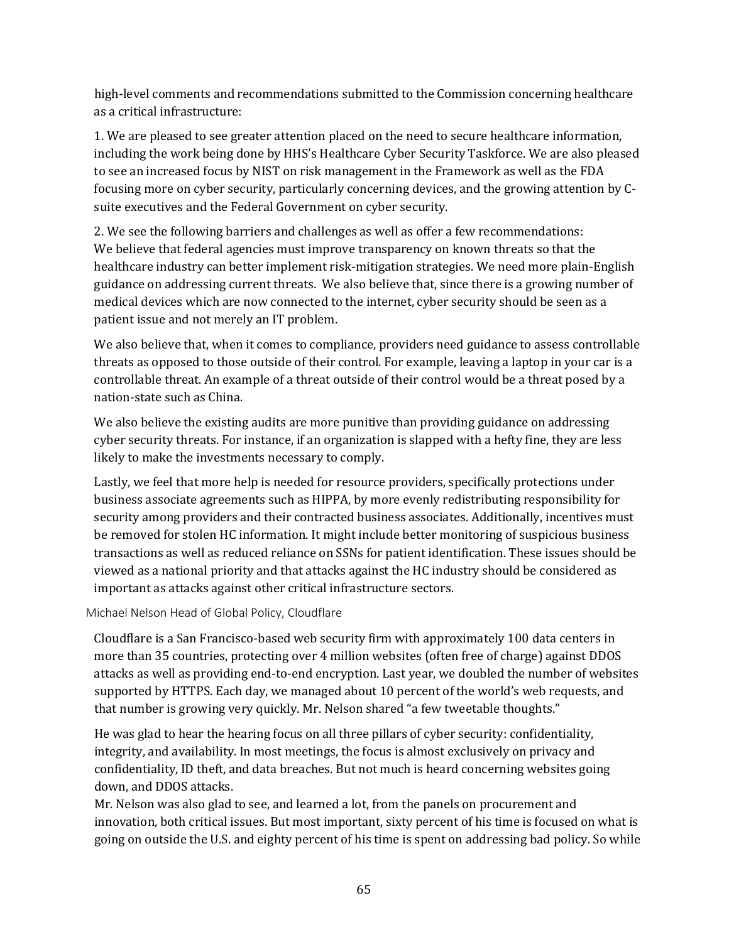high-level comments and recommendations submitted to the Commission concerning healthcare as a critical infrastructure:

1. We are pleased to see greater attention placed on the need to secure healthcare information, including the work being done by HHS's Healthcare Cyber Security Taskforce. We are also pleased to see an increased focus by NIST on risk management in the Framework as well as the FDA focusing more on cyber security, particularly concerning devices, and the growing attention by Csuite executives and the Federal Government on cyber security.

2. We see the following barriers and challenges as well as offer a few recommendations: We believe that federal agencies must improve transparency on known threats so that the healthcare industry can better implement risk-mitigation strategies. We need more plain-English guidance on addressing current threats. We also believe that, since there is a growing number of medical devices which are now connected to the internet, cyber security should be seen as a patient issue and not merely an IT problem.

We also believe that, when it comes to compliance, providers need guidance to assess controllable threats as opposed to those outside of their control. For example, leaving a laptop in your car is a controllable threat. An example of a threat outside of their control would be a threat posed by a nation-state such as China.

We also believe the existing audits are more punitive than providing guidance on addressing cyber security threats. For instance, if an organization is slapped with a hefty fine, they are less likely to make the investments necessary to comply.

Lastly, we feel that more help is needed for resource providers, specifically protections under business associate agreements such as HIPPA, by more evenly redistributing responsibility for security among providers and their contracted business associates. Additionally, incentives must be removed for stolen HC information. It might include better monitoring of suspicious business transactions as well as reduced reliance on SSNs for patient identification. These issues should be viewed as a national priority and that attacks against the HC industry should be considered as important as attacks against other critical infrastructure sectors.

Michael Nelson Head of Global Policy, Cloudflare

Cloudflare is a San Francisco-based web security firm with approximately 100 data centers in more than 35 countries, protecting over 4 million websites (often free of charge) against DDOS attacks as well as providing end-to-end encryption. Last year, we doubled the number of websites supported by HTTPS. Each day, we managed about 10 percent of the world's web requests, and that number is growing very quickly. Mr. Nelson shared "a few tweetable thoughts."

He was glad to hear the hearing focus on all three pillars of cyber security: confidentiality, integrity, and availability. In most meetings, the focus is almost exclusively on privacy and confidentiality, ID theft, and data breaches. But not much is heard concerning websites going down, and DDOS attacks.

Mr. Nelson was also glad to see, and learned a lot, from the panels on procurement and innovation, both critical issues. But most important, sixty percent of his time is focused on what is going on outside the U.S. and eighty percent of his time is spent on addressing bad policy. So while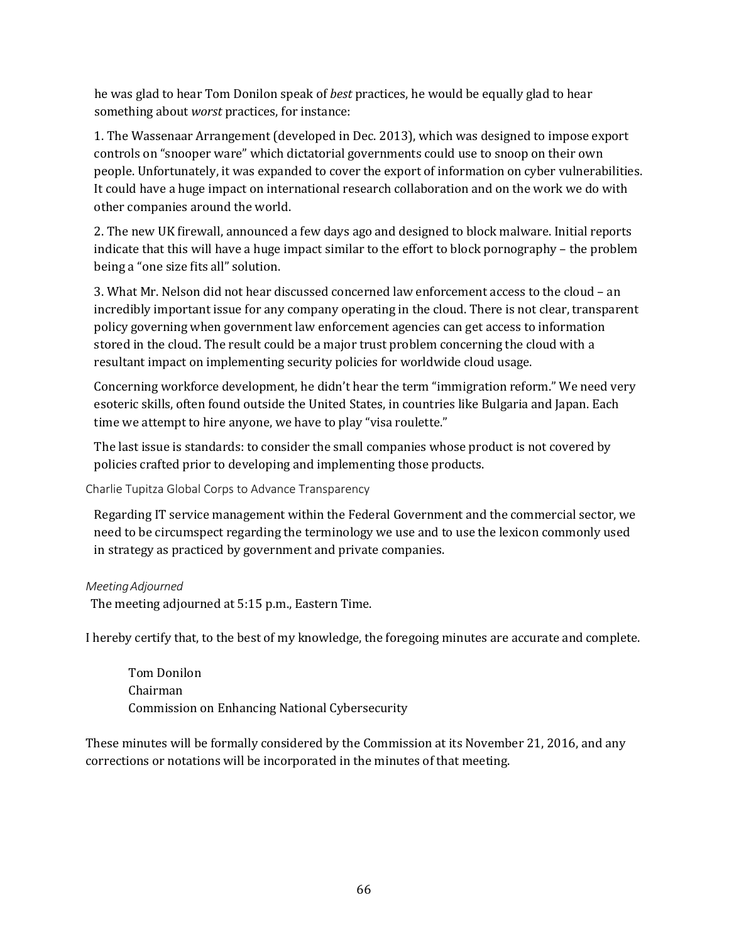he was glad to hear Tom Donilon speak of *best* practices, he would be equally glad to hear something about *worst* practices, for instance:

1. The Wassenaar Arrangement (developed in Dec. 2013), which was designed to impose export controls on "snooper ware" which dictatorial governments could use to snoop on their own people. Unfortunately, it was expanded to cover the export of information on cyber vulnerabilities. It could have a huge impact on international research collaboration and on the work we do with other companies around the world.

2. The new UK firewall, announced a few days ago and designed to block malware. Initial reports indicate that this will have a huge impact similar to the effort to block pornography – the problem being a "one size fits all" solution.

3. What Mr. Nelson did not hear discussed concerned law enforcement access to the cloud – an incredibly important issue for any company operating in the cloud. There is not clear, transparent policy governing when government law enforcement agencies can get access to information stored in the cloud. The result could be a major trust problem concerning the cloud with a resultant impact on implementing security policies for worldwide cloud usage.

Concerning workforce development, he didn't hear the term "immigration reform." We need very esoteric skills, often found outside the United States, in countries like Bulgaria and Japan. Each time we attempt to hire anyone, we have to play "visa roulette."

The last issue is standards: to consider the small companies whose product is not covered by policies crafted prior to developing and implementing those products.

Charlie Tupitza Global Corps to Advance Transparency

Regarding IT service management within the Federal Government and the commercial sector, we need to be circumspect regarding the terminology we use and to use the lexicon commonly used in strategy as practiced by government and private companies.

### *MeetingAdjourned*

The meeting adjourned at 5:15 p.m., Eastern Time.

I hereby certify that, to the best of my knowledge, the foregoing minutes are accurate and complete.

Tom Donilon Chairman Commission on Enhancing National Cybersecurity

These minutes will be formally considered by the Commission at its November 21, 2016, and any corrections or notations will be incorporated in the minutes of that meeting.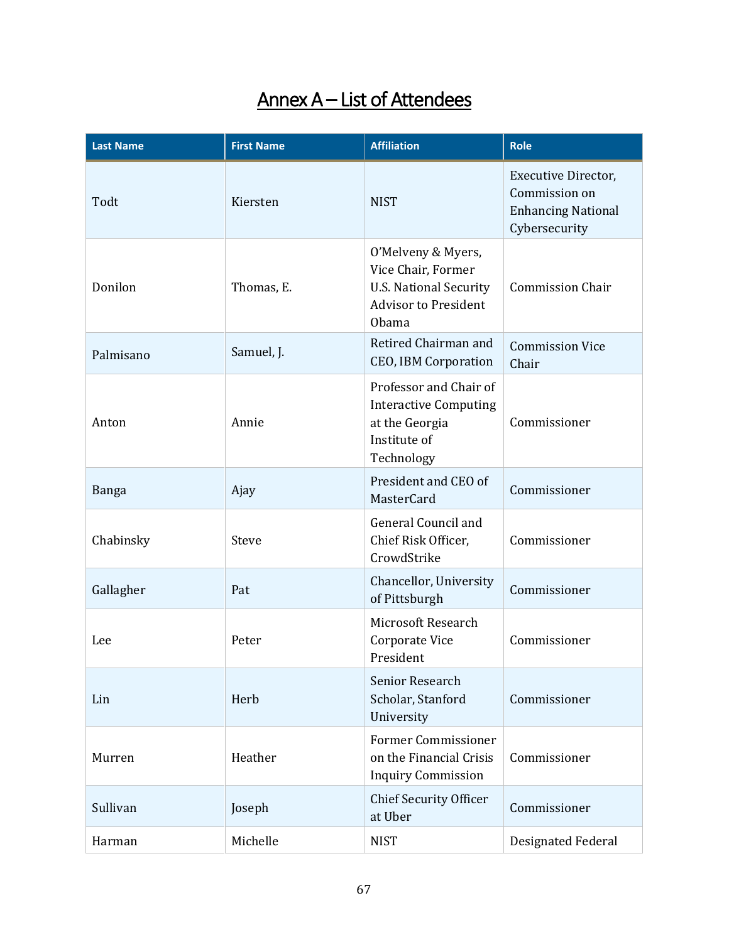# Annex A – List of Attendees

| <b>Last Name</b> | <b>First Name</b> | <b>Affiliation</b>                                                                                                       | <b>Role</b>                                                                        |
|------------------|-------------------|--------------------------------------------------------------------------------------------------------------------------|------------------------------------------------------------------------------------|
| Todt             | Kiersten          | <b>NIST</b>                                                                                                              | Executive Director,<br>Commission on<br><b>Enhancing National</b><br>Cybersecurity |
| Donilon          | Thomas, E.        | O'Melveny & Myers,<br>Vice Chair, Former<br><b>U.S. National Security</b><br><b>Advisor to President</b><br><b>Obama</b> | <b>Commission Chair</b>                                                            |
| Palmisano        | Samuel, J.        | Retired Chairman and<br><b>CEO, IBM Corporation</b>                                                                      | <b>Commission Vice</b><br>Chair                                                    |
| Anton            | Annie             | Professor and Chair of<br><b>Interactive Computing</b><br>at the Georgia<br>Institute of<br>Technology                   | Commissioner                                                                       |
| Banga            | Ajay              | President and CEO of<br><b>MasterCard</b>                                                                                | Commissioner                                                                       |
| Chabinsky        | Steve             | General Council and<br>Chief Risk Officer,<br>CrowdStrike                                                                | Commissioner                                                                       |
| Gallagher        | Pat               | Chancellor, University<br>of Pittsburgh                                                                                  | Commissioner                                                                       |
| Lee              | Peter             | Microsoft Research<br>Corporate Vice<br>President                                                                        | Commissioner                                                                       |
| Lin              | Herb              | Senior Research<br>Scholar, Stanford<br>University                                                                       | Commissioner                                                                       |
| Murren           | Heather           | <b>Former Commissioner</b><br>on the Financial Crisis<br><b>Inquiry Commission</b>                                       | Commissioner                                                                       |
| Sullivan         | Joseph            | <b>Chief Security Officer</b><br>at Uber                                                                                 | Commissioner                                                                       |
| Harman           | Michelle          | <b>NIST</b>                                                                                                              | Designated Federal                                                                 |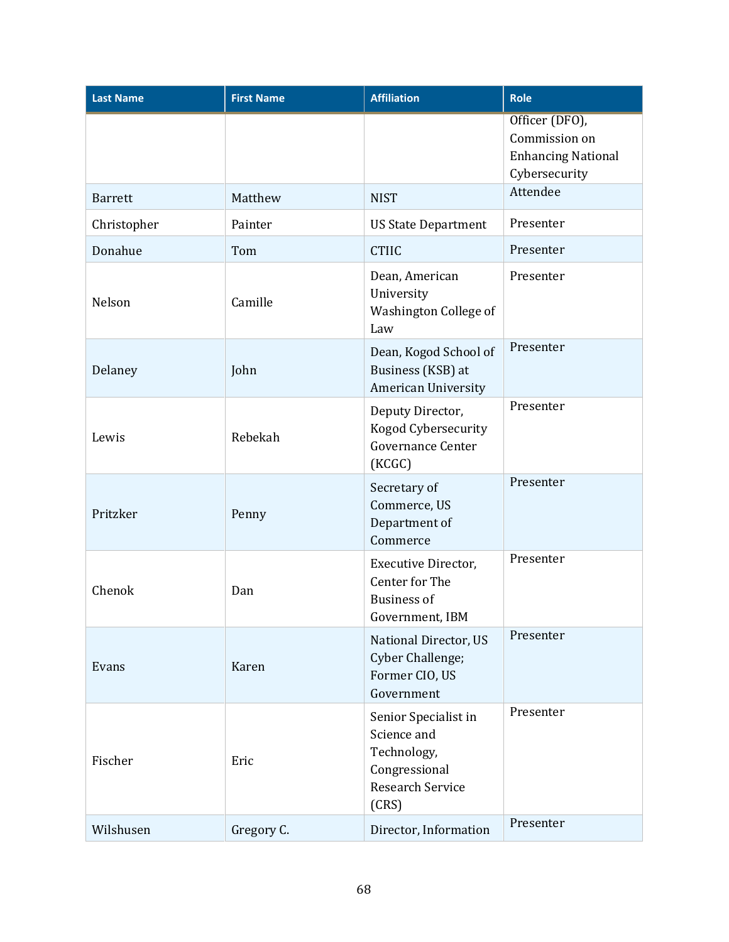| <b>Last Name</b> | <b>First Name</b> | <b>Affiliation</b>                                                                                      | <b>Role</b>                                                                   |
|------------------|-------------------|---------------------------------------------------------------------------------------------------------|-------------------------------------------------------------------------------|
|                  |                   |                                                                                                         | Officer (DFO),<br>Commission on<br><b>Enhancing National</b><br>Cybersecurity |
| <b>Barrett</b>   | Matthew           | <b>NIST</b>                                                                                             | Attendee                                                                      |
| Christopher      | Painter           | <b>US State Department</b>                                                                              | Presenter                                                                     |
| Donahue          | Tom               | <b>CTIIC</b>                                                                                            | Presenter                                                                     |
| Nelson           | Camille           | Dean, American<br>University<br>Washington College of<br>Law                                            | Presenter                                                                     |
| Delaney          | John              | Dean, Kogod School of<br>Business (KSB) at<br><b>American University</b>                                | Presenter                                                                     |
| Lewis            | Rebekah           | Deputy Director,<br>Kogod Cybersecurity<br><b>Governance Center</b><br>(KCGC)                           | Presenter                                                                     |
| Pritzker         | Penny             | Secretary of<br>Commerce, US<br>Department of<br>Commerce                                               | Presenter                                                                     |
| Chenok           | Dan               | Executive Director,<br>Center for The<br><b>Business of</b><br>Government, IBM                          | Presenter                                                                     |
| Evans            | Karen             | National Director, US<br>Cyber Challenge;<br>Former CIO, US<br>Government                               | Presenter                                                                     |
| Fischer          | Eric              | Senior Specialist in<br>Science and<br>Technology,<br>Congressional<br><b>Research Service</b><br>(CRS) | Presenter                                                                     |
| Wilshusen        | Gregory C.        | Director, Information                                                                                   | Presenter                                                                     |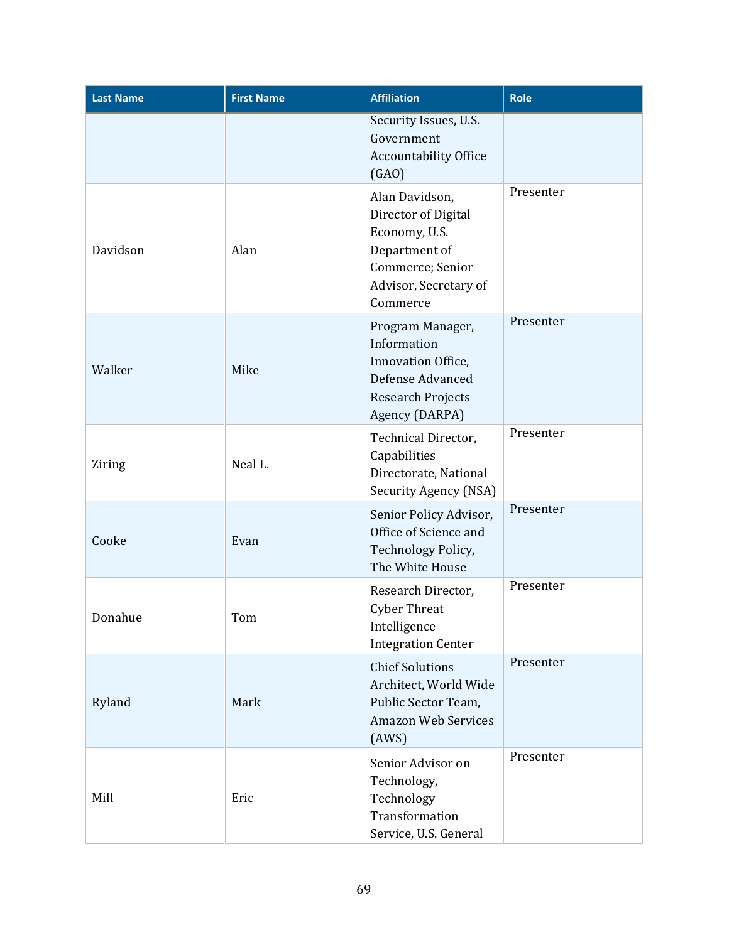| <b>Last Name</b> | <b>First Name</b> | <b>Affiliation</b>                                                                                                               | <b>Role</b> |
|------------------|-------------------|----------------------------------------------------------------------------------------------------------------------------------|-------------|
|                  |                   | Security Issues, U.S.<br>Government<br>Accountability Office<br>(GAO)                                                            |             |
| Davidson         | Alan              | Alan Davidson,<br>Director of Digital<br>Economy, U.S.<br>Department of<br>Commerce; Senior<br>Advisor, Secretary of<br>Commerce | Presenter   |
| Walker           | Mike              | Program Manager,<br>Information<br>Innovation Office,<br>Defense Advanced<br><b>Research Projects</b><br>Agency (DARPA)          | Presenter   |
| Ziring           | Neal L.           | Technical Director,<br>Capabilities<br>Directorate, National<br>Security Agency (NSA)                                            | Presenter   |
| Cooke            | Evan              | Senior Policy Advisor,<br>Office of Science and<br>Technology Policy,<br>The White House                                         | Presenter   |
| Donahue          | Tom               | Research Director,<br><b>Cyber Threat</b><br>Intelligence<br><b>Integration Center</b>                                           | Presenter   |
| Ryland           | Mark              | <b>Chief Solutions</b><br>Architect, World Wide<br>Public Sector Team,<br><b>Amazon Web Services</b><br>(AWS)                    | Presenter   |
| Mill             | Eric              | Senior Advisor on<br>Technology,<br>Technology<br>Transformation<br>Service, U.S. General                                        | Presenter   |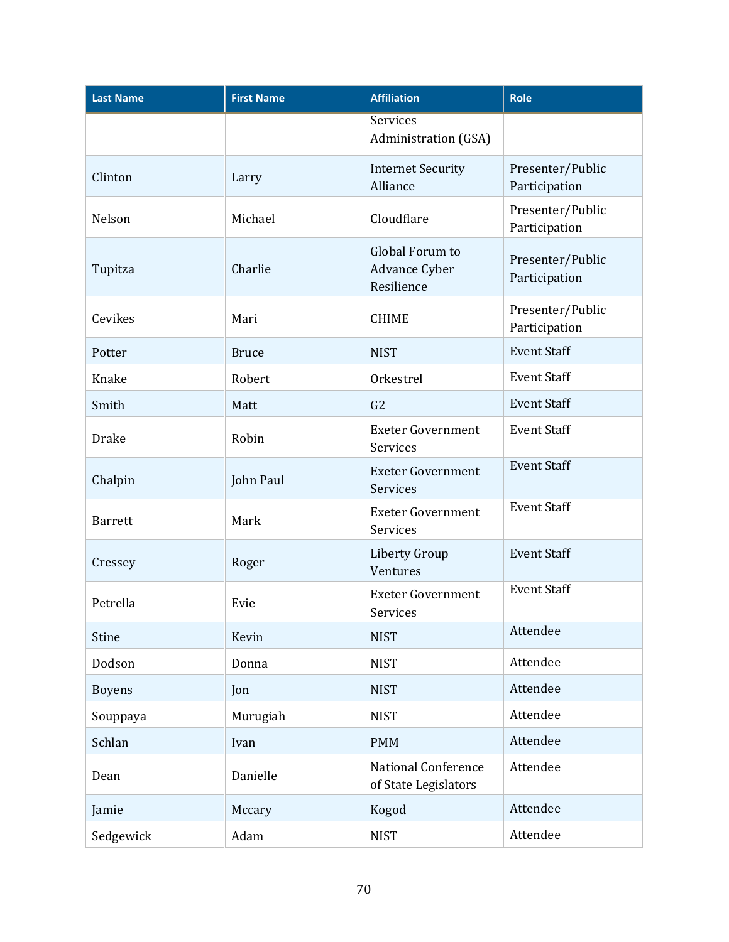| <b>Last Name</b> | <b>First Name</b> | <b>Affiliation</b>                                 | Role                              |
|------------------|-------------------|----------------------------------------------------|-----------------------------------|
|                  |                   | <b>Services</b><br>Administration (GSA)            |                                   |
| Clinton          | Larry             | <b>Internet Security</b><br>Alliance               | Presenter/Public<br>Participation |
| Nelson           | Michael           | Cloudflare                                         | Presenter/Public<br>Participation |
| Tupitza          | Charlie           | Global Forum to<br>Advance Cyber<br>Resilience     | Presenter/Public<br>Participation |
| Cevikes          | Mari              | <b>CHIME</b>                                       | Presenter/Public<br>Participation |
| Potter           | <b>Bruce</b>      | <b>NIST</b>                                        | <b>Event Staff</b>                |
| Knake            | Robert            | Orkestrel                                          | <b>Event Staff</b>                |
| Smith            | Matt              | G <sub>2</sub>                                     | <b>Event Staff</b>                |
| <b>Drake</b>     | Robin             | <b>Exeter Government</b><br>Services               | <b>Event Staff</b>                |
| Chalpin          | John Paul         | <b>Exeter Government</b><br>Services               | <b>Event Staff</b>                |
| <b>Barrett</b>   | Mark              | <b>Exeter Government</b><br>Services               | <b>Event Staff</b>                |
| Cressey          | Roger             | Liberty Group<br>Ventures                          | <b>Event Staff</b>                |
| Petrella         | Evie              | <b>Exeter Government</b><br>Services               | <b>Event Staff</b>                |
| <b>Stine</b>     | Kevin             | <b>NIST</b>                                        | Attendee                          |
| Dodson           | Donna             | <b>NIST</b>                                        | Attendee                          |
| <b>Boyens</b>    | Jon               | <b>NIST</b>                                        | Attendee                          |
| Souppaya         | Murugiah          | <b>NIST</b>                                        | Attendee                          |
| Schlan           | Ivan              | <b>PMM</b>                                         | Attendee                          |
| Dean             | Danielle          | <b>National Conference</b><br>of State Legislators | Attendee                          |
| Jamie            | Mccary            | Kogod                                              | Attendee                          |
| Sedgewick        | Adam              | <b>NIST</b>                                        | Attendee                          |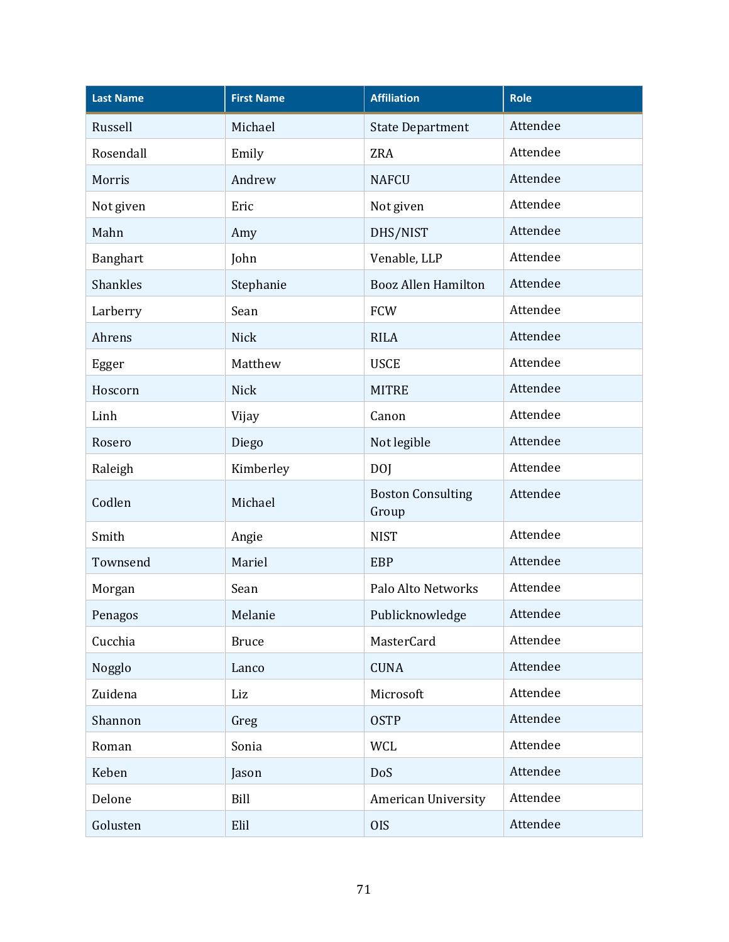| <b>Last Name</b> | <b>First Name</b> | <b>Affiliation</b>                | <b>Role</b> |
|------------------|-------------------|-----------------------------------|-------------|
| Russell          | Michael           | <b>State Department</b>           | Attendee    |
| Rosendall        | Emily             | <b>ZRA</b>                        | Attendee    |
| Morris           | Andrew            | <b>NAFCU</b>                      | Attendee    |
| Not given        | Eric              | Not given                         | Attendee    |
| Mahn             | Amy               | DHS/NIST                          | Attendee    |
| Banghart         | John              | Venable, LLP                      | Attendee    |
| <b>Shankles</b>  | Stephanie         | <b>Booz Allen Hamilton</b>        | Attendee    |
| Larberry         | Sean              | <b>FCW</b>                        | Attendee    |
| Ahrens           | <b>Nick</b>       | <b>RILA</b>                       | Attendee    |
| Egger            | Matthew           | <b>USCE</b>                       | Attendee    |
| Hoscorn          | <b>Nick</b>       | <b>MITRE</b>                      | Attendee    |
| Linh             | Vijay             | Canon                             | Attendee    |
| Rosero           | Diego             | Not legible                       | Attendee    |
| Raleigh          | Kimberley         | <b>DOJ</b>                        | Attendee    |
| Codlen           | Michael           | <b>Boston Consulting</b><br>Group | Attendee    |
| Smith            | Angie             | <b>NIST</b>                       | Attendee    |
| Townsend         | Mariel            | <b>EBP</b>                        | Attendee    |
| Morgan           | Sean              | Palo Alto Networks                | Attendee    |
| Penagos          | Melanie           | Publicknowledge                   | Attendee    |
| Cucchia          | <b>Bruce</b>      | MasterCard                        | Attendee    |
| Nogglo           | Lanco             | <b>CUNA</b>                       | Attendee    |
| Zuidena          | Liz               | Microsoft                         | Attendee    |
| Shannon          | Greg              | <b>OSTP</b>                       | Attendee    |
| Roman            | Sonia             | WCL                               | Attendee    |
| Keben            | Jason             | DoS                               | Attendee    |
| Delone           | Bill              | <b>American University</b>        | Attendee    |
| Golusten         | Elil              | <b>OIS</b>                        | Attendee    |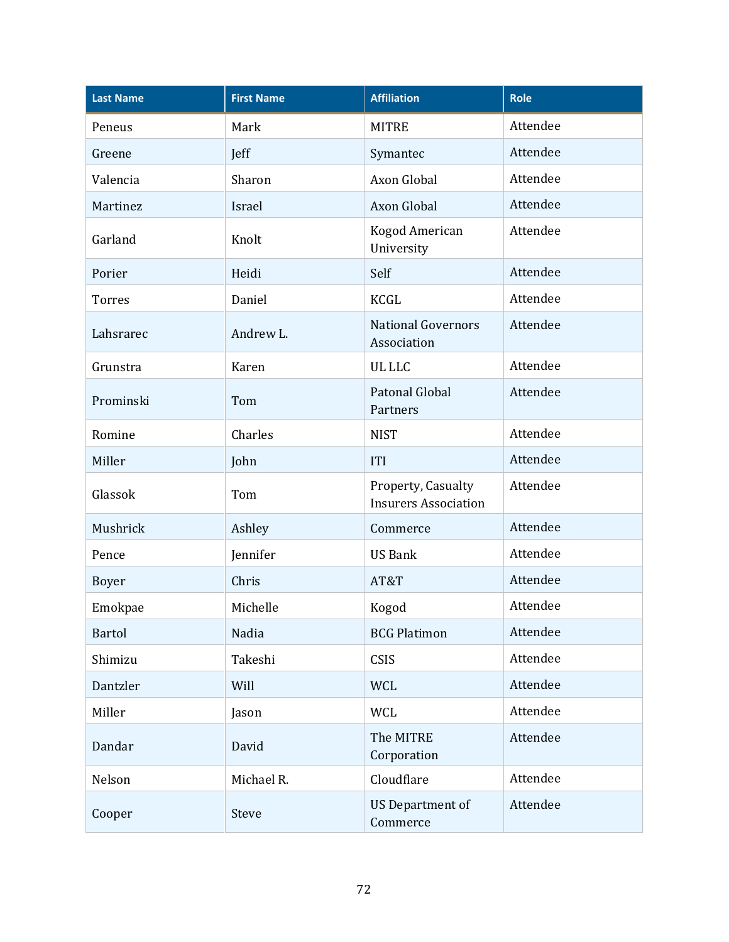| <b>Last Name</b> | <b>First Name</b> | <b>Affiliation</b>                                | <b>Role</b> |
|------------------|-------------------|---------------------------------------------------|-------------|
| Peneus           | Mark              | <b>MITRE</b>                                      | Attendee    |
| Greene           | Jeff              | Symantec                                          | Attendee    |
| Valencia         | Sharon            | Axon Global                                       | Attendee    |
| Martinez         | Israel            | Axon Global                                       | Attendee    |
| Garland          | Knolt             | Kogod American<br>University                      | Attendee    |
| Porier           | Heidi             | Self                                              | Attendee    |
| <b>Torres</b>    | Daniel            | <b>KCGL</b>                                       | Attendee    |
| Lahsrarec        | Andrew L.         | <b>National Governors</b><br>Association          | Attendee    |
| Grunstra         | Karen             | <b>UL LLC</b>                                     | Attendee    |
| Prominski        | Tom               | Patonal Global<br>Partners                        | Attendee    |
| Romine           | Charles           | <b>NIST</b>                                       | Attendee    |
| Miller           | John              | <b>ITI</b>                                        | Attendee    |
| Glassok          | Tom               | Property, Casualty<br><b>Insurers Association</b> | Attendee    |
| Mushrick         | Ashley            | Commerce                                          | Attendee    |
| Pence            | Jennifer          | <b>US Bank</b>                                    | Attendee    |
| <b>Boyer</b>     | Chris             | AT&T                                              | Attendee    |
| Emokpae          | Michelle          | Kogod                                             | Attendee    |
| <b>Bartol</b>    | Nadia             | <b>BCG Platimon</b>                               | Attendee    |
| Shimizu          | Takeshi           | CSIS                                              | Attendee    |
| Dantzler         | Will              | <b>WCL</b>                                        | Attendee    |
| Miller           | Jason             | <b>WCL</b>                                        | Attendee    |
| Dandar           | David             | The MITRE<br>Corporation                          | Attendee    |
| Nelson           | Michael R.        | Cloudflare                                        | Attendee    |
| Cooper           | Steve             | <b>US Department of</b><br>Commerce               | Attendee    |